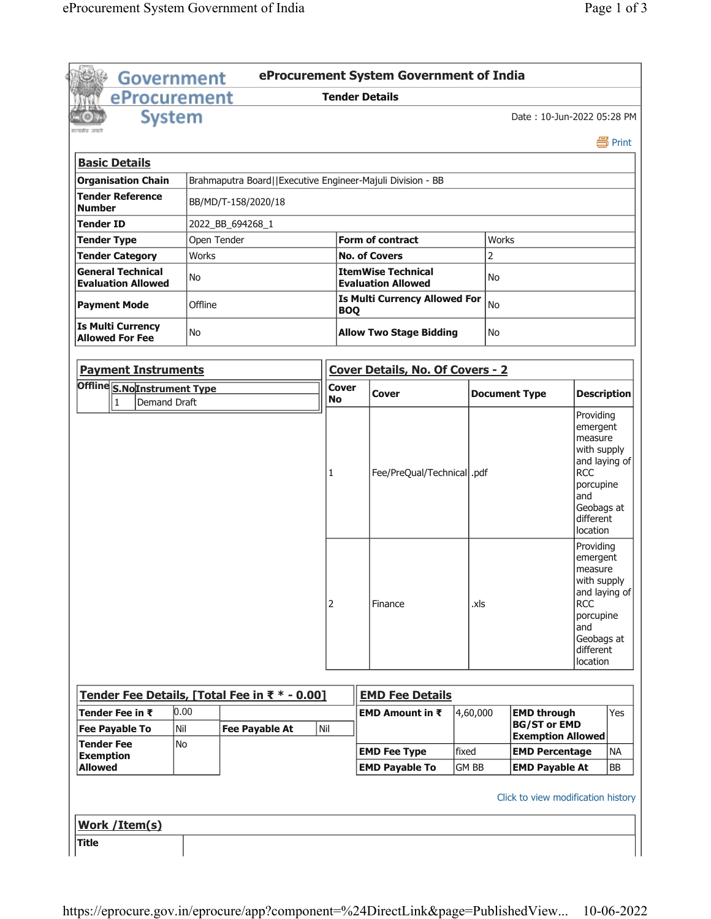| <b>Government</b>                                                  |              |                                                            |                                                                 | eProcurement System Government of India                |          |                      |                                                 |                                                                                                                                           |           |
|--------------------------------------------------------------------|--------------|------------------------------------------------------------|-----------------------------------------------------------------|--------------------------------------------------------|----------|----------------------|-------------------------------------------------|-------------------------------------------------------------------------------------------------------------------------------------------|-----------|
| eProcurement                                                       |              |                                                            |                                                                 | <b>Tender Details</b>                                  |          |                      |                                                 |                                                                                                                                           |           |
| <b>System</b>                                                      |              |                                                            |                                                                 |                                                        |          |                      | Date: 10-Jun-2022 05:28 PM                      |                                                                                                                                           |           |
|                                                                    |              |                                                            |                                                                 |                                                        |          |                      |                                                 |                                                                                                                                           | 昌 Print   |
| <b>Basic Details</b>                                               |              |                                                            |                                                                 |                                                        |          |                      |                                                 |                                                                                                                                           |           |
| <b>Organisation Chain</b>                                          |              | Brahmaputra Board  Executive Engineer-Majuli Division - BB |                                                                 |                                                        |          |                      |                                                 |                                                                                                                                           |           |
| <b>Tender Reference</b><br><b>Number</b>                           |              | BB/MD/T-158/2020/18                                        |                                                                 |                                                        |          |                      |                                                 |                                                                                                                                           |           |
| <b>Tender ID</b>                                                   |              | 2022_BB_694268_1                                           |                                                                 |                                                        |          |                      |                                                 |                                                                                                                                           |           |
| <b>Tender Type</b>                                                 | Open Tender  |                                                            |                                                                 | <b>Form of contract</b>                                |          | <b>Works</b>         |                                                 |                                                                                                                                           |           |
| <b>Tender Category</b>                                             | <b>Works</b> |                                                            |                                                                 | <b>No. of Covers</b>                                   |          | $\overline{2}$       |                                                 |                                                                                                                                           |           |
| <b>General Technical</b><br><b>Evaluation Allowed</b>              | No           |                                                            |                                                                 | <b>ItemWise Technical</b><br><b>Evaluation Allowed</b> |          | No                   |                                                 |                                                                                                                                           |           |
| <b>Payment Mode</b>                                                | Offline      |                                                            | <b>Is Multi Currency Allowed For</b><br><b>No</b><br><b>BOQ</b> |                                                        |          |                      |                                                 |                                                                                                                                           |           |
| <b>Is Multi Currency</b><br><b>Allowed For Fee</b>                 | <b>No</b>    |                                                            |                                                                 | <b>Allow Two Stage Bidding</b>                         |          | No                   |                                                 |                                                                                                                                           |           |
| <b>Payment Instruments</b>                                         |              |                                                            |                                                                 | Cover Details, No. Of Covers - 2                       |          |                      |                                                 |                                                                                                                                           |           |
|                                                                    |              |                                                            |                                                                 |                                                        |          |                      |                                                 |                                                                                                                                           |           |
| Offline S.NoInstrument Type<br><b>Demand Draft</b><br>$\mathbf{1}$ |              |                                                            | <b>Cover</b><br><b>No</b>                                       | Cover                                                  |          | <b>Document Type</b> |                                                 | <b>Description</b>                                                                                                                        |           |
|                                                                    |              |                                                            | 1                                                               | Fee/PreQual/Technical  .pdf                            |          |                      |                                                 | <b>RCC</b><br>porcupine<br>and<br>Geobags at<br>different<br>location                                                                     |           |
|                                                                    |              |                                                            | 2                                                               | Finance                                                | .xls     |                      |                                                 | Providing<br>emergent<br>measure<br>with supply<br>and laying of<br><b>RCC</b><br>porcupine<br>and<br>Geobags at<br>different<br>location |           |
|                                                                    |              | Tender Fee Details, [Total Fee in ₹ * - 0.00]              |                                                                 | <b>EMD Fee Details</b>                                 |          |                      |                                                 |                                                                                                                                           |           |
| Tender Fee in ₹                                                    | 0.00         |                                                            |                                                                 | EMD Amount in ₹                                        | 4,60,000 |                      | <b>EMD through</b>                              |                                                                                                                                           | Yes       |
| <b>Fee Payable To</b>                                              | Nil          | <b>Fee Payable At</b>                                      | Nil                                                             |                                                        |          |                      | <b>BG/ST or EMD</b><br><b>Exemption Allowed</b> |                                                                                                                                           |           |
| <b>Tender Fee</b>                                                  | No           |                                                            |                                                                 | <b>EMD Fee Type</b>                                    | fixed    |                      | <b>EMD Percentage</b>                           |                                                                                                                                           | NА        |
| <b>Exemption</b><br><b>Allowed</b>                                 |              |                                                            |                                                                 | <b>EMD Payable To</b>                                  | GM BB    |                      | <b>EMD Payable At</b>                           |                                                                                                                                           | <b>BB</b> |
|                                                                    |              |                                                            |                                                                 |                                                        |          |                      | Click to view modification history              |                                                                                                                                           |           |
|                                                                    |              |                                                            |                                                                 |                                                        |          |                      |                                                 |                                                                                                                                           |           |
| <b>Work / Item(s)</b>                                              |              |                                                            |                                                                 |                                                        |          |                      |                                                 |                                                                                                                                           |           |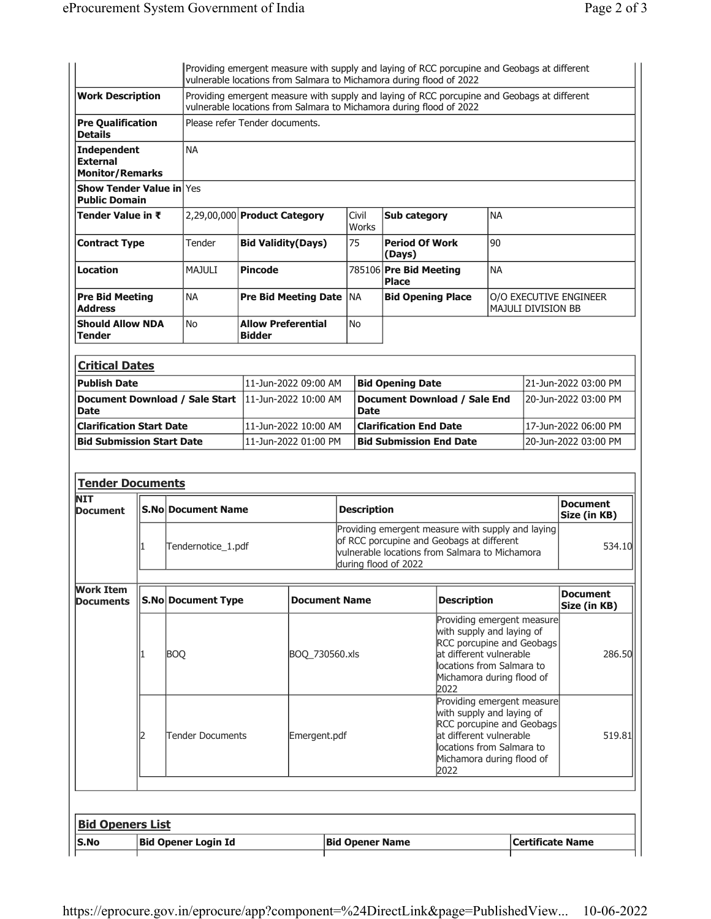|                                                                 |                                                                                          |                                       |                                                                                                                                                                    |                             |                      | Providing emergent measure with supply and laying of RCC porcupine and Geobags at different<br>vulnerable locations from Salmara to Michamora during flood of 2022       |                                                                                                                                                                           |                           |                                 |
|-----------------------------------------------------------------|------------------------------------------------------------------------------------------|---------------------------------------|--------------------------------------------------------------------------------------------------------------------------------------------------------------------|-----------------------------|----------------------|--------------------------------------------------------------------------------------------------------------------------------------------------------------------------|---------------------------------------------------------------------------------------------------------------------------------------------------------------------------|---------------------------|---------------------------------|
| <b>Work Description</b>                                         |                                                                                          |                                       | Providing emergent measure with supply and laying of RCC porcupine and Geobags at different<br>vulnerable locations from Salmara to Michamora during flood of 2022 |                             |                      |                                                                                                                                                                          |                                                                                                                                                                           |                           |                                 |
| <b>Pre Qualification</b><br><b>Details</b>                      |                                                                                          | Please refer Tender documents.        |                                                                                                                                                                    |                             |                      |                                                                                                                                                                          |                                                                                                                                                                           |                           |                                 |
| <b>Independent</b><br><b>External</b><br><b>Monitor/Remarks</b> |                                                                                          | <b>NA</b>                             |                                                                                                                                                                    |                             |                      |                                                                                                                                                                          |                                                                                                                                                                           |                           |                                 |
| <b>Show Tender Value in Yes</b>                                 |                                                                                          |                                       |                                                                                                                                                                    |                             |                      |                                                                                                                                                                          |                                                                                                                                                                           |                           |                                 |
| <b>Public Domain</b><br>Tender Value in ₹                       |                                                                                          | 2,29,00,000 Product Category          |                                                                                                                                                                    |                             | Civil                | <b>Sub category</b>                                                                                                                                                      | <b>NA</b>                                                                                                                                                                 |                           |                                 |
|                                                                 |                                                                                          |                                       |                                                                                                                                                                    |                             | Works                |                                                                                                                                                                          |                                                                                                                                                                           |                           |                                 |
| <b>Contract Type</b>                                            |                                                                                          | Tender                                | <b>Bid Validity(Days)</b>                                                                                                                                          |                             | 75                   | <b>Period Of Work</b><br>(Days)                                                                                                                                          | 90                                                                                                                                                                        |                           |                                 |
| Location                                                        |                                                                                          | MAJULI                                | <b>Pincode</b>                                                                                                                                                     |                             |                      | 785106 Pre Bid Meeting<br><b>Place</b>                                                                                                                                   | <b>NA</b>                                                                                                                                                                 |                           |                                 |
| <b>Pre Bid Meeting</b><br>Address                               |                                                                                          | <b>NA</b>                             |                                                                                                                                                                    | <b>Pre Bid Meeting Date</b> | <b>NA</b>            | <b>Bid Opening Place</b>                                                                                                                                                 |                                                                                                                                                                           | <b>MAJULI DIVISION BB</b> | O/O EXECUTIVE ENGINEER          |
| <b>Should Allow NDA</b><br>Tender                               |                                                                                          | No                                    | <b>Allow Preferential</b><br><b>Bidder</b>                                                                                                                         |                             | <b>No</b>            |                                                                                                                                                                          |                                                                                                                                                                           |                           |                                 |
| <b>Critical Dates</b>                                           |                                                                                          |                                       |                                                                                                                                                                    |                             |                      |                                                                                                                                                                          |                                                                                                                                                                           |                           |                                 |
| <b>Publish Date</b>                                             |                                                                                          |                                       |                                                                                                                                                                    | 11-Jun-2022 09:00 AM        |                      | <b>Bid Opening Date</b>                                                                                                                                                  |                                                                                                                                                                           |                           | 21-Jun-2022 03:00 PM            |
| <b>Date</b>                                                     |                                                                                          | <b>Document Download / Sale Start</b> |                                                                                                                                                                    | 11-Jun-2022 10:00 AM        | <b>Date</b>          | Document Download / Sale End                                                                                                                                             |                                                                                                                                                                           |                           | 20-Jun-2022 03:00 PM            |
|                                                                 | <b>Clarification Start Date</b><br>11-Jun-2022 10:00 AM<br><b>Clarification End Date</b> |                                       |                                                                                                                                                                    |                             | 17-Jun-2022 06:00 PM |                                                                                                                                                                          |                                                                                                                                                                           |                           |                                 |
|                                                                 |                                                                                          |                                       |                                                                                                                                                                    |                             |                      |                                                                                                                                                                          |                                                                                                                                                                           |                           |                                 |
| <b>Bid Submission Start Date</b>                                |                                                                                          |                                       |                                                                                                                                                                    | 11-Jun-2022 01:00 PM        |                      | <b>Bid Submission End Date</b>                                                                                                                                           |                                                                                                                                                                           |                           | 20-Jun-2022 03:00 PM            |
| <b>Tender Documents</b><br><b>NIT</b><br><b>Document</b>        |                                                                                          | <b>S.No Document Name</b>             |                                                                                                                                                                    |                             | <b>Description</b>   |                                                                                                                                                                          |                                                                                                                                                                           |                           | <b>Document</b><br>Size (in KB) |
|                                                                 |                                                                                          | Tendernotice_1.pdf                    |                                                                                                                                                                    |                             |                      | Providing emergent measure with supply and laying<br>of RCC porcupine and Geobags at different<br>vulnerable locations from Salmara to Michamora<br>during flood of 2022 |                                                                                                                                                                           |                           | 534.10                          |
| <b>Documents</b>                                                |                                                                                          | <b>S.No Document Type</b>             |                                                                                                                                                                    | <b>Document Name</b>        |                      | <b>Description</b>                                                                                                                                                       |                                                                                                                                                                           |                           | <b>Document</b><br>Size (in KB) |
|                                                                 |                                                                                          | <b>BOQ</b>                            |                                                                                                                                                                    | BOQ_730560.xls              |                      | 2022                                                                                                                                                                     | Providing emergent measure<br>with supply and laying of<br>RCC porcupine and Geobags<br>at different vulnerable<br>locations from Salmara to<br>Michamora during flood of |                           | 286.50                          |
| <b>Work Item</b>                                                |                                                                                          | <b>Tender Documents</b>               |                                                                                                                                                                    | Emergent.pdf                |                      | 2022                                                                                                                                                                     | Providing emergent measure<br>with supply and laying of<br>RCC porcupine and Geobags<br>at different vulnerable<br>locations from Salmara to<br>Michamora during flood of |                           | 519.81                          |
|                                                                 |                                                                                          |                                       |                                                                                                                                                                    |                             |                      |                                                                                                                                                                          |                                                                                                                                                                           |                           |                                 |
| <b>Bid Openers List</b>                                         |                                                                                          |                                       |                                                                                                                                                                    |                             |                      |                                                                                                                                                                          |                                                                                                                                                                           |                           |                                 |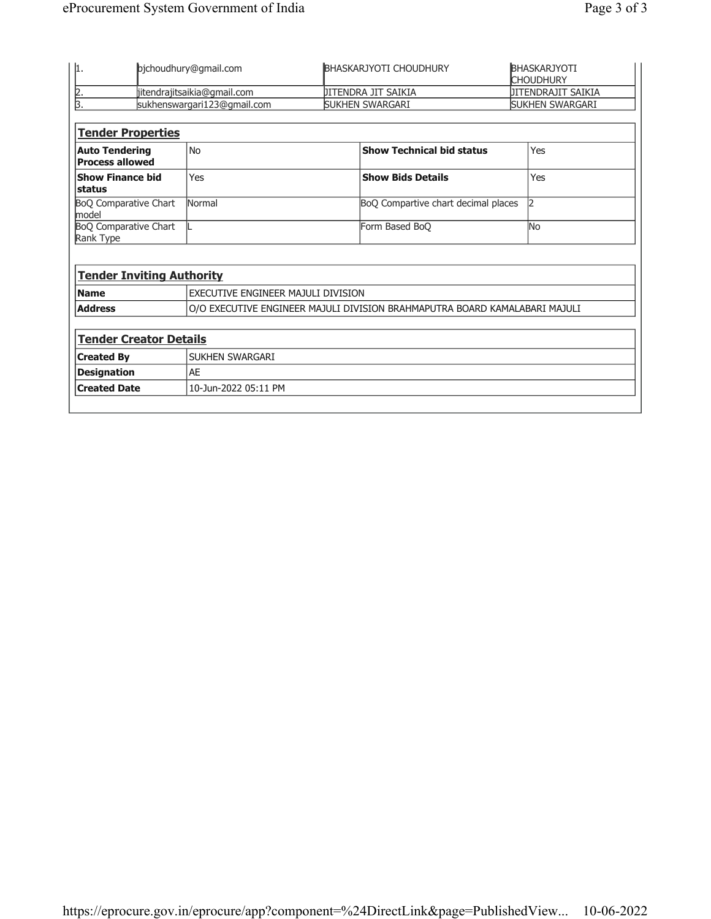| 1.                                              | bjchoudhury@gmail.com              |                     | <b>BHASKARJYOTI CHOUDHURY</b>                                              | <b>BHASKARJYOTI</b><br><b>CHOUDHURY</b> |
|-------------------------------------------------|------------------------------------|---------------------|----------------------------------------------------------------------------|-----------------------------------------|
|                                                 | jitendrajitsaikia@gmail.com        | JITENDRA JIT SAIKIA |                                                                            | JITENDRAJIT SAIKIA                      |
| $\frac{2}{3}$                                   | sukhenswargari123@gmail.com        |                     | SUKHEN SWARGARI                                                            | SUKHEN SWARGARI                         |
|                                                 |                                    |                     |                                                                            |                                         |
| <b>Tender Properties</b>                        |                                    |                     |                                                                            |                                         |
| <b>Auto Tendering</b><br><b>Process allowed</b> | <b>No</b>                          |                     | <b>Show Technical bid status</b>                                           | Yes                                     |
| <b>Show Finance bid</b><br>status               | Yes                                |                     | <b>Show Bids Details</b>                                                   | Yes                                     |
| <b>BoQ Comparative Chart</b><br>model           | Normal                             |                     | BoQ Compartive chart decimal places                                        | $\mathsf{I}2$                           |
| <b>BoQ Comparative Chart</b>                    |                                    |                     | Form Based BoQ                                                             | <b>No</b>                               |
| Rank Type                                       |                                    |                     |                                                                            |                                         |
|                                                 |                                    |                     |                                                                            |                                         |
| <b>Tender Inviting Authority</b>                |                                    |                     |                                                                            |                                         |
| <b>Name</b>                                     | EXECUTIVE ENGINEER MAJULI DIVISION |                     |                                                                            |                                         |
| <b>Address</b>                                  |                                    |                     | O/O EXECUTIVE ENGINEER MAJULI DIVISION BRAHMAPUTRA BOARD KAMALABARI MAJULI |                                         |
|                                                 |                                    |                     |                                                                            |                                         |
| <b>Tender Creator Details</b>                   |                                    |                     |                                                                            |                                         |
| <b>Created By</b>                               | SUKHEN SWARGARI                    |                     |                                                                            |                                         |
| <b>Designation</b>                              | <b>AE</b>                          |                     |                                                                            |                                         |
| <b>Created Date</b>                             | 10-Jun-2022 05:11 PM               |                     |                                                                            |                                         |
|                                                 |                                    |                     |                                                                            |                                         |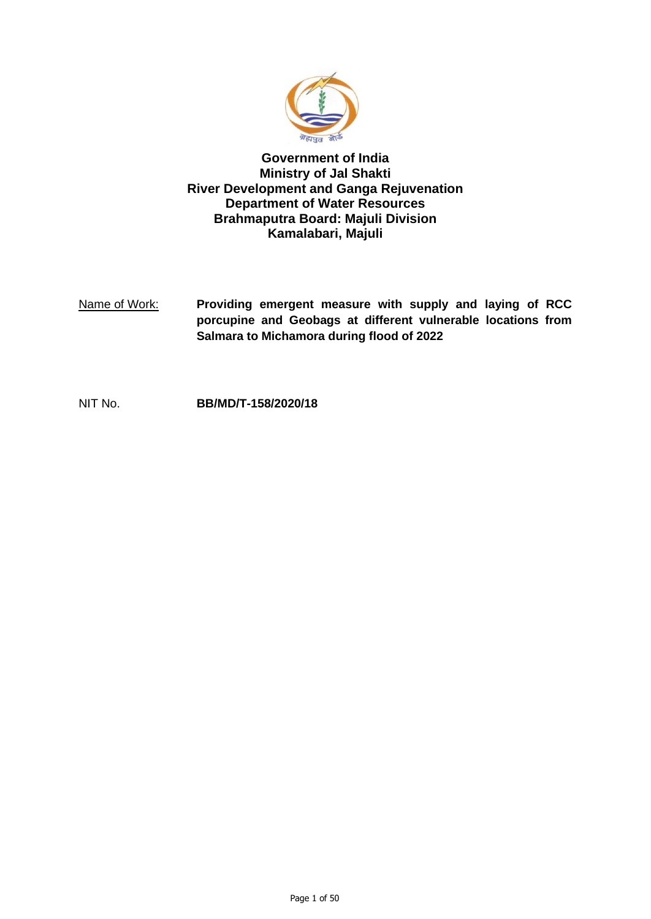

## **Government of India Ministry of Jal Shakti River Development and Ganga Rejuvenation Department of Water Resources Brahmaputra Board: Majuli Division Kamalabari, Majuli**

Name of Work: **Providing emergent measure with supply and laying of RCC porcupine and Geobags at different vulnerable locations from Salmara to Michamora during flood of 2022**

NIT No. **BB/MD/T-158/2020/18**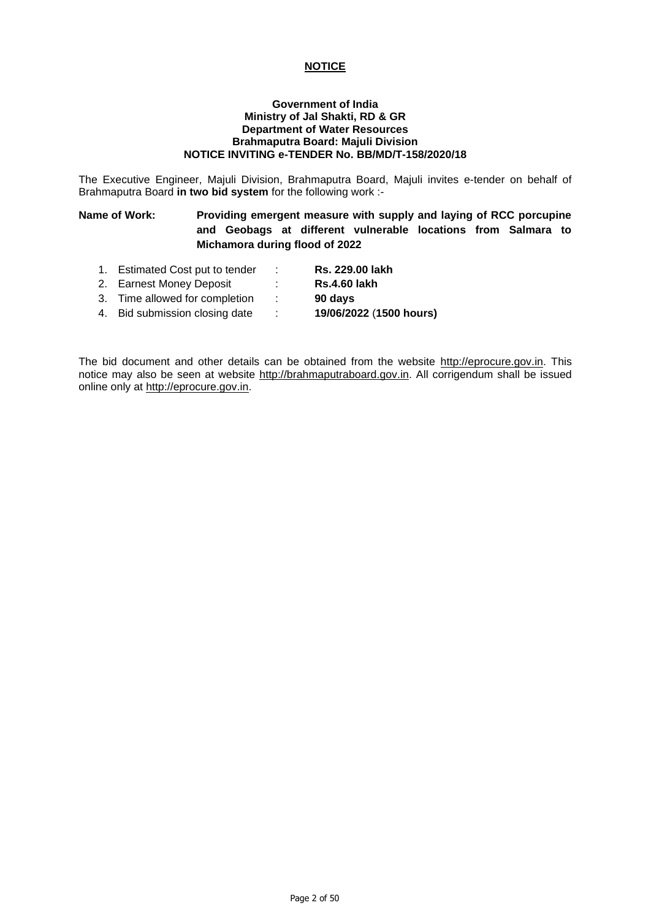## **NOTICE**

#### **Government of India Ministry of Jal Shakti, RD & GR Department of Water Resources Brahmaputra Board: Majuli Division NOTICE INVITING e-TENDER No. BB/MD/T-158/2020/18**

The Executive Engineer, Majuli Division, Brahmaputra Board, Majuli invites e-tender on behalf of Brahmaputra Board **in two bid system** for the following work :-

## **Name of Work: Providing emergent measure with supply and laying of RCC porcupine and Geobags at different vulnerable locations from Salmara to Michamora during flood of 2022**

- 1. Estimated Cost put to tender : **Rs. 229.00 lakh**
- 2. Earnest Money Deposit : **Rs.4.60 lakh**
- 
- 3. Time allowed for completion : **90 days**
- 4. Bid submission closing date : **19/06/2022** (**1500 hours)**
- -

The bid document and other details can be obtained from the website [http://eprocure.gov.in.](http://eprocure.gov.in/) This notice may also be seen at website [http://brahmaputraboard.gov.in.](http://brahmaputraboard.gov.in/) All corrigendum shall be issued online only at [http://eprocure.gov.in.](http://eprocure.gov.in/)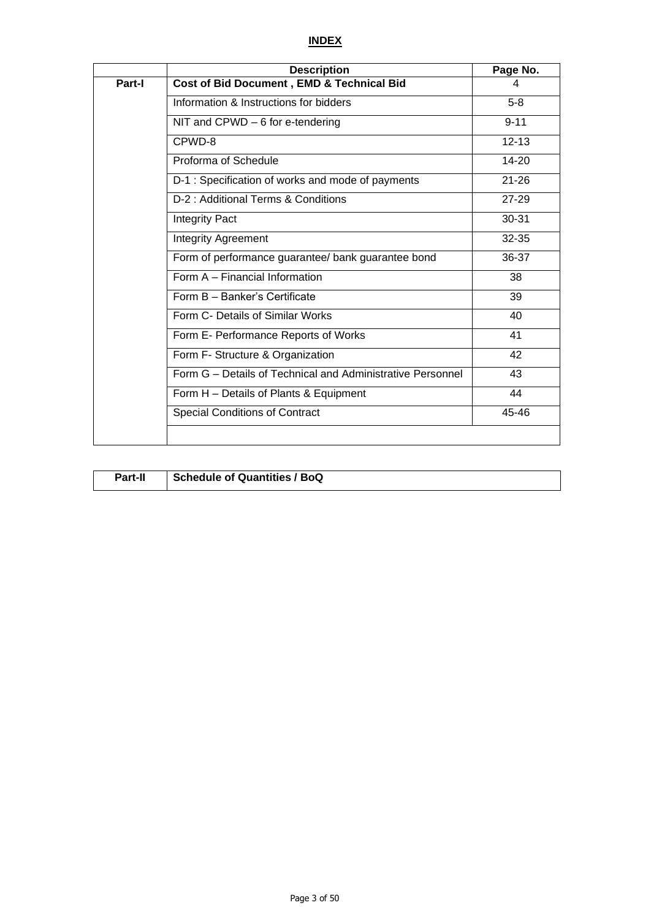## **INDEX**

|        | <b>Description</b>                                         | Page No.  |
|--------|------------------------------------------------------------|-----------|
| Part-I | Cost of Bid Document, EMD & Technical Bid                  | 4         |
|        | Information & Instructions for bidders                     | $5-8$     |
|        | NIT and CPWD - 6 for e-tendering                           | $9 - 11$  |
|        | CPWD-8                                                     | $12 - 13$ |
|        | Proforma of Schedule                                       | 14-20     |
|        | D-1 : Specification of works and mode of payments          | $21 - 26$ |
|        | D-2 : Additional Terms & Conditions                        | $27 - 29$ |
|        | <b>Integrity Pact</b>                                      | 30-31     |
|        | <b>Integrity Agreement</b>                                 | 32-35     |
|        | Form of performance guarantee/ bank guarantee bond         | 36-37     |
|        | Form A - Financial Information                             | 38        |
|        | Form B - Banker's Certificate                              | 39        |
|        | Form C- Details of Similar Works                           | 40        |
|        | Form E- Performance Reports of Works                       | 41        |
|        | Form F- Structure & Organization                           | 42        |
|        | Form G - Details of Technical and Administrative Personnel | 43        |
|        | Form H - Details of Plants & Equipment                     | 44        |
|        | <b>Special Conditions of Contract</b>                      | 45-46     |
|        |                                                            |           |

| Part-II | Schedule of Quantities / BoQ |
|---------|------------------------------|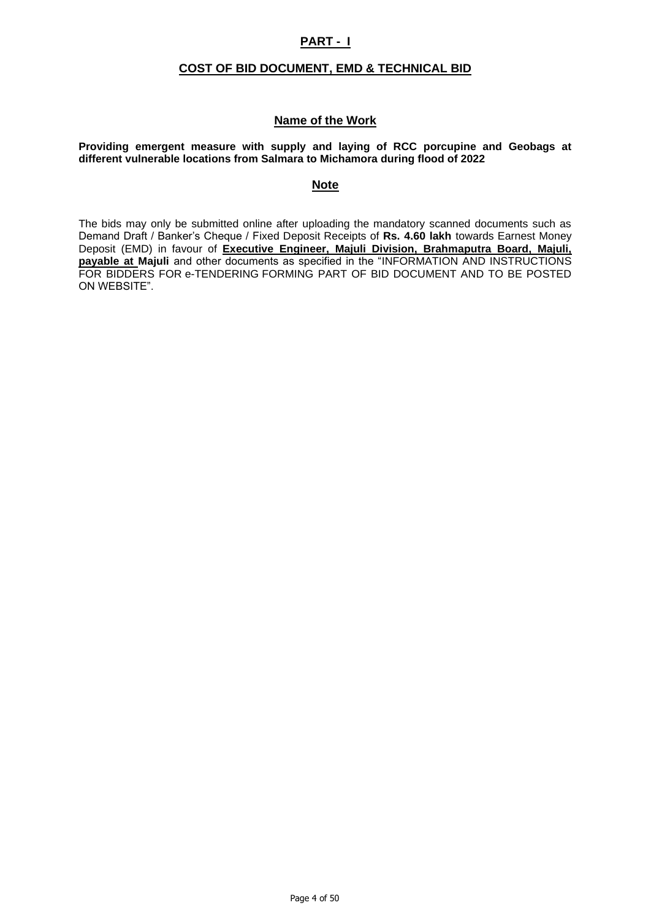## **PART - I**

## **COST OF BID DOCUMENT, EMD & TECHNICAL BID**

## **Name of the Work**

#### **Providing emergent measure with supply and laying of RCC porcupine and Geobags at different vulnerable locations from Salmara to Michamora during flood of 2022**

## **Note**

The bids may only be submitted online after uploading the mandatory scanned documents such as Demand Draft / Banker's Cheque / Fixed Deposit Receipts of **Rs. 4.60 lakh** towards Earnest Money Deposit (EMD) in favour of **Executive Engineer, Majuli Division, Brahmaputra Board, Majuli, payable at Majuli** and other documents as specified in the "INFORMATION AND INSTRUCTIONS FOR BIDDERS FOR e-TENDERING FORMING PART OF BID DOCUMENT AND TO BE POSTED ON WEBSITE".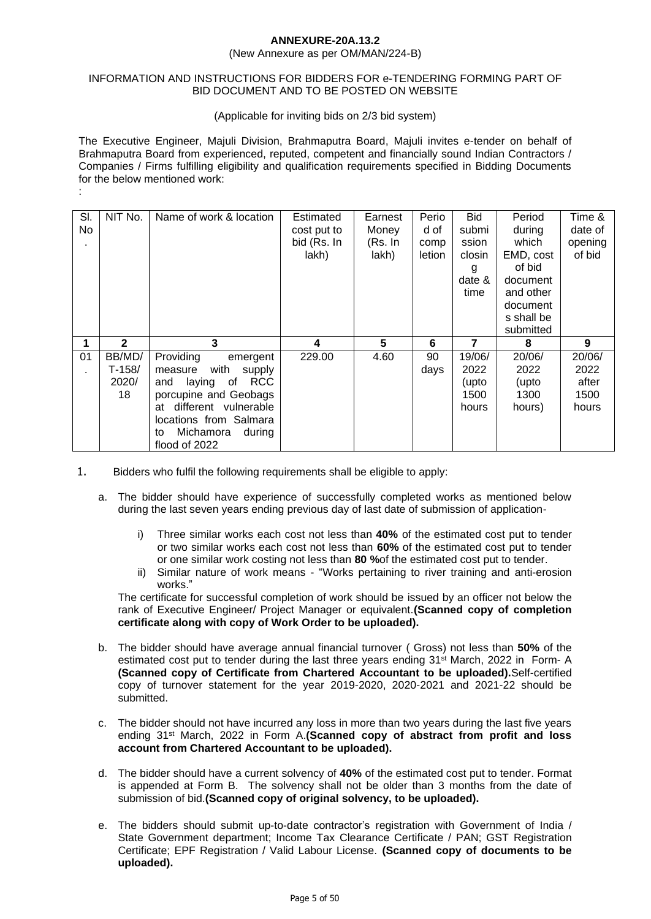#### **ANNEXURE-20A.13.2**

#### (New Annexure as per OM/MAN/224-B)

#### INFORMATION AND INSTRUCTIONS FOR BIDDERS FOR e-TENDERING FORMING PART OF BID DOCUMENT AND TO BE POSTED ON WEBSITE

#### (Applicable for inviting bids on 2/3 bid system)

The Executive Engineer, Majuli Division, Brahmaputra Board, Majuli invites e-tender on behalf of Brahmaputra Board from experienced, reputed, competent and financially sound Indian Contractors / Companies / Firms fulfilling eligibility and qualification requirements specified in Bidding Documents for the below mentioned work:

| SI.<br>No | NIT No.                           | Name of work & location                                                                                                                                                                                             | Estimated<br>cost put to<br>bid (Rs. In<br>lakh) | Earnest<br>Money<br>(Rs. In<br>lakh) | Perio<br>d of<br>comp<br>letion | <b>Bid</b><br>submi<br>ssion<br>closin<br>g<br>date &<br>time | Period<br>during<br>which<br>EMD, cost<br>of bid<br>document<br>and other<br>document<br>s shall be<br>submitted | Time &<br>date of<br>opening<br>of bid   |
|-----------|-----------------------------------|---------------------------------------------------------------------------------------------------------------------------------------------------------------------------------------------------------------------|--------------------------------------------------|--------------------------------------|---------------------------------|---------------------------------------------------------------|------------------------------------------------------------------------------------------------------------------|------------------------------------------|
|           | $\mathbf{2}$                      | 3                                                                                                                                                                                                                   | 4                                                | 5                                    | 6                               | 7                                                             | 8                                                                                                                | 9                                        |
| 01        | BB/MD/<br>$T-158/$<br>2020/<br>18 | Providing<br>emergent<br>with<br>supply<br>measure<br><b>RCC</b><br>laying<br>of<br>and<br>porcupine and Geobags<br>at different vulnerable<br>locations from Salmara<br>Michamora<br>during<br>to<br>flood of 2022 | 229.00                                           | 4.60                                 | 90<br>days                      | 19/06/<br>2022<br>(upto<br>1500<br>hours                      | 20/06/<br>2022<br>(upto<br>1300<br>hours)                                                                        | 20/06/<br>2022<br>after<br>1500<br>hours |

1. Bidders who fulfil the following requirements shall be eligible to apply:

:

- a. The bidder should have experience of successfully completed works as mentioned below during the last seven years ending previous day of last date of submission of application
	- i) Three similar works each cost not less than **40%** of the estimated cost put to tender or two similar works each cost not less than **60%** of the estimated cost put to tender or one similar work costing not less than **80 %**of the estimated cost put to tender.
	- ii) Similar nature of work means "Works pertaining to river training and anti-erosion works."

The certificate for successful completion of work should be issued by an officer not below the rank of Executive Engineer/ Project Manager or equivalent.**(Scanned copy of completion certificate along with copy of Work Order to be uploaded).**

- b. The bidder should have average annual financial turnover ( Gross) not less than **50%** of the estimated cost put to tender during the last three years ending 31<sup>st</sup> March, 2022 in Form- A **(Scanned copy of Certificate from Chartered Accountant to be uploaded).**Self-certified copy of turnover statement for the year 2019-2020, 2020-2021 and 2021-22 should be submitted.
- c. The bidder should not have incurred any loss in more than two years during the last five years ending 31st March, 2022 in Form A.**(Scanned copy of abstract from profit and loss account from Chartered Accountant to be uploaded).**
- d. The bidder should have a current solvency of **40%** of the estimated cost put to tender. Format is appended at Form B. The solvency shall not be older than 3 months from the date of submission of bid.**(Scanned copy of original solvency, to be uploaded).**
- e. The bidders should submit up-to-date contractor's registration with Government of India / State Government department; Income Tax Clearance Certificate / PAN; GST Registration Certificate; EPF Registration / Valid Labour License. **(Scanned copy of documents to be uploaded).**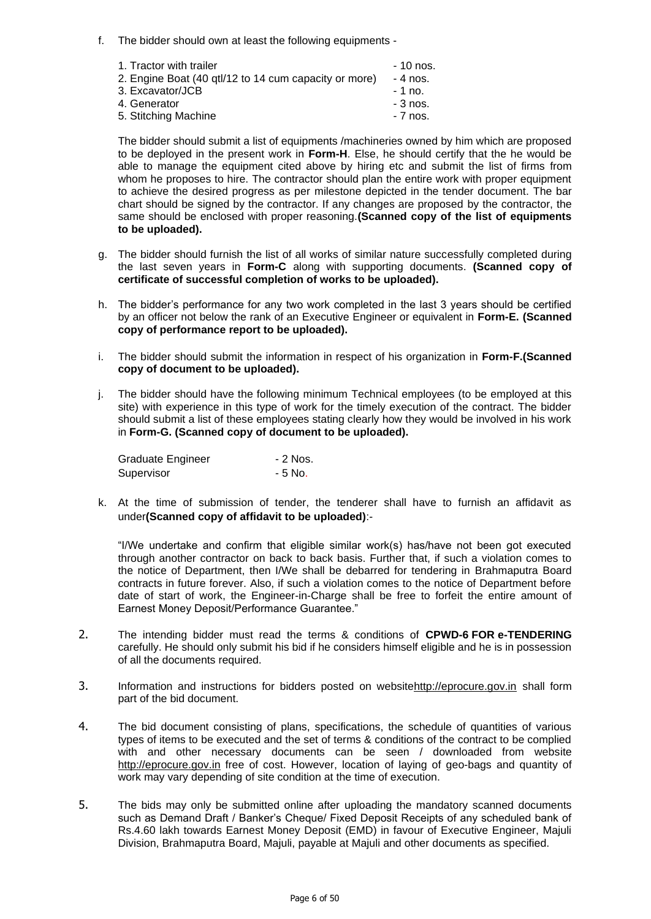f. The bidder should own at least the following equipments -

| 1. Tractor with trailer                               | - 10 nos. |
|-------------------------------------------------------|-----------|
| 2. Engine Boat (40 gtl/12 to 14 cum capacity or more) | - 4 nos.  |
| 3. Excavator/JCB                                      | - 1 no.   |
| 4. Generator                                          | $-3$ nos. |
| 5. Stitching Machine                                  | $-7$ nos. |

The bidder should submit a list of equipments /machineries owned by him which are proposed to be deployed in the present work in **Form-H**. Else, he should certify that the he would be able to manage the equipment cited above by hiring etc and submit the list of firms from whom he proposes to hire. The contractor should plan the entire work with proper equipment to achieve the desired progress as per milestone depicted in the tender document. The bar chart should be signed by the contractor. If any changes are proposed by the contractor, the same should be enclosed with proper reasoning.**(Scanned copy of the list of equipments to be uploaded).**

- g. The bidder should furnish the list of all works of similar nature successfully completed during the last seven years in **Form-C** along with supporting documents. **(Scanned copy of certificate of successful completion of works to be uploaded).**
- h. The bidder's performance for any two work completed in the last 3 years should be certified by an officer not below the rank of an Executive Engineer or equivalent in **Form-E. (Scanned copy of performance report to be uploaded).**
- i. The bidder should submit the information in respect of his organization in **Form-F.(Scanned copy of document to be uploaded).**
- j. The bidder should have the following minimum Technical employees (to be employed at this site) with experience in this type of work for the timely execution of the contract. The bidder should submit a list of these employees stating clearly how they would be involved in his work in **Form-G. (Scanned copy of document to be uploaded).**

| Graduate Engineer | - 2 Nos. |
|-------------------|----------|
| Supervisor        | - 5 No.  |

k. At the time of submission of tender, the tenderer shall have to furnish an affidavit as under**(Scanned copy of affidavit to be uploaded)**:-

"I/We undertake and confirm that eligible similar work(s) has/have not been got executed through another contractor on back to back basis. Further that, if such a violation comes to the notice of Department, then I/We shall be debarred for tendering in Brahmaputra Board contracts in future forever. Also, if such a violation comes to the notice of Department before date of start of work, the Engineer-in-Charge shall be free to forfeit the entire amount of Earnest Money Deposit/Performance Guarantee."

- 2. The intending bidder must read the terms & conditions of **CPWD-6 FOR e-TENDERING**  carefully. He should only submit his bid if he considers himself eligible and he is in possession of all the documents required.
- 3. Information and instructions for bidders posted on websit[ehttp://eprocure.gov.in](http://eprocure.gov.in/) shall form part of the bid document.
- 4. The bid document consisting of plans, specifications, the schedule of quantities of various types of items to be executed and the set of terms & conditions of the contract to be complied with and other necessary documents can be seen / downloaded from website [http://eprocure.gov.in](http://eprocure.gov.in/) free of cost. However, location of laying of geo-bags and quantity of work may vary depending of site condition at the time of execution.
- 5. The bids may only be submitted online after uploading the mandatory scanned documents such as Demand Draft / Banker's Cheque/ Fixed Deposit Receipts of any scheduled bank of Rs.4.60 lakh towards Earnest Money Deposit (EMD) in favour of Executive Engineer, Majuli Division, Brahmaputra Board, Majuli, payable at Majuli and other documents as specified.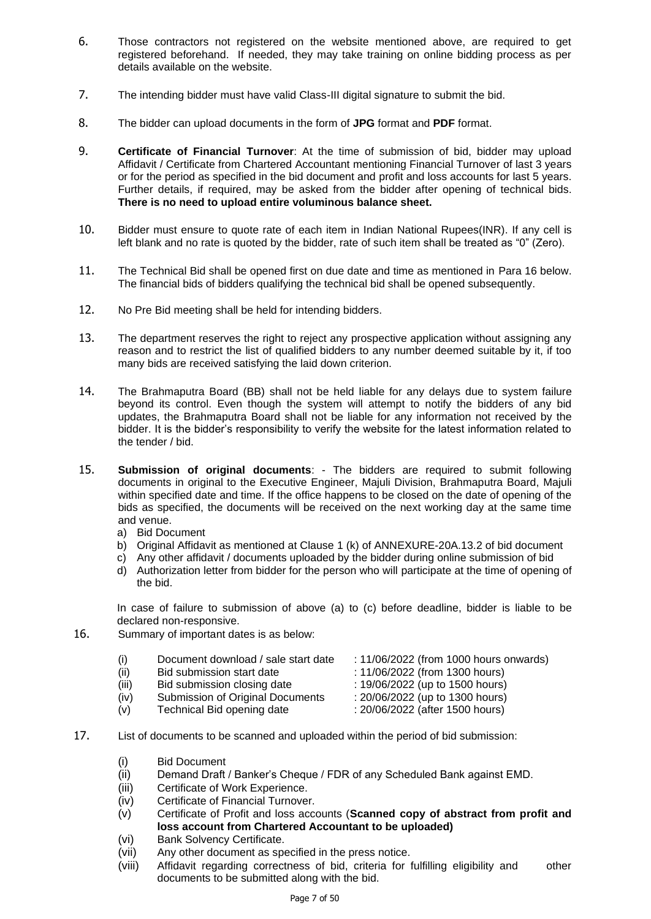- 6. Those contractors not registered on the website mentioned above, are required to get registered beforehand. If needed, they may take training on online bidding process as per details available on the website.
- 7. The intending bidder must have valid Class-III digital signature to submit the bid.
- 8. The bidder can upload documents in the form of **JPG** format and **PDF** format.
- 9. **Certificate of Financial Turnover**: At the time of submission of bid, bidder may upload Affidavit / Certificate from Chartered Accountant mentioning Financial Turnover of last 3 years or for the period as specified in the bid document and profit and loss accounts for last 5 years. Further details, if required, may be asked from the bidder after opening of technical bids. **There is no need to upload entire voluminous balance sheet.**
- 10. Bidder must ensure to quote rate of each item in Indian National Rupees(INR). If any cell is left blank and no rate is quoted by the bidder, rate of such item shall be treated as "0" (Zero).
- 11. The Technical Bid shall be opened first on due date and time as mentioned in Para 16 below. The financial bids of bidders qualifying the technical bid shall be opened subsequently.
- 12. No Pre Bid meeting shall be held for intending bidders.
- 13. The department reserves the right to reject any prospective application without assigning any reason and to restrict the list of qualified bidders to any number deemed suitable by it, if too many bids are received satisfying the laid down criterion.
- 14. The Brahmaputra Board (BB) shall not be held liable for any delays due to system failure beyond its control. Even though the system will attempt to notify the bidders of any bid updates, the Brahmaputra Board shall not be liable for any information not received by the bidder. It is the bidder's responsibility to verify the website for the latest information related to the tender / bid.
- 15. **Submission of original documents**: The bidders are required to submit following documents in original to the Executive Engineer, Majuli Division, Brahmaputra Board, Majuli within specified date and time. If the office happens to be closed on the date of opening of the bids as specified, the documents will be received on the next working day at the same time and venue.
	- a) Bid Document
	- b) Original Affidavit as mentioned at Clause 1 (k) of ANNEXURE-20A.13.2 of bid document
	- c) Any other affidavit / documents uploaded by the bidder during online submission of bid
	- d) Authorization letter from bidder for the person who will participate at the time of opening of the bid.

In case of failure to submission of above (a) to (c) before deadline, bidder is liable to be declared non-responsive.

16. Summary of important dates is as below:

| (i)                         | Document download / sale start date     | : 11/06/2022 (from 1000 hours onwards) |
|-----------------------------|-----------------------------------------|----------------------------------------|
| (ii)                        | Bid submission start date               | : 11/06/2022 (from 1300 hours)         |
| (iii)                       | Bid submission closing date             | : 19/06/2022 (up to 1500 hours)        |
| $\left( \mathbf{a} \right)$ | <b>Submission of Original Documents</b> | $\cdot$ 20/08/2022 (up to 1.200 hours) |

- (iv) Submission of Original Documents : 20/06/2022 (up to 1300 hours)
- (v) Technical Bid opening date : 20/06/2022 (after 1500 hours)
- 
- 
- 17. List of documents to be scanned and uploaded within the period of bid submission:
	- (i) Bid Document
	- (ii) Demand Draft / Banker's Cheque / FDR of any Scheduled Bank against EMD.
	- (iii) Certificate of Work Experience.
	- (iv) Certificate of Financial Turnover.
	- (v) Certificate of Profit and loss accounts (**Scanned copy of abstract from profit and loss account from Chartered Accountant to be uploaded)**
	- (vi) Bank Solvency Certificate.
	- (vii) Any other document as specified in the press notice.
	- (viii) Affidavit regarding correctness of bid, criteria for fulfilling eligibility and other documents to be submitted along with the bid.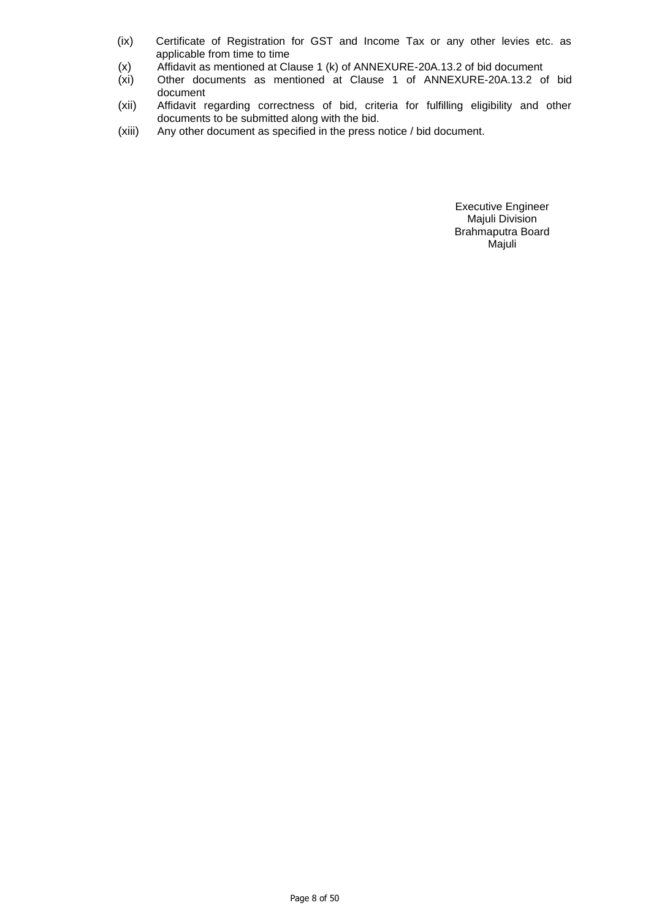- (ix) Certificate of Registration for GST and Income Tax or any other levies etc. as applicable from time to time
- (x) Affidavit as mentioned at Clause 1 (k) of ANNEXURE-20A.13.2 of bid document
- (xi) Other documents as mentioned at Clause 1 of ANNEXURE-20A.13.2 of bid document
- (xii) Affidavit regarding correctness of bid, criteria for fulfilling eligibility and other documents to be submitted along with the bid.
- (xiii) Any other document as specified in the press notice / bid document.

Executive Engineer Majuli Division Brahmaputra Board Majuli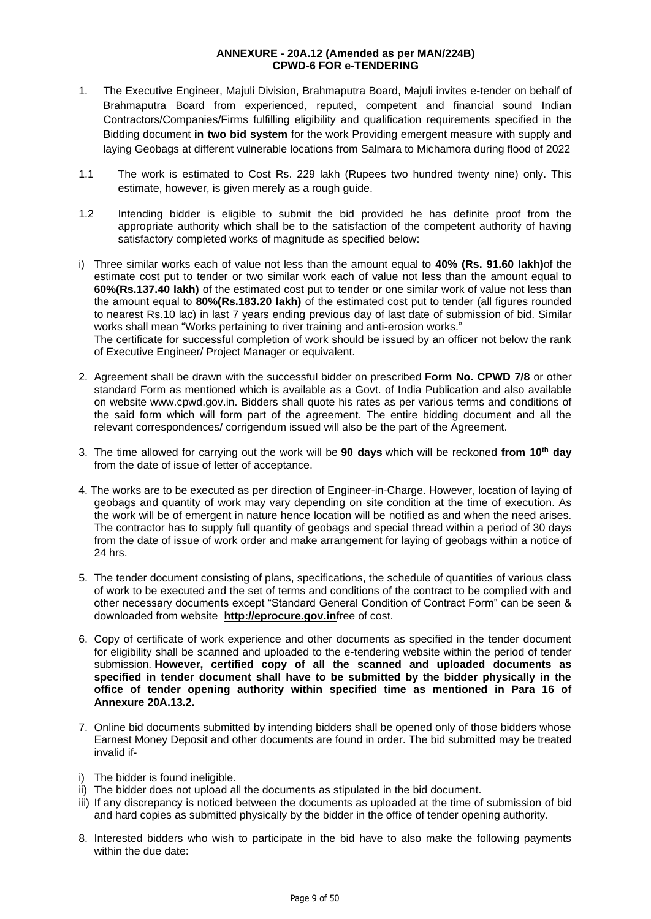#### **ANNEXURE - 20A.12 (Amended as per MAN/224B) CPWD-6 FOR e-TENDERING**

- 1. The Executive Engineer, Majuli Division, Brahmaputra Board, Majuli invites e-tender on behalf of Brahmaputra Board from experienced, reputed, competent and financial sound Indian Contractors/Companies/Firms fulfilling eligibility and qualification requirements specified in the Bidding document **in two bid system** for the work Providing emergent measure with supply and laying Geobags at different vulnerable locations from Salmara to Michamora during flood of 2022
- 1.1 The work is estimated to Cost Rs. 229 lakh (Rupees two hundred twenty nine) only. This estimate, however, is given merely as a rough guide.
- 1.2 Intending bidder is eligible to submit the bid provided he has definite proof from the appropriate authority which shall be to the satisfaction of the competent authority of having satisfactory completed works of magnitude as specified below:
- i) Three similar works each of value not less than the amount equal to **40% (Rs. 91.60 lakh)**of the estimate cost put to tender or two similar work each of value not less than the amount equal to **60%(Rs.137.40 lakh)** of the estimated cost put to tender or one similar work of value not less than the amount equal to **80%(Rs.183.20 lakh)** of the estimated cost put to tender (all figures rounded to nearest Rs.10 lac) in last 7 years ending previous day of last date of submission of bid. Similar works shall mean "Works pertaining to river training and anti-erosion works." The certificate for successful completion of work should be issued by an officer not below the rank

of Executive Engineer/ Project Manager or equivalent.

- 2. Agreement shall be drawn with the successful bidder on prescribed **Form No. CPWD 7/8** or other standard Form as mentioned which is available as a Govt. of India Publication and also available on website www.cpwd.gov.in. Bidders shall quote his rates as per various terms and conditions of the said form which will form part of the agreement. The entire bidding document and all the relevant correspondences/ corrigendum issued will also be the part of the Agreement.
- 3. The time allowed for carrying out the work will be **90 days** which will be reckoned **from 10th day** from the date of issue of letter of acceptance.
- 4. The works are to be executed as per direction of Engineer-in-Charge. However, location of laying of geobags and quantity of work may vary depending on site condition at the time of execution. As the work will be of emergent in nature hence location will be notified as and when the need arises. The contractor has to supply full quantity of geobags and special thread within a period of 30 days from the date of issue of work order and make arrangement for laying of geobags within a notice of 24 hrs.
- 5. The tender document consisting of plans, specifications, the schedule of quantities of various class of work to be executed and the set of terms and conditions of the contract to be complied with and other necessary documents except "Standard General Condition of Contract Form" can be seen & downloaded from website **[http://eprocure.gov.in](http://eprocure.gov.in/)**free of cost.
- 6. Copy of certificate of work experience and other documents as specified in the tender document for eligibility shall be scanned and uploaded to the e-tendering website within the period of tender submission. **However, certified copy of all the scanned and uploaded documents as specified in tender document shall have to be submitted by the bidder physically in the office of tender opening authority within specified time as mentioned in Para 16 of Annexure 20A.13.2.**
- 7. Online bid documents submitted by intending bidders shall be opened only of those bidders whose Earnest Money Deposit and other documents are found in order. The bid submitted may be treated invalid if-
- i) The bidder is found ineligible.
- ii) The bidder does not upload all the documents as stipulated in the bid document.
- iii) If any discrepancy is noticed between the documents as uploaded at the time of submission of bid and hard copies as submitted physically by the bidder in the office of tender opening authority.
- 8. Interested bidders who wish to participate in the bid have to also make the following payments within the due date: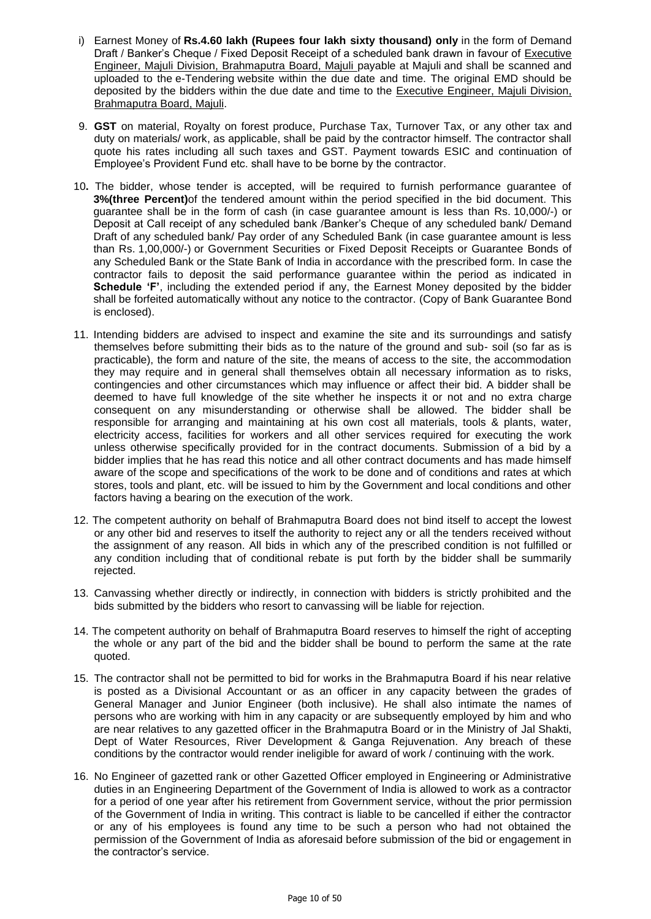- i) Earnest Money of **Rs.4.60 lakh (Rupees four lakh sixty thousand) only** in the form of Demand Draft / Banker's Cheque / Fixed Deposit Receipt of a scheduled bank drawn in favour of Executive Engineer, Majuli Division, Brahmaputra Board, Majuli payable at Majuli and shall be scanned and uploaded to the e-Tendering website within the due date and time. The original EMD should be deposited by the bidders within the due date and time to the Executive Engineer, Majuli Division, Brahmaputra Board, Majuli.
- 9. **GST** on material, Royalty on forest produce, Purchase Tax, Turnover Tax, or any other tax and duty on materials/ work, as applicable, shall be paid by the contractor himself. The contractor shall quote his rates including all such taxes and GST. Payment towards ESIC and continuation of Employee's Provident Fund etc. shall have to be borne by the contractor.
- 10**.** The bidder, whose tender is accepted, will be required to furnish performance guarantee of **3%(three Percent)**of the tendered amount within the period specified in the bid document. This guarantee shall be in the form of cash (in case guarantee amount is less than Rs. 10,000/-) or Deposit at Call receipt of any scheduled bank /Banker's Cheque of any scheduled bank/ Demand Draft of any scheduled bank/ Pay order of any Scheduled Bank (in case guarantee amount is less than Rs. 1,00,000/-) or Government Securities or Fixed Deposit Receipts or Guarantee Bonds of any Scheduled Bank or the State Bank of India in accordance with the prescribed form. In case the contractor fails to deposit the said performance guarantee within the period as indicated in **Schedule 'F'**, including the extended period if any, the Earnest Money deposited by the bidder shall be forfeited automatically without any notice to the contractor. (Copy of Bank Guarantee Bond is enclosed).
- 11. Intending bidders are advised to inspect and examine the site and its surroundings and satisfy themselves before submitting their bids as to the nature of the ground and sub- soil (so far as is practicable), the form and nature of the site, the means of access to the site, the accommodation they may require and in general shall themselves obtain all necessary information as to risks, contingencies and other circumstances which may influence or affect their bid. A bidder shall be deemed to have full knowledge of the site whether he inspects it or not and no extra charge consequent on any misunderstanding or otherwise shall be allowed. The bidder shall be responsible for arranging and maintaining at his own cost all materials, tools & plants, water, electricity access, facilities for workers and all other services required for executing the work unless otherwise specifically provided for in the contract documents. Submission of a bid by a bidder implies that he has read this notice and all other contract documents and has made himself aware of the scope and specifications of the work to be done and of conditions and rates at which stores, tools and plant, etc. will be issued to him by the Government and local conditions and other factors having a bearing on the execution of the work.
- 12. The competent authority on behalf of Brahmaputra Board does not bind itself to accept the lowest or any other bid and reserves to itself the authority to reject any or all the tenders received without the assignment of any reason. All bids in which any of the prescribed condition is not fulfilled or any condition including that of conditional rebate is put forth by the bidder shall be summarily rejected.
- 13. Canvassing whether directly or indirectly, in connection with bidders is strictly prohibited and the bids submitted by the bidders who resort to canvassing will be liable for rejection.
- 14. The competent authority on behalf of Brahmaputra Board reserves to himself the right of accepting the whole or any part of the bid and the bidder shall be bound to perform the same at the rate quoted.
- 15. The contractor shall not be permitted to bid for works in the Brahmaputra Board if his near relative is posted as a Divisional Accountant or as an officer in any capacity between the grades of General Manager and Junior Engineer (both inclusive). He shall also intimate the names of persons who are working with him in any capacity or are subsequently employed by him and who are near relatives to any gazetted officer in the Brahmaputra Board or in the Ministry of Jal Shakti, Dept of Water Resources, River Development & Ganga Rejuvenation. Any breach of these conditions by the contractor would render ineligible for award of work / continuing with the work.
- 16. No Engineer of gazetted rank or other Gazetted Officer employed in Engineering or Administrative duties in an Engineering Department of the Government of India is allowed to work as a contractor for a period of one year after his retirement from Government service, without the prior permission of the Government of India in writing. This contract is liable to be cancelled if either the contractor or any of his employees is found any time to be such a person who had not obtained the permission of the Government of India as aforesaid before submission of the bid or engagement in the contractor's service.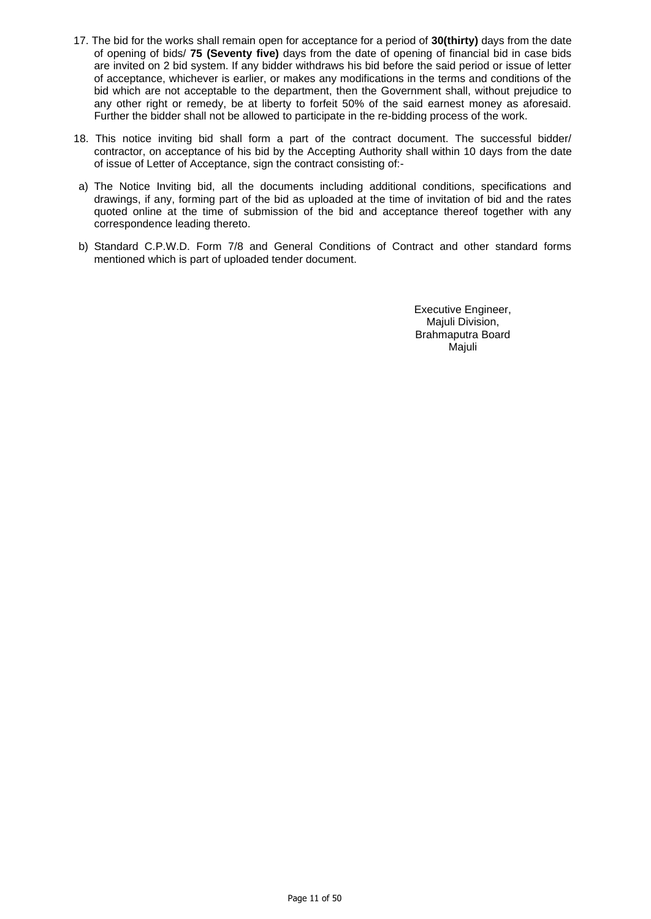- 17. The bid for the works shall remain open for acceptance for a period of **30(thirty)** days from the date of opening of bids/ **75 (Seventy five)** days from the date of opening of financial bid in case bids are invited on 2 bid system. If any bidder withdraws his bid before the said period or issue of letter of acceptance, whichever is earlier, or makes any modifications in the terms and conditions of the bid which are not acceptable to the department, then the Government shall, without prejudice to any other right or remedy, be at liberty to forfeit 50% of the said earnest money as aforesaid. Further the bidder shall not be allowed to participate in the re-bidding process of the work.
- 18. This notice inviting bid shall form a part of the contract document. The successful bidder/ contractor, on acceptance of his bid by the Accepting Authority shall within 10 days from the date of issue of Letter of Acceptance, sign the contract consisting of:-
- a) The Notice Inviting bid, all the documents including additional conditions, specifications and drawings, if any, forming part of the bid as uploaded at the time of invitation of bid and the rates quoted online at the time of submission of the bid and acceptance thereof together with any correspondence leading thereto.
- b) Standard C.P.W.D. Form 7/8 and General Conditions of Contract and other standard forms mentioned which is part of uploaded tender document.

Executive Engineer, Majuli Division, Brahmaputra Board Majuli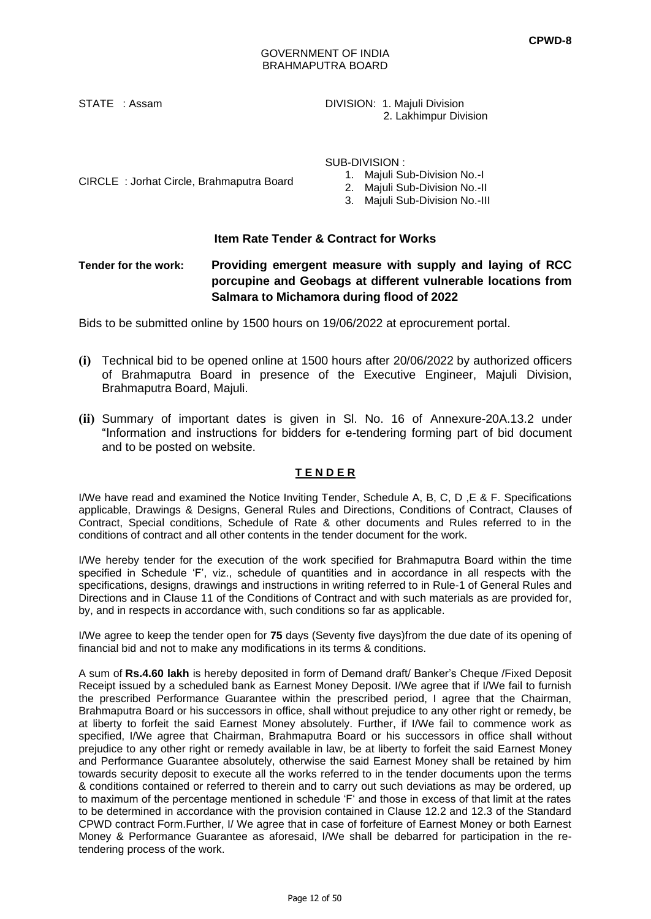STATE : Assam **DIVISION: 1. Majuli Division** 2. Lakhimpur Division

SUB-DIVISION :

CIRCLE : Jorhat Circle, Brahmaputra Board

1. Majuli Sub-Division No.-I

2. Majuli Sub-Division No.-II

3. Majuli Sub-Division No.-III

## **Item Rate Tender & Contract for Works**

## **Tender for the work: Providing emergent measure with supply and laying of RCC porcupine and Geobags at different vulnerable locations from Salmara to Michamora during flood of 2022**

Bids to be submitted online by 1500 hours on 19/06/2022 at eprocurement portal.

- **(i)** Technical bid to be opened online at 1500 hours after 20/06/2022 by authorized officers of Brahmaputra Board in presence of the Executive Engineer, Majuli Division, Brahmaputra Board, Majuli.
- **(ii)** Summary of important dates is given in Sl. No. 16 of Annexure-20A.13.2 under "Information and instructions for bidders for e-tendering forming part of bid document and to be posted on website.

## **T E N D E R**

I/We have read and examined the Notice Inviting Tender, Schedule A, B, C, D ,E & F. Specifications applicable, Drawings & Designs, General Rules and Directions, Conditions of Contract, Clauses of Contract, Special conditions, Schedule of Rate & other documents and Rules referred to in the conditions of contract and all other contents in the tender document for the work.

I/We hereby tender for the execution of the work specified for Brahmaputra Board within the time specified in Schedule 'F', viz., schedule of quantities and in accordance in all respects with the specifications, designs, drawings and instructions in writing referred to in Rule-1 of General Rules and Directions and in Clause 11 of the Conditions of Contract and with such materials as are provided for, by, and in respects in accordance with, such conditions so far as applicable.

I/We agree to keep the tender open for **75** days (Seventy five days)from the due date of its opening of financial bid and not to make any modifications in its terms & conditions.

A sum of **Rs.4.60 lakh** is hereby deposited in form of Demand draft/ Banker's Cheque /Fixed Deposit Receipt issued by a scheduled bank as Earnest Money Deposit. I/We agree that if I/We fail to furnish the prescribed Performance Guarantee within the prescribed period, I agree that the Chairman, Brahmaputra Board or his successors in office, shall without prejudice to any other right or remedy, be at liberty to forfeit the said Earnest Money absolutely. Further, if I/We fail to commence work as specified, I/We agree that Chairman, Brahmaputra Board or his successors in office shall without prejudice to any other right or remedy available in law, be at liberty to forfeit the said Earnest Money and Performance Guarantee absolutely, otherwise the said Earnest Money shall be retained by him towards security deposit to execute all the works referred to in the tender documents upon the terms & conditions contained or referred to therein and to carry out such deviations as may be ordered, up to maximum of the percentage mentioned in schedule 'F' and those in excess of that limit at the rates to be determined in accordance with the provision contained in Clause 12.2 and 12.3 of the Standard CPWD contract Form.Further, I/ We agree that in case of forfeiture of Earnest Money or both Earnest Money & Performance Guarantee as aforesaid, I/We shall be debarred for participation in the retendering process of the work.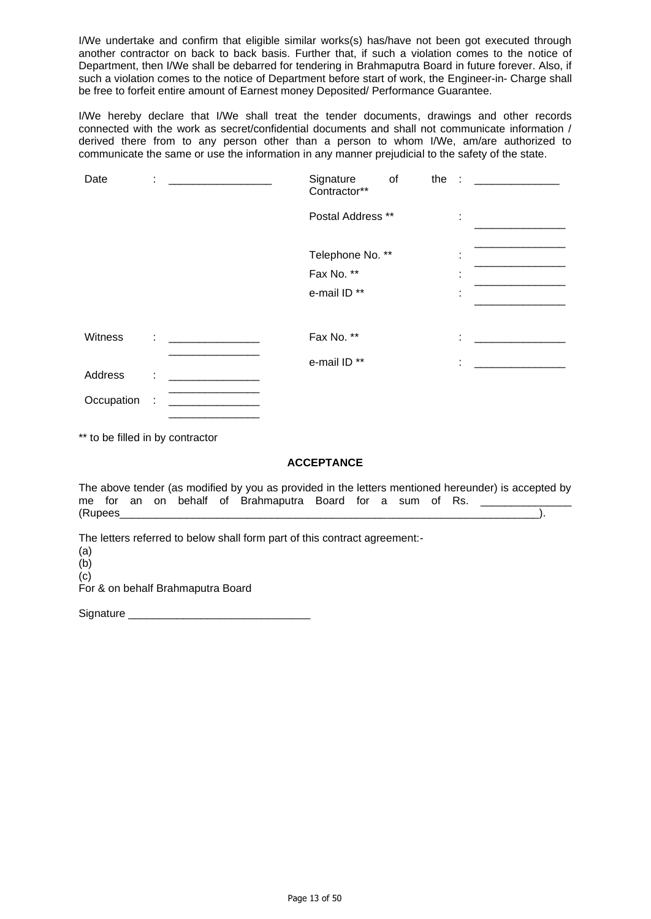I/We undertake and confirm that eligible similar works(s) has/have not been got executed through another contractor on back to back basis. Further that, if such a violation comes to the notice of Department, then I/We shall be debarred for tendering in Brahmaputra Board in future forever. Also, if such a violation comes to the notice of Department before start of work, the Engineer-in- Charge shall be free to forfeit entire amount of Earnest money Deposited/ Performance Guarantee.

I/We hereby declare that I/We shall treat the tender documents, drawings and other records connected with the work as secret/confidential documents and shall not communicate information / derived there from to any person other than a person to whom I/We, am/are authorized to communicate the same or use the information in any manner prejudicial to the safety of the state.

| Date       | ×.     | <u> 1980 - James Barnett, filozof eta idazlea (</u>                                                                          | Signature<br>Contractor** | of | the : |   |  |
|------------|--------|------------------------------------------------------------------------------------------------------------------------------|---------------------------|----|-------|---|--|
|            |        |                                                                                                                              | Postal Address **         |    |       | ÷ |  |
|            |        |                                                                                                                              | Telephone No. **          |    |       | ٠ |  |
|            |        |                                                                                                                              | Fax No. **                |    |       | ٠ |  |
|            |        |                                                                                                                              | e-mail ID **              |    |       | ٠ |  |
|            |        |                                                                                                                              |                           |    |       |   |  |
| Witness    |        | $\mathcal{L} = \{ \mathcal{L} \in \mathcal{L} \mid \mathcal{L} \in \mathcal{L} \}$ , where $\mathcal{L} = \{ \mathcal{L} \}$ | Fax No. **                |    |       | ÷ |  |
|            |        |                                                                                                                              | e-mail ID **              |    |       | ÷ |  |
| Address    | ÷      |                                                                                                                              |                           |    |       |   |  |
| Occupation | $\sim$ |                                                                                                                              |                           |    |       |   |  |

\*\* to be filled in by contractor

## **ACCEPTANCE**

The above tender (as modified by you as provided in the letters mentioned hereunder) is accepted by me for an on behalf of Brahmaputra Board for a sum of Rs. (Rupees\_\_\_\_\_\_\_\_\_\_\_\_\_\_\_\_\_\_\_\_\_\_\_\_\_\_\_\_\_\_\_\_\_\_\_\_\_\_\_\_\_\_\_\_\_\_\_\_\_\_\_\_\_\_\_\_\_\_\_\_\_\_\_\_\_\_\_\_\_).

The letters referred to below shall form part of this contract agreement:-

(a) (b) (c) For & on behalf Brahmaputra Board

Signature \_\_\_\_\_\_

\_\_\_\_\_\_\_\_\_\_\_\_\_\_\_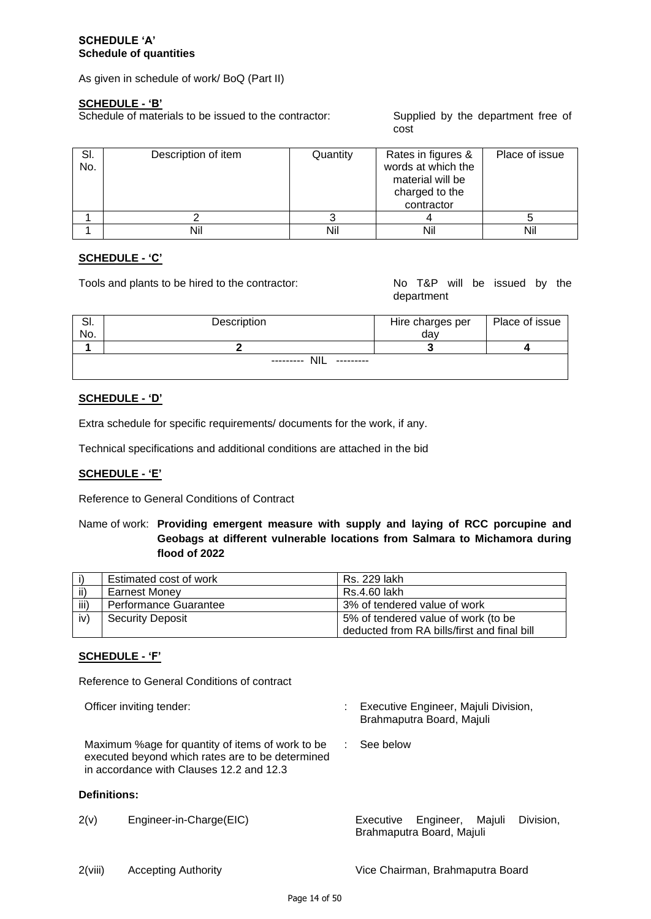## **SCHEDULE 'A' Schedule of quantities**

As given in schedule of work/ BoQ (Part II)

## **SCHEDULE - 'B'**

Schedule of materials to be issued to the contractor: Supplied by the department free of

cost

| SI.<br>No. | Description of item | Quantity | Rates in figures &<br>words at which the<br>material will be<br>charged to the<br>contractor | Place of issue |
|------------|---------------------|----------|----------------------------------------------------------------------------------------------|----------------|
|            |                     |          |                                                                                              |                |
|            | Nil                 | Nil      | Nil                                                                                          | Nil            |

#### **SCHEDULE - 'C'**

Tools and plants to be hired to the contractor: No T&P will be issued by the

department

| OI. | Description                           | Hire charges per | Place of issue |
|-----|---------------------------------------|------------------|----------------|
| No. |                                       | day              |                |
|     |                                       |                  |                |
|     | <b>NIL</b><br>---------<br>---------- |                  |                |

#### **SCHEDULE - 'D'**

Extra schedule for specific requirements/ documents for the work, if any.

Technical specifications and additional conditions are attached in the bid

## **SCHEDULE - 'E'**

Reference to General Conditions of Contract

## Name of work: **Providing emergent measure with supply and laying of RCC porcupine and Geobags at different vulnerable locations from Salmara to Michamora during flood of 2022**

|                 | Estimated cost of work  | Rs. 229 lakh                                |
|-----------------|-------------------------|---------------------------------------------|
| ii)             | <b>Earnest Monev</b>    | Rs.4.60 lakh                                |
| iii)            | Performance Guarantee   | 3% of tendered value of work                |
| iv <sup>)</sup> | <b>Security Deposit</b> | 5% of tendered value of work (to be         |
|                 |                         | deducted from RA bills/first and final bill |

## **SCHEDULE - 'F'**

Reference to General Conditions of contract

Officer inviting tender: : Executive Engineer, Majuli Division, Brahmaputra Board, Majuli : See below

Maximum %age for quantity of items of work to be executed beyond which rates are to be determined in accordance with Clauses 12.2 and 12.3

## **Definitions:**

- 2(v) Engineer-in-Charge(EIC) Executive Engineer, Majuli Division,
	- Brahmaputra Board, Majuli

2(viii) Accepting Authority Vice Chairman, Brahmaputra Board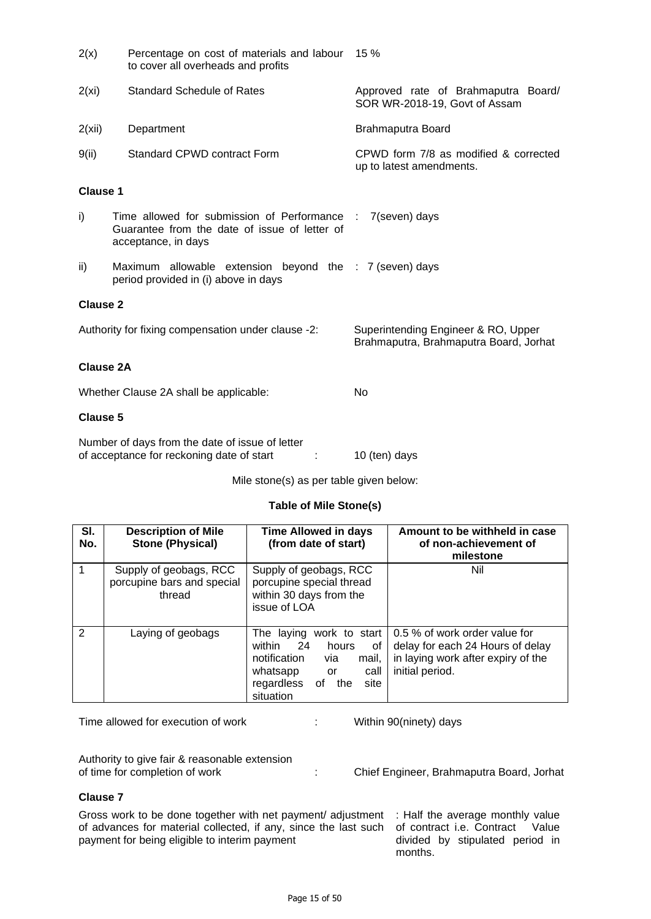| 2(x)                                               | Percentage on cost of materials and labour<br>to cover all overheads and profits                                   | 15 %                                                                          |  |
|----------------------------------------------------|--------------------------------------------------------------------------------------------------------------------|-------------------------------------------------------------------------------|--|
| 2(xi)                                              | <b>Standard Schedule of Rates</b>                                                                                  | Approved rate of Brahmaputra Board/<br>SOR WR-2018-19, Govt of Assam          |  |
| 2(xii)                                             | Department                                                                                                         | Brahmaputra Board                                                             |  |
| 9(ii)                                              | Standard CPWD contract Form                                                                                        | CPWD form 7/8 as modified & corrected<br>up to latest amendments.             |  |
| <b>Clause 1</b>                                    |                                                                                                                    |                                                                               |  |
| i)                                                 | Time allowed for submission of Performance<br>Guarantee from the date of issue of letter of<br>acceptance, in days | 7(seven) days<br>$\sim$ 10                                                    |  |
| ii)                                                | Maximum allowable extension beyond the : 7 (seven) days<br>period provided in (i) above in days                    |                                                                               |  |
| <b>Clause 2</b>                                    |                                                                                                                    |                                                                               |  |
| Authority for fixing compensation under clause -2: |                                                                                                                    | Superintending Engineer & RO, Upper<br>Brahmaputra, Brahmaputra Board, Jorhat |  |
| <b>Clause 2A</b>                                   |                                                                                                                    |                                                                               |  |
|                                                    | Whether Clause 2A shall be applicable:                                                                             | No                                                                            |  |
| <b>Clause 5</b>                                    |                                                                                                                    |                                                                               |  |
|                                                    | Number of doug from the date of joous of letter                                                                    |                                                                               |  |

| Number of days from the date of issue of letter |               |
|-------------------------------------------------|---------------|
| of acceptance for reckoning date of start       | 10 (ten) days |

Mile stone(s) as per table given below:

## **Table of Mile Stone(s)**

| SI.<br>No.    | <b>Description of Mile</b><br><b>Stone (Physical)</b>          | <b>Time Allowed in days</b><br>(from date of start)                                                                                                            | Amount to be withheld in case<br>of non-achievement of<br>milestone                                                        |
|---------------|----------------------------------------------------------------|----------------------------------------------------------------------------------------------------------------------------------------------------------------|----------------------------------------------------------------------------------------------------------------------------|
|               | Supply of geobags, RCC<br>porcupine bars and special<br>thread | Supply of geobags, RCC<br>porcupine special thread<br>within 30 days from the<br>issue of LOA                                                                  | Nil                                                                                                                        |
| $\mathcal{P}$ | Laying of geobags                                              | The laying work to start<br>within 24<br>hours<br>0f<br>notification<br>mail,<br>via<br>call<br>whatsapp<br>or<br>site<br>οf<br>regardless<br>the<br>situation | 0.5 % of work order value for<br>delay for each 24 Hours of delay<br>in laying work after expiry of the<br>initial period. |

Time allowed for execution of work : Within 90(ninety) days

Authority to give fair & reasonable extension<br>of time for completion of work

: Chief Engineer, Brahmaputra Board, Jorhat

## **Clause 7**

Gross work to be done together with net payment/ adjustment : Half the average monthly value of advances for material collected, if any, since the last such payment for being eligible to interim payment

of contract i.e. Contract Value divided by stipulated period in months.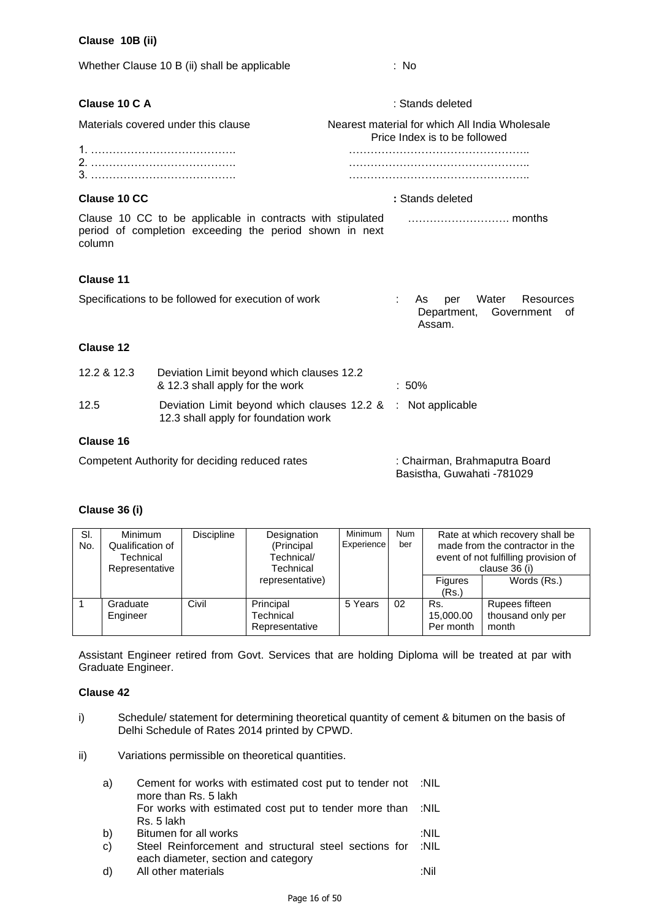## **Clause 10B (ii)**

| Whether Clause 10 B (ii) shall be applicable        |                                                                                                                       | : No                                                                            |
|-----------------------------------------------------|-----------------------------------------------------------------------------------------------------------------------|---------------------------------------------------------------------------------|
| Clause 10 C A                                       |                                                                                                                       | : Stands deleted                                                                |
| Materials covered under this clause                 |                                                                                                                       | Nearest material for which All India Wholesale<br>Price Index is to be followed |
|                                                     |                                                                                                                       |                                                                                 |
| Clause 10 CC                                        |                                                                                                                       | : Stands deleted                                                                |
| column                                              | Clause 10 CC to be applicable in contracts with stipulated<br>period of completion exceeding the period shown in next |                                                                                 |
| <b>Clause 11</b>                                    |                                                                                                                       |                                                                                 |
| Specifications to be followed for execution of work |                                                                                                                       | Water<br>Resources<br>As<br>per<br>Department,<br>Government<br>0t<br>Assam.    |
| <b>Clause 12</b>                                    |                                                                                                                       |                                                                                 |
| 12.2 & 12.3                                         | Deviation Limit beyond which clauses 12.2<br>& 12.3 shall apply for the work                                          | :50%                                                                            |
| 12.5                                                | Deviation Limit beyond which clauses 12.2 &<br>12.3 shall apply for foundation work                                   | : Not applicable                                                                |
| <b>Clause 16</b>                                    |                                                                                                                       |                                                                                 |
|                                                     | Competent Authority for deciding reduced rates                                                                        | : Chairman, Brahmaputra Board<br>Basistha, Guwahati -781029                     |

# **Clause 36 (i)**

| SI.<br>No. | Minimum<br>Qualification of<br>Technical<br>Representative | Discipline | Designation<br>(Principal<br>Technical/<br>Technical | <b>Minimum</b><br>Experience | <b>Num</b><br>ber |                               | Rate at which recovery shall be<br>made from the contractor in the<br>event of not fulfilling provision of<br>clause 36 (i) |
|------------|------------------------------------------------------------|------------|------------------------------------------------------|------------------------------|-------------------|-------------------------------|-----------------------------------------------------------------------------------------------------------------------------|
|            |                                                            |            | representative)                                      |                              |                   | <b>Figures</b><br>(Rs.)       | Words (Rs.)                                                                                                                 |
|            | Graduate<br>Engineer                                       | Civil      | Principal<br>Technical<br>Representative             | 5 Years                      | 02                | Rs.<br>15,000.00<br>Per month | Rupees fifteen<br>thousand only per<br>month                                                                                |

Assistant Engineer retired from Govt. Services that are holding Diploma will be treated at par with Graduate Engineer.

#### **Clause 42**

- i) Schedule/ statement for determining theoretical quantity of cement & bitumen on the basis of Delhi Schedule of Rates 2014 printed by CPWD.
- ii) Variations permissible on theoretical quantities.

| a)           | Cement for works with estimated cost put to tender not :NIL<br>more than Rs. 5 lakh |      |
|--------------|-------------------------------------------------------------------------------------|------|
|              | For works with estimated cost put to tender more than :NIL                          |      |
|              | Rs. 5 lakh                                                                          |      |
| b)           | Bitumen for all works                                                               | :NIL |
| $\mathbf{C}$ | Steel Reinforcement and structural steel sections for                               | :NIL |
|              | each diameter, section and category                                                 |      |
| d)           | All other materials                                                                 | ∙Nil |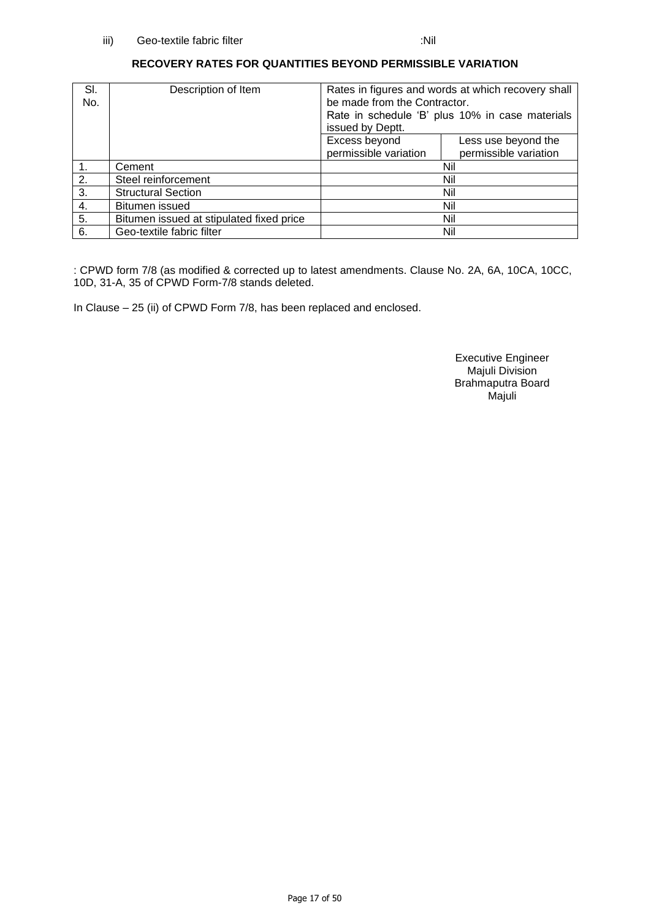## **RECOVERY RATES FOR QUANTITIES BEYOND PERMISSIBLE VARIATION**

| SI.<br>No.       | Description of Item                      | Rates in figures and words at which recovery shall<br>be made from the Contractor.<br>Rate in schedule 'B' plus 10% in case materials<br>issued by Deptt. |                                              |
|------------------|------------------------------------------|-----------------------------------------------------------------------------------------------------------------------------------------------------------|----------------------------------------------|
|                  |                                          | Excess beyond<br>permissible variation                                                                                                                    | Less use beyond the<br>permissible variation |
| $\mathbf{1}$ .   | Cement                                   |                                                                                                                                                           | Nil                                          |
| 2.               | Steel reinforcement                      |                                                                                                                                                           | Nil                                          |
| $\overline{3}$ . | <b>Structural Section</b>                |                                                                                                                                                           | Nil                                          |
| 4.               | Bitumen issued                           |                                                                                                                                                           | Nil                                          |
| 5.               | Bitumen issued at stipulated fixed price | Nil                                                                                                                                                       |                                              |
| 6.               | Geo-textile fabric filter                |                                                                                                                                                           | Nil                                          |

: CPWD form 7/8 (as modified & corrected up to latest amendments. Clause No. 2A, 6A, 10CA, 10CC, 10D, 31-A, 35 of CPWD Form-7/8 stands deleted.

In Clause – 25 (ii) of CPWD Form 7/8, has been replaced and enclosed.

Executive Engineer Majuli Division Brahmaputra Board Majuli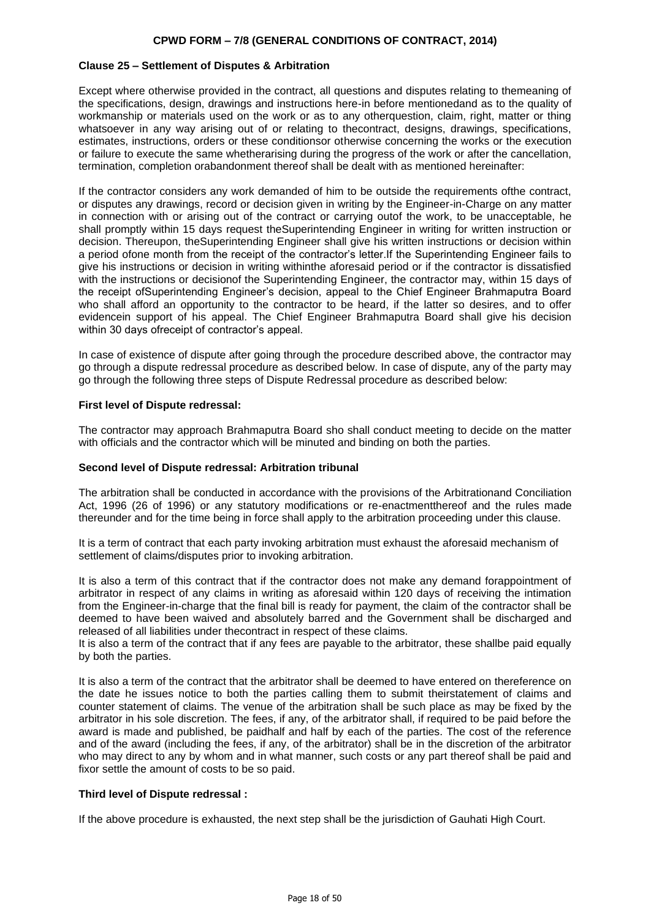#### **Clause 25 – Settlement of Disputes & Arbitration**

Except where otherwise provided in the contract, all questions and disputes relating to themeaning of the specifications, design, drawings and instructions here-in before mentionedand as to the quality of workmanship or materials used on the work or as to any otherquestion, claim, right, matter or thing whatsoever in any way arising out of or relating to thecontract, designs, drawings, specifications, estimates, instructions, orders or these conditionsor otherwise concerning the works or the execution or failure to execute the same whetherarising during the progress of the work or after the cancellation, termination, completion orabandonment thereof shall be dealt with as mentioned hereinafter:

If the contractor considers any work demanded of him to be outside the requirements ofthe contract, or disputes any drawings, record or decision given in writing by the Engineer-in-Charge on any matter in connection with or arising out of the contract or carrying outof the work, to be unacceptable, he shall promptly within 15 days request theSuperintending Engineer in writing for written instruction or decision. Thereupon, theSuperintending Engineer shall give his written instructions or decision within a period ofone month from the receipt of the contractor's letter.If the Superintending Engineer fails to give his instructions or decision in writing withinthe aforesaid period or if the contractor is dissatisfied with the instructions or decisionof the Superintending Engineer, the contractor may, within 15 days of the receipt ofSuperintending Engineer's decision, appeal to the Chief Engineer Brahmaputra Board who shall afford an opportunity to the contractor to be heard, if the latter so desires, and to offer evidencein support of his appeal. The Chief Engineer Brahmaputra Board shall give his decision within 30 days ofreceipt of contractor's appeal.

In case of existence of dispute after going through the procedure described above, the contractor may go through a dispute redressal procedure as described below. In case of dispute, any of the party may go through the following three steps of Dispute Redressal procedure as described below:

#### **First level of Dispute redressal:**

The contractor may approach Brahmaputra Board sho shall conduct meeting to decide on the matter with officials and the contractor which will be minuted and binding on both the parties.

#### **Second level of Dispute redressal: Arbitration tribunal**

The arbitration shall be conducted in accordance with the provisions of the Arbitrationand Conciliation Act, 1996 (26 of 1996) or any statutory modifications or re-enactmentthereof and the rules made thereunder and for the time being in force shall apply to the arbitration proceeding under this clause.

It is a term of contract that each party invoking arbitration must exhaust the aforesaid mechanism of settlement of claims/disputes prior to invoking arbitration.

It is also a term of this contract that if the contractor does not make any demand forappointment of arbitrator in respect of any claims in writing as aforesaid within 120 days of receiving the intimation from the Engineer-in-charge that the final bill is ready for payment, the claim of the contractor shall be deemed to have been waived and absolutely barred and the Government shall be discharged and released of all liabilities under thecontract in respect of these claims.

It is also a term of the contract that if any fees are payable to the arbitrator, these shallbe paid equally by both the parties.

It is also a term of the contract that the arbitrator shall be deemed to have entered on thereference on the date he issues notice to both the parties calling them to submit theirstatement of claims and counter statement of claims. The venue of the arbitration shall be such place as may be fixed by the arbitrator in his sole discretion. The fees, if any, of the arbitrator shall, if required to be paid before the award is made and published, be paidhalf and half by each of the parties. The cost of the reference and of the award (including the fees, if any, of the arbitrator) shall be in the discretion of the arbitrator who may direct to any by whom and in what manner, such costs or any part thereof shall be paid and fixor settle the amount of costs to be so paid.

### **Third level of Dispute redressal :**

If the above procedure is exhausted, the next step shall be the jurisdiction of Gauhati High Court.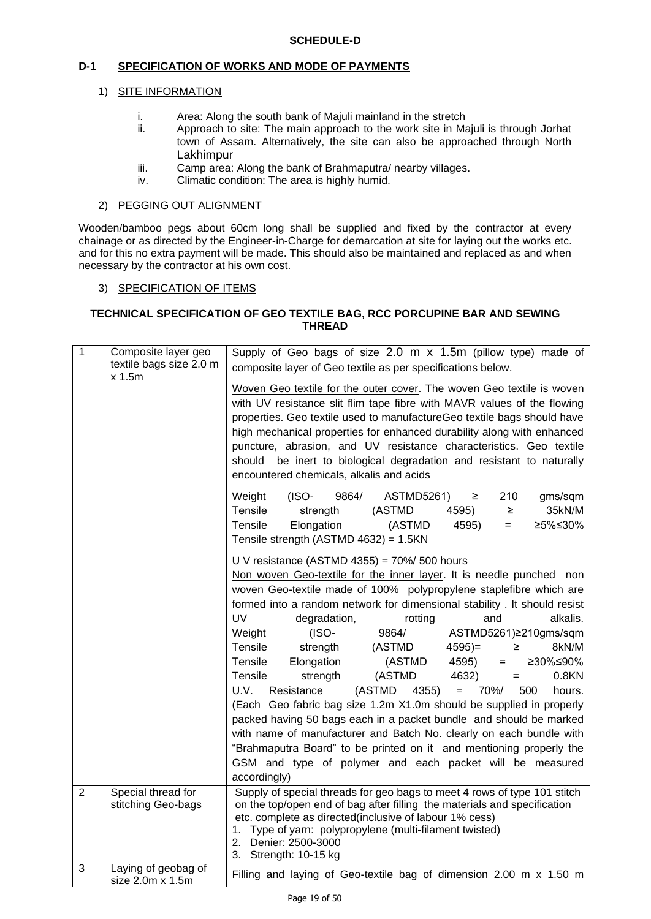## **D-1 SPECIFICATION OF WORKS AND MODE OF PAYMENTS**

## 1) SITE INFORMATION

- i. Area: Along the south bank of Majuli mainland in the stretch
- ii. Approach to site: The main approach to the work site in Majuli is through Jorhat town of Assam. Alternatively, the site can also be approached through North Lakhimpur
- iii. Camp area: Along the bank of Brahmaputra/ nearby villages.
- iv. Climatic condition: The area is highly humid.

### 2) PEGGING OUT ALIGNMENT

Wooden/bamboo pegs about 60cm long shall be supplied and fixed by the contractor at every chainage or as directed by the Engineer-in-Charge for demarcation at site for laying out the works etc. and for this no extra payment will be made. This should also be maintained and replaced as and when necessary by the contractor at his own cost.

#### 3) SPECIFICATION OF ITEMS

### **TECHNICAL SPECIFICATION OF GEO TEXTILE BAG, RCC PORCUPINE BAR AND SEWING THREAD**

| $\mathbf{1}$   | Composite layer geo<br>textile bags size 2.0 m | Supply of Geo bags of size 2.0 m x 1.5m (pillow type) made of<br>composite layer of Geo textile as per specifications below.                                                                                                                                                                                                                                                                                                                                                                                                                                                                                                                                                                                                                                                                                                                                                                                                                                                                                                      |  |  |
|----------------|------------------------------------------------|-----------------------------------------------------------------------------------------------------------------------------------------------------------------------------------------------------------------------------------------------------------------------------------------------------------------------------------------------------------------------------------------------------------------------------------------------------------------------------------------------------------------------------------------------------------------------------------------------------------------------------------------------------------------------------------------------------------------------------------------------------------------------------------------------------------------------------------------------------------------------------------------------------------------------------------------------------------------------------------------------------------------------------------|--|--|
|                | x 1.5m                                         | Woven Geo textile for the outer cover. The woven Geo textile is woven<br>with UV resistance slit flim tape fibre with MAVR values of the flowing<br>properties. Geo textile used to manufactureGeo textile bags should have<br>high mechanical properties for enhanced durability along with enhanced<br>puncture, abrasion, and UV resistance characteristics. Geo textile<br>be inert to biological degradation and resistant to naturally<br>should<br>encountered chemicals, alkalis and acids                                                                                                                                                                                                                                                                                                                                                                                                                                                                                                                                |  |  |
|                |                                                | Weight<br>$(ISO-$<br>9864/<br><b>ASTMD5261)</b><br>210<br>gms/sqm<br>≥<br>Tensile<br>strength<br>(ASTMD<br>4595)<br>$\geq$<br>35kN/M<br>Tensile<br>Elongation<br>(ASTMD<br>4595)<br>≥5%≤30%<br>$=$<br>Tensile strength (ASTMD 4632) = 1.5KN                                                                                                                                                                                                                                                                                                                                                                                                                                                                                                                                                                                                                                                                                                                                                                                       |  |  |
|                |                                                | U V resistance (ASTMD 4355) = $70\%$ 500 hours<br>Non woven Geo-textile for the inner layer. It is needle punched non<br>woven Geo-textile made of 100% polypropylene staplefibre which are<br>formed into a random network for dimensional stability. It should resist<br><b>UV</b><br>degradation,<br>alkalis.<br>rotting<br>and<br>$(ISO-$<br>Weight<br>9864/<br>ASTMD5261)≥210gms/sqm<br>Tensile<br>strength<br>(ASTMD<br>$4595 =$<br>8kN/M<br>≥<br>4595)<br>Tensile<br>Elongation<br>(ASTMD<br>≥30%≤90%<br>$=$ $-$<br>(ASTMD<br>4632)<br>Tensile<br>strength<br>0.8KN<br>$=$<br>U.V.<br>(ASTMD<br>70%/<br>Resistance<br>4355)<br>500<br>$=$<br>hours.<br>(Each Geo fabric bag size 1.2m X1.0m should be supplied in properly<br>packed having 50 bags each in a packet bundle and should be marked<br>with name of manufacturer and Batch No. clearly on each bundle with<br>"Brahmaputra Board" to be printed on it and mentioning properly the<br>GSM and type of polymer and each packet will be measured<br>accordingly) |  |  |
| $\overline{2}$ | Special thread for<br>stitching Geo-bags       | Supply of special threads for geo bags to meet 4 rows of type 101 stitch<br>on the top/open end of bag after filling the materials and specification<br>etc. complete as directed(inclusive of labour 1% cess)<br>1. Type of yarn: polypropylene (multi-filament twisted)<br>2. Denier: 2500-3000<br>3. Strength: 10-15 kg                                                                                                                                                                                                                                                                                                                                                                                                                                                                                                                                                                                                                                                                                                        |  |  |
| 3              | Laying of geobag of<br>size 2.0m x 1.5m        | Filling and laying of Geo-textile bag of dimension 2.00 m x 1.50 m                                                                                                                                                                                                                                                                                                                                                                                                                                                                                                                                                                                                                                                                                                                                                                                                                                                                                                                                                                |  |  |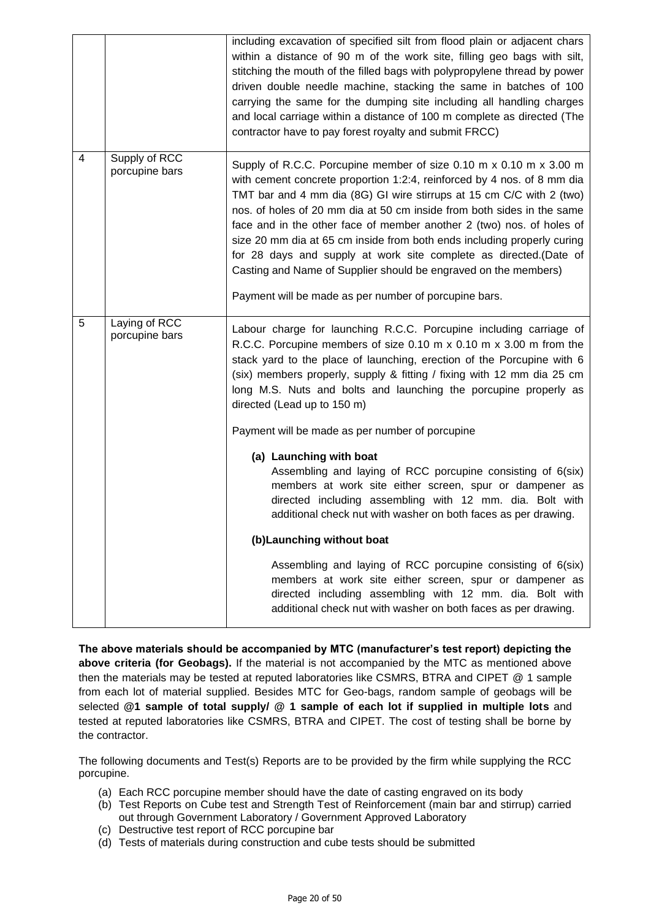|   |                                 | including excavation of specified silt from flood plain or adjacent chars<br>within a distance of 90 m of the work site, filling geo bags with silt,<br>stitching the mouth of the filled bags with polypropylene thread by power<br>driven double needle machine, stacking the same in batches of 100<br>carrying the same for the dumping site including all handling charges<br>and local carriage within a distance of 100 m complete as directed (The<br>contractor have to pay forest royalty and submit FRCC)                                                                                                                                  |  |
|---|---------------------------------|-------------------------------------------------------------------------------------------------------------------------------------------------------------------------------------------------------------------------------------------------------------------------------------------------------------------------------------------------------------------------------------------------------------------------------------------------------------------------------------------------------------------------------------------------------------------------------------------------------------------------------------------------------|--|
| 4 | Supply of RCC<br>porcupine bars | Supply of R.C.C. Porcupine member of size 0.10 m x 0.10 m x 3.00 m<br>with cement concrete proportion 1:2:4, reinforced by 4 nos. of 8 mm dia<br>TMT bar and 4 mm dia (8G) GI wire stirrups at 15 cm C/C with 2 (two)<br>nos. of holes of 20 mm dia at 50 cm inside from both sides in the same<br>face and in the other face of member another 2 (two) nos. of holes of<br>size 20 mm dia at 65 cm inside from both ends including properly curing<br>for 28 days and supply at work site complete as directed. (Date of<br>Casting and Name of Supplier should be engraved on the members)<br>Payment will be made as per number of porcupine bars. |  |
| 5 | Laying of RCC<br>porcupine bars | Labour charge for launching R.C.C. Porcupine including carriage of<br>R.C.C. Porcupine members of size 0.10 m x 0.10 m x 3.00 m from the<br>stack yard to the place of launching, erection of the Porcupine with 6<br>(six) members properly, supply & fitting / fixing with 12 mm dia 25 cm<br>long M.S. Nuts and bolts and launching the porcupine properly as<br>directed (Lead up to 150 m)                                                                                                                                                                                                                                                       |  |
|   |                                 | Payment will be made as per number of porcupine                                                                                                                                                                                                                                                                                                                                                                                                                                                                                                                                                                                                       |  |
|   |                                 | (a) Launching with boat<br>Assembling and laying of RCC porcupine consisting of 6(six)<br>members at work site either screen, spur or dampener as<br>directed including assembling with 12 mm. dia. Bolt with<br>additional check nut with washer on both faces as per drawing.                                                                                                                                                                                                                                                                                                                                                                       |  |
|   |                                 | (b) Launching without boat                                                                                                                                                                                                                                                                                                                                                                                                                                                                                                                                                                                                                            |  |
|   |                                 | Assembling and laying of RCC porcupine consisting of 6(six)<br>members at work site either screen, spur or dampener as<br>directed including assembling with 12 mm. dia. Bolt with<br>additional check nut with washer on both faces as per drawing.                                                                                                                                                                                                                                                                                                                                                                                                  |  |

**The above materials should be accompanied by MTC (manufacturer's test report) depicting the above criteria (for Geobags).** If the material is not accompanied by the MTC as mentioned above then the materials may be tested at reputed laboratories like CSMRS, BTRA and CIPET @ 1 sample from each lot of material supplied. Besides MTC for Geo-bags, random sample of geobags will be selected **@1 sample of total supply/ @ 1 sample of each lot if supplied in multiple lots** and tested at reputed laboratories like CSMRS, BTRA and CIPET. The cost of testing shall be borne by the contractor.

The following documents and Test(s) Reports are to be provided by the firm while supplying the RCC porcupine.

- (a) Each RCC porcupine member should have the date of casting engraved on its body
- (b) Test Reports on Cube test and Strength Test of Reinforcement (main bar and stirrup) carried out through Government Laboratory / Government Approved Laboratory
- (c) Destructive test report of RCC porcupine bar
- (d) Tests of materials during construction and cube tests should be submitted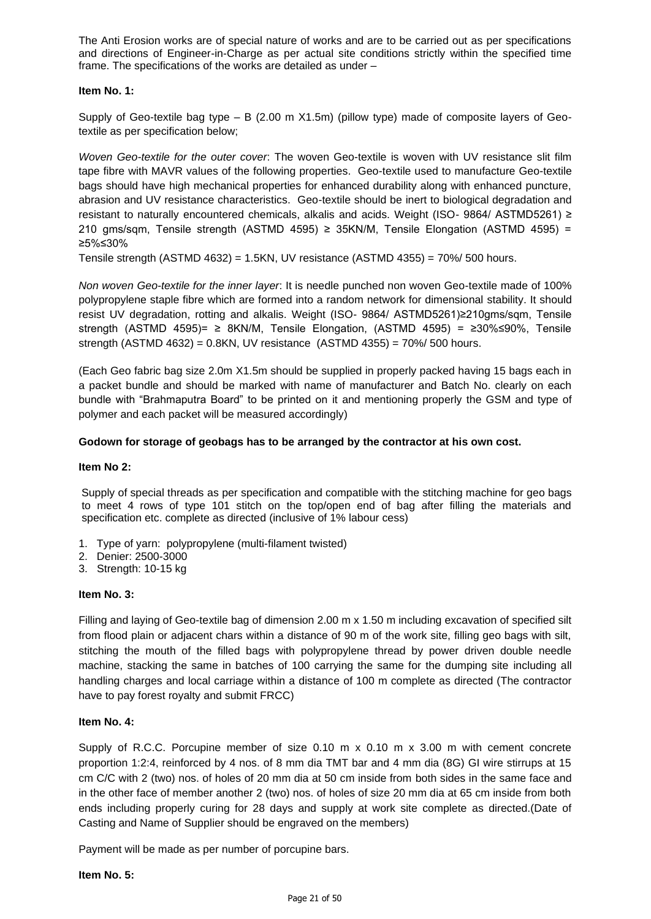The Anti Erosion works are of special nature of works and are to be carried out as per specifications and directions of Engineer-in-Charge as per actual site conditions strictly within the specified time frame. The specifications of the works are detailed as under –

#### **Item No. 1:**

Supply of Geo-textile bag type – B (2.00 m X1.5m) (pillow type) made of composite layers of Geotextile as per specification below;

*Woven Geo-textile for the outer cover*: The woven Geo-textile is woven with UV resistance slit film tape fibre with MAVR values of the following properties. Geo-textile used to manufacture Geo-textile bags should have high mechanical properties for enhanced durability along with enhanced puncture, abrasion and UV resistance characteristics. Geo-textile should be inert to biological degradation and resistant to naturally encountered chemicals, alkalis and acids. Weight (ISO- 9864/ ASTMD5261) ≥ 210 gms/sqm, Tensile strength (ASTMD 4595) ≥ 35KN/M, Tensile Elongation (ASTMD 4595) = ≥5%≤30%

Tensile strength (ASTMD 4632) = 1.5KN, UV resistance (ASTMD 4355) =  $70\%$  / 500 hours.

*Non woven Geo-textile for the inner layer*: It is needle punched non woven Geo-textile made of 100% polypropylene staple fibre which are formed into a random network for dimensional stability. It should resist UV degradation, rotting and alkalis. Weight (ISO- 9864/ ASTMD5261)≥210gms/sqm, Tensile strength (ASTMD 4595)= ≥ 8KN/M, Tensile Elongation, (ASTMD 4595) = ≥30%≤90%, Tensile strength (ASTMD 4632) = 0.8KN, UV resistance (ASTMD 4355) = 70%/ 500 hours.

(Each Geo fabric bag size 2.0m X1.5m should be supplied in properly packed having 15 bags each in a packet bundle and should be marked with name of manufacturer and Batch No. clearly on each bundle with "Brahmaputra Board" to be printed on it and mentioning properly the GSM and type of polymer and each packet will be measured accordingly)

## **Godown for storage of geobags has to be arranged by the contractor at his own cost.**

#### **Item No 2:**

Supply of special threads as per specification and compatible with the stitching machine for geo bags to meet 4 rows of type 101 stitch on the top/open end of bag after filling the materials and specification etc. complete as directed (inclusive of 1% labour cess)

- 1. Type of yarn: polypropylene (multi-filament twisted)
- 2. Denier: 2500-3000
- 3. Strength: 10-15 kg

#### **Item No. 3:**

Filling and laying of Geo-textile bag of dimension 2.00 m x 1.50 m including excavation of specified silt from flood plain or adjacent chars within a distance of 90 m of the work site, filling geo bags with silt, stitching the mouth of the filled bags with polypropylene thread by power driven double needle machine, stacking the same in batches of 100 carrying the same for the dumping site including all handling charges and local carriage within a distance of 100 m complete as directed (The contractor have to pay forest royalty and submit FRCC)

## **Item No. 4:**

Supply of R.C.C. Porcupine member of size  $0.10 \text{ m} \times 0.10 \text{ m} \times 3.00 \text{ m}$  with cement concrete proportion 1:2:4, reinforced by 4 nos. of 8 mm dia TMT bar and 4 mm dia (8G) GI wire stirrups at 15 cm C/C with 2 (two) nos. of holes of 20 mm dia at 50 cm inside from both sides in the same face and in the other face of member another 2 (two) nos. of holes of size 20 mm dia at 65 cm inside from both ends including properly curing for 28 days and supply at work site complete as directed.(Date of Casting and Name of Supplier should be engraved on the members)

Payment will be made as per number of porcupine bars.

#### **Item No. 5:**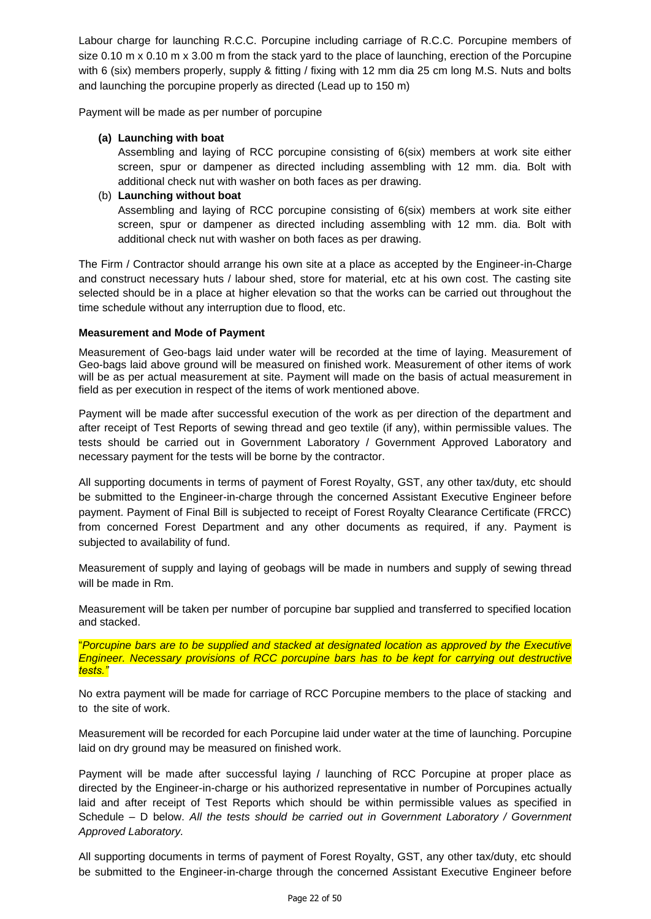Labour charge for launching R.C.C. Porcupine including carriage of R.C.C. Porcupine members of size 0.10 m x 0.10 m x 3.00 m from the stack yard to the place of launching, erection of the Porcupine with 6 (six) members properly, supply & fitting / fixing with 12 mm dia 25 cm long M.S. Nuts and bolts and launching the porcupine properly as directed (Lead up to 150 m)

Payment will be made as per number of porcupine

## **(a) Launching with boat**

Assembling and laying of RCC porcupine consisting of 6(six) members at work site either screen, spur or dampener as directed including assembling with 12 mm. dia. Bolt with additional check nut with washer on both faces as per drawing.

## (b) **Launching without boat**

Assembling and laying of RCC porcupine consisting of 6(six) members at work site either screen, spur or dampener as directed including assembling with 12 mm. dia. Bolt with additional check nut with washer on both faces as per drawing.

The Firm / Contractor should arrange his own site at a place as accepted by the Engineer-in-Charge and construct necessary huts / labour shed, store for material, etc at his own cost. The casting site selected should be in a place at higher elevation so that the works can be carried out throughout the time schedule without any interruption due to flood, etc.

## **Measurement and Mode of Payment**

Measurement of Geo-bags laid under water will be recorded at the time of laying. Measurement of Geo-bags laid above ground will be measured on finished work. Measurement of other items of work will be as per actual measurement at site. Payment will made on the basis of actual measurement in field as per execution in respect of the items of work mentioned above.

Payment will be made after successful execution of the work as per direction of the department and after receipt of Test Reports of sewing thread and geo textile (if any), within permissible values. The tests should be carried out in Government Laboratory / Government Approved Laboratory and necessary payment for the tests will be borne by the contractor.

All supporting documents in terms of payment of Forest Royalty, GST, any other tax/duty, etc should be submitted to the Engineer-in-charge through the concerned Assistant Executive Engineer before payment. Payment of Final Bill is subjected to receipt of Forest Royalty Clearance Certificate (FRCC) from concerned Forest Department and any other documents as required, if any. Payment is subjected to availability of fund.

Measurement of supply and laying of geobags will be made in numbers and supply of sewing thread will be made in Rm.

Measurement will be taken per number of porcupine bar supplied and transferred to specified location and stacked.

"*Porcupine bars are to be supplied and stacked at designated location as approved by the Executive Engineer. Necessary provisions of RCC porcupine bars has to be kept for carrying out destructive tests."*

No extra payment will be made for carriage of RCC Porcupine members to the place of stacking and to the site of work.

Measurement will be recorded for each Porcupine laid under water at the time of launching. Porcupine laid on dry ground may be measured on finished work.

Payment will be made after successful laying / launching of RCC Porcupine at proper place as directed by the Engineer-in-charge or his authorized representative in number of Porcupines actually laid and after receipt of Test Reports which should be within permissible values as specified in Schedule – D below. *All the tests should be carried out in Government Laboratory / Government Approved Laboratory.* 

All supporting documents in terms of payment of Forest Royalty, GST, any other tax/duty, etc should be submitted to the Engineer-in-charge through the concerned Assistant Executive Engineer before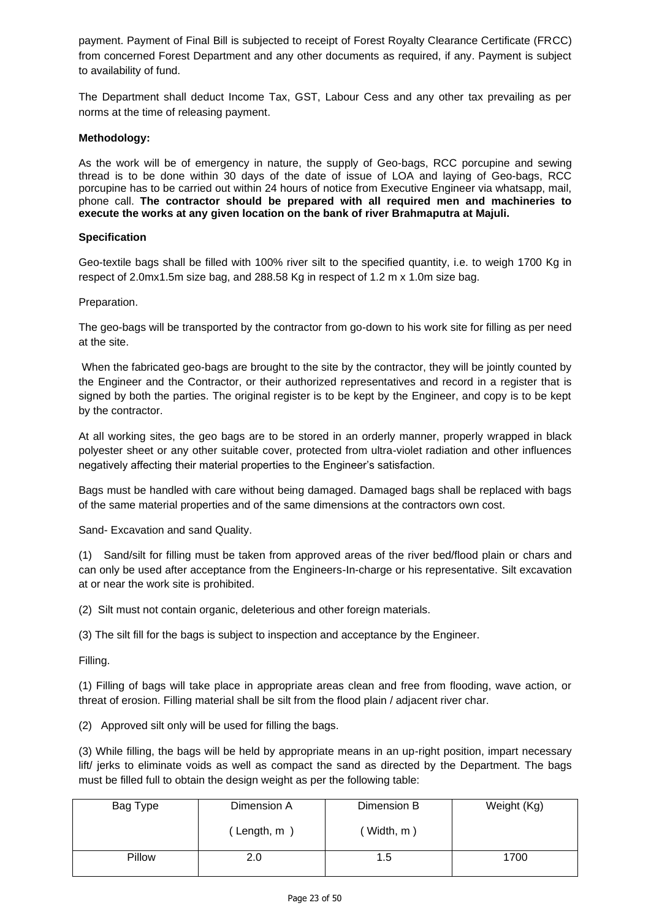payment. Payment of Final Bill is subjected to receipt of Forest Royalty Clearance Certificate (FRCC) from concerned Forest Department and any other documents as required, if any. Payment is subject to availability of fund.

The Department shall deduct Income Tax, GST, Labour Cess and any other tax prevailing as per norms at the time of releasing payment.

### **Methodology:**

As the work will be of emergency in nature, the supply of Geo-bags, RCC porcupine and sewing thread is to be done within 30 days of the date of issue of LOA and laying of Geo-bags, RCC porcupine has to be carried out within 24 hours of notice from Executive Engineer via whatsapp, mail, phone call. **The contractor should be prepared with all required men and machineries to execute the works at any given location on the bank of river Brahmaputra at Majuli.** 

#### **Specification**

Geo-textile bags shall be filled with 100% river silt to the specified quantity, i.e. to weigh 1700 Kg in respect of 2.0mx1.5m size bag, and 288.58 Kg in respect of 1.2 m x 1.0m size bag.

#### Preparation.

The geo-bags will be transported by the contractor from go-down to his work site for filling as per need at the site.

When the fabricated geo-bags are brought to the site by the contractor, they will be jointly counted by the Engineer and the Contractor, or their authorized representatives and record in a register that is signed by both the parties. The original register is to be kept by the Engineer, and copy is to be kept by the contractor.

At all working sites, the geo bags are to be stored in an orderly manner, properly wrapped in black polyester sheet or any other suitable cover, protected from ultra-violet radiation and other influences negatively affecting their material properties to the Engineer's satisfaction.

Bags must be handled with care without being damaged. Damaged bags shall be replaced with bags of the same material properties and of the same dimensions at the contractors own cost.

Sand- Excavation and sand Quality.

(1) Sand/silt for filling must be taken from approved areas of the river bed/flood plain or chars and can only be used after acceptance from the Engineers-In-charge or his representative. Silt excavation at or near the work site is prohibited.

(2) Silt must not contain organic, deleterious and other foreign materials.

(3) The silt fill for the bags is subject to inspection and acceptance by the Engineer.

Filling.

(1) Filling of bags will take place in appropriate areas clean and free from flooding, wave action, or threat of erosion. Filling material shall be silt from the flood plain / adjacent river char.

(2) Approved silt only will be used for filling the bags.

(3) While filling, the bags will be held by appropriate means in an up-right position, impart necessary lift/ jerks to eliminate voids as well as compact the sand as directed by the Department. The bags must be filled full to obtain the design weight as per the following table:

| Bag Type | Dimension A | Dimension B | Weight (Kg) |
|----------|-------------|-------------|-------------|
|          | (Length, m  | Width, m)   |             |
| Pillow   | 2.0         | 1.5         | 1700        |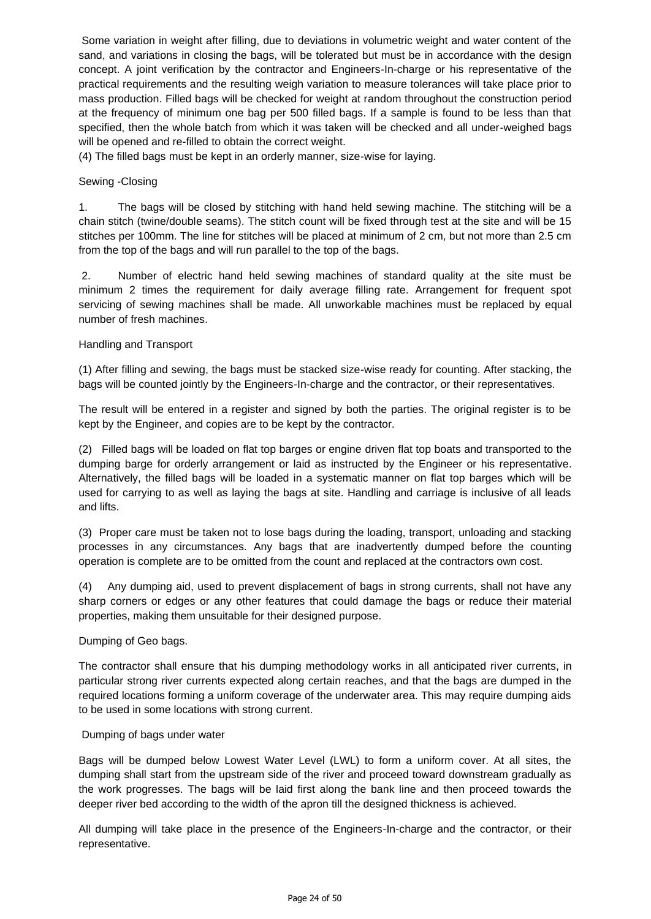Some variation in weight after filling, due to deviations in volumetric weight and water content of the sand, and variations in closing the bags, will be tolerated but must be in accordance with the design concept. A joint verification by the contractor and Engineers-In-charge or his representative of the practical requirements and the resulting weigh variation to measure tolerances will take place prior to mass production. Filled bags will be checked for weight at random throughout the construction period at the frequency of minimum one bag per 500 filled bags. If a sample is found to be less than that specified, then the whole batch from which it was taken will be checked and all under-weighed bags will be opened and re-filled to obtain the correct weight.

(4) The filled bags must be kept in an orderly manner, size-wise for laying.

## Sewing -Closing

1. The bags will be closed by stitching with hand held sewing machine. The stitching will be a chain stitch (twine/double seams). The stitch count will be fixed through test at the site and will be 15 stitches per 100mm. The line for stitches will be placed at minimum of 2 cm, but not more than 2.5 cm from the top of the bags and will run parallel to the top of the bags.

2. Number of electric hand held sewing machines of standard quality at the site must be minimum 2 times the requirement for daily average filling rate. Arrangement for frequent spot servicing of sewing machines shall be made. All unworkable machines must be replaced by equal number of fresh machines.

## Handling and Transport

(1) After filling and sewing, the bags must be stacked size-wise ready for counting. After stacking, the bags will be counted jointly by the Engineers-In-charge and the contractor, or their representatives.

The result will be entered in a register and signed by both the parties. The original register is to be kept by the Engineer, and copies are to be kept by the contractor.

(2) Filled bags will be loaded on flat top barges or engine driven flat top boats and transported to the dumping barge for orderly arrangement or laid as instructed by the Engineer or his representative. Alternatively, the filled bags will be loaded in a systematic manner on flat top barges which will be used for carrying to as well as laying the bags at site. Handling and carriage is inclusive of all leads and lifts.

(3) Proper care must be taken not to lose bags during the loading, transport, unloading and stacking processes in any circumstances. Any bags that are inadvertently dumped before the counting operation is complete are to be omitted from the count and replaced at the contractors own cost.

(4) Any dumping aid, used to prevent displacement of bags in strong currents, shall not have any sharp corners or edges or any other features that could damage the bags or reduce their material properties, making them unsuitable for their designed purpose.

## Dumping of Geo bags.

The contractor shall ensure that his dumping methodology works in all anticipated river currents, in particular strong river currents expected along certain reaches, and that the bags are dumped in the required locations forming a uniform coverage of the underwater area. This may require dumping aids to be used in some locations with strong current.

#### Dumping of bags under water

Bags will be dumped below Lowest Water Level (LWL) to form a uniform cover. At all sites, the dumping shall start from the upstream side of the river and proceed toward downstream gradually as the work progresses. The bags will be laid first along the bank line and then proceed towards the deeper river bed according to the width of the apron till the designed thickness is achieved.

All dumping will take place in the presence of the Engineers-In-charge and the contractor, or their representative.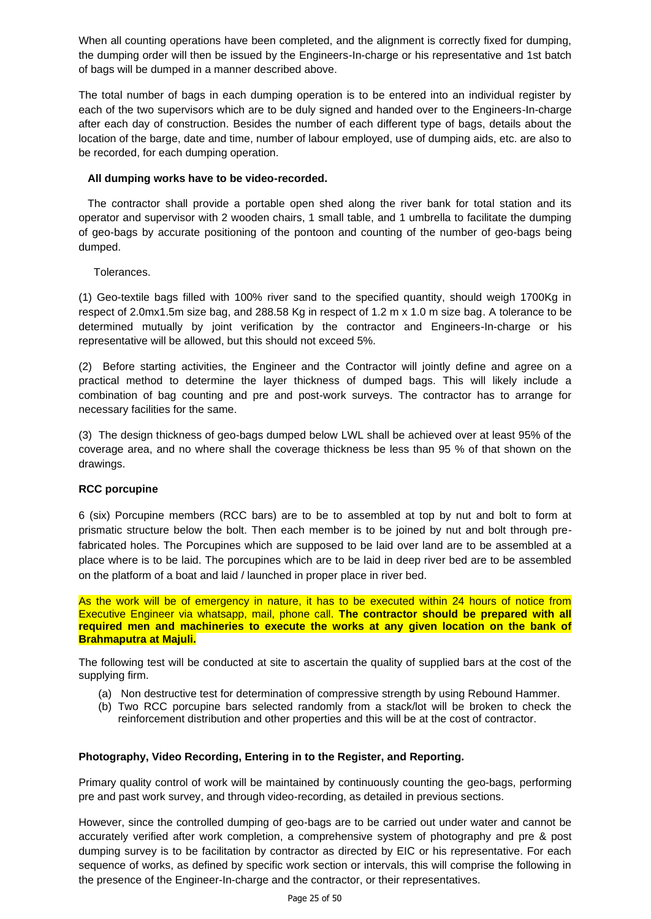When all counting operations have been completed, and the alignment is correctly fixed for dumping, the dumping order will then be issued by the Engineers-In-charge or his representative and 1st batch of bags will be dumped in a manner described above.

The total number of bags in each dumping operation is to be entered into an individual register by each of the two supervisors which are to be duly signed and handed over to the Engineers-In-charge after each day of construction. Besides the number of each different type of bags, details about the location of the barge, date and time, number of labour employed, use of dumping aids, etc. are also to be recorded, for each dumping operation.

## **All dumping works have to be video-recorded.**

 The contractor shall provide a portable open shed along the river bank for total station and its operator and supervisor with 2 wooden chairs, 1 small table, and 1 umbrella to facilitate the dumping of geo-bags by accurate positioning of the pontoon and counting of the number of geo-bags being dumped.

Tolerances.

(1) Geo-textile bags filled with 100% river sand to the specified quantity, should weigh 1700Kg in respect of 2.0mx1.5m size bag, and 288.58 Kg in respect of 1.2 m x 1.0 m size bag. A tolerance to be determined mutually by joint verification by the contractor and Engineers-In-charge or his representative will be allowed, but this should not exceed 5%.

(2) Before starting activities, the Engineer and the Contractor will jointly define and agree on a practical method to determine the layer thickness of dumped bags. This will likely include a combination of bag counting and pre and post-work surveys. The contractor has to arrange for necessary facilities for the same.

(3) The design thickness of geo-bags dumped below LWL shall be achieved over at least 95% of the coverage area, and no where shall the coverage thickness be less than 95 % of that shown on the drawings.

## **RCC porcupine**

6 (six) Porcupine members (RCC bars) are to be to assembled at top by nut and bolt to form at prismatic structure below the bolt. Then each member is to be joined by nut and bolt through prefabricated holes. The Porcupines which are supposed to be laid over land are to be assembled at a place where is to be laid. The porcupines which are to be laid in deep river bed are to be assembled on the platform of a boat and laid / launched in proper place in river bed.

As the work will be of emergency in nature, it has to be executed within 24 hours of notice from Executive Engineer via whatsapp, mail, phone call. **The contractor should be prepared with all required men and machineries to execute the works at any given location on the bank of Brahmaputra at Majuli.**

The following test will be conducted at site to ascertain the quality of supplied bars at the cost of the supplying firm.

- (a) Non destructive test for determination of compressive strength by using Rebound Hammer.
- (b) Two RCC porcupine bars selected randomly from a stack/lot will be broken to check the reinforcement distribution and other properties and this will be at the cost of contractor.

## **Photography, Video Recording, Entering in to the Register, and Reporting.**

Primary quality control of work will be maintained by continuously counting the geo-bags, performing pre and past work survey, and through video-recording, as detailed in previous sections.

However, since the controlled dumping of geo-bags are to be carried out under water and cannot be accurately verified after work completion, a comprehensive system of photography and pre & post dumping survey is to be facilitation by contractor as directed by EIC or his representative. For each sequence of works, as defined by specific work section or intervals, this will comprise the following in the presence of the Engineer-In-charge and the contractor, or their representatives.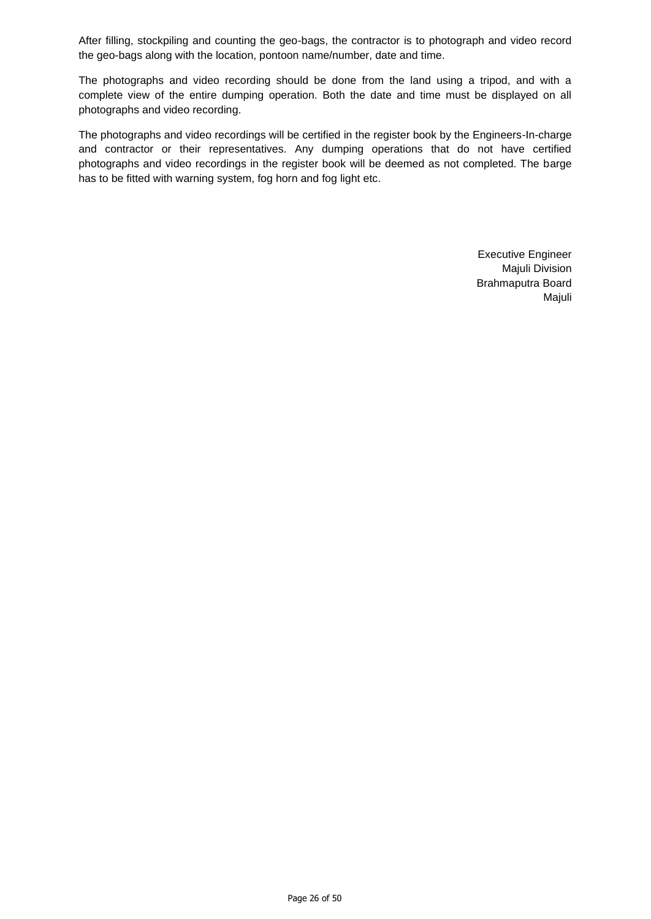After filling, stockpiling and counting the geo-bags, the contractor is to photograph and video record the geo-bags along with the location, pontoon name/number, date and time.

The photographs and video recording should be done from the land using a tripod, and with a complete view of the entire dumping operation. Both the date and time must be displayed on all photographs and video recording.

The photographs and video recordings will be certified in the register book by the Engineers-In-charge and contractor or their representatives. Any dumping operations that do not have certified photographs and video recordings in the register book will be deemed as not completed. The barge has to be fitted with warning system, fog horn and fog light etc.

> Executive Engineer Majuli Division Brahmaputra Board Majuli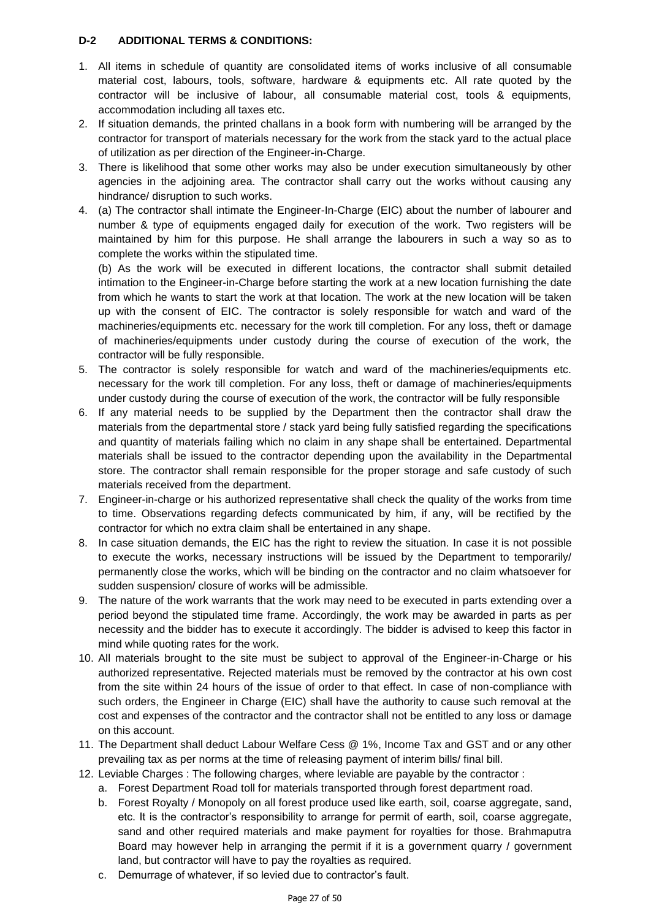## **D-2 ADDITIONAL TERMS & CONDITIONS:**

- 1. All items in schedule of quantity are consolidated items of works inclusive of all consumable material cost, labours, tools, software, hardware & equipments etc. All rate quoted by the contractor will be inclusive of labour, all consumable material cost, tools & equipments, accommodation including all taxes etc.
- 2. If situation demands, the printed challans in a book form with numbering will be arranged by the contractor for transport of materials necessary for the work from the stack yard to the actual place of utilization as per direction of the Engineer-in-Charge.
- 3. There is likelihood that some other works may also be under execution simultaneously by other agencies in the adjoining area. The contractor shall carry out the works without causing any hindrance/ disruption to such works.
- 4. (a) The contractor shall intimate the Engineer-In-Charge (EIC) about the number of labourer and number & type of equipments engaged daily for execution of the work. Two registers will be maintained by him for this purpose. He shall arrange the labourers in such a way so as to complete the works within the stipulated time.

(b) As the work will be executed in different locations, the contractor shall submit detailed intimation to the Engineer-in-Charge before starting the work at a new location furnishing the date from which he wants to start the work at that location. The work at the new location will be taken up with the consent of EIC. The contractor is solely responsible for watch and ward of the machineries/equipments etc. necessary for the work till completion. For any loss, theft or damage of machineries/equipments under custody during the course of execution of the work, the contractor will be fully responsible.

- 5. The contractor is solely responsible for watch and ward of the machineries/equipments etc. necessary for the work till completion. For any loss, theft or damage of machineries/equipments under custody during the course of execution of the work, the contractor will be fully responsible
- 6. If any material needs to be supplied by the Department then the contractor shall draw the materials from the departmental store / stack yard being fully satisfied regarding the specifications and quantity of materials failing which no claim in any shape shall be entertained. Departmental materials shall be issued to the contractor depending upon the availability in the Departmental store. The contractor shall remain responsible for the proper storage and safe custody of such materials received from the department.
- 7. Engineer-in-charge or his authorized representative shall check the quality of the works from time to time. Observations regarding defects communicated by him, if any, will be rectified by the contractor for which no extra claim shall be entertained in any shape.
- 8. In case situation demands, the EIC has the right to review the situation. In case it is not possible to execute the works, necessary instructions will be issued by the Department to temporarily/ permanently close the works, which will be binding on the contractor and no claim whatsoever for sudden suspension/ closure of works will be admissible.
- 9. The nature of the work warrants that the work may need to be executed in parts extending over a period beyond the stipulated time frame. Accordingly, the work may be awarded in parts as per necessity and the bidder has to execute it accordingly. The bidder is advised to keep this factor in mind while quoting rates for the work.
- 10. All materials brought to the site must be subject to approval of the Engineer-in-Charge or his authorized representative. Rejected materials must be removed by the contractor at his own cost from the site within 24 hours of the issue of order to that effect. In case of non-compliance with such orders, the Engineer in Charge (EIC) shall have the authority to cause such removal at the cost and expenses of the contractor and the contractor shall not be entitled to any loss or damage on this account.
- 11. The Department shall deduct Labour Welfare Cess @ 1%, Income Tax and GST and or any other prevailing tax as per norms at the time of releasing payment of interim bills/ final bill.
- 12. Leviable Charges : The following charges, where leviable are payable by the contractor :
	- a. Forest Department Road toll for materials transported through forest department road.
	- b. Forest Royalty / Monopoly on all forest produce used like earth, soil, coarse aggregate, sand, etc. It is the contractor's responsibility to arrange for permit of earth, soil, coarse aggregate, sand and other required materials and make payment for royalties for those. Brahmaputra Board may however help in arranging the permit if it is a government quarry / government land, but contractor will have to pay the royalties as required.
	- c. Demurrage of whatever, if so levied due to contractor's fault.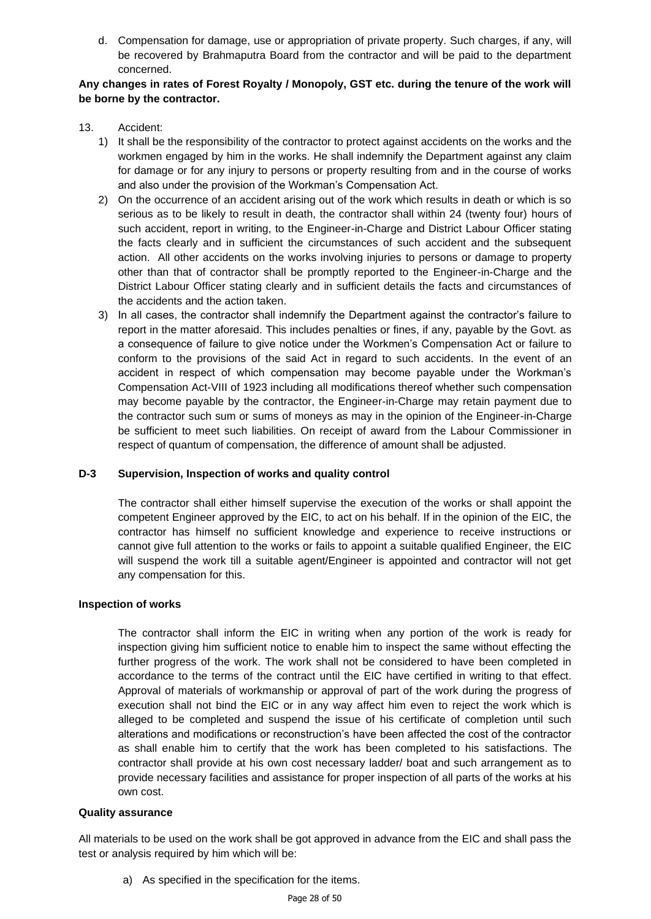d. Compensation for damage, use or appropriation of private property. Such charges, if any, will be recovered by Brahmaputra Board from the contractor and will be paid to the department concerned.

## **Any changes in rates of Forest Royalty / Monopoly, GST etc. during the tenure of the work will be borne by the contractor.**

- 13. Accident:
	- 1) It shall be the responsibility of the contractor to protect against accidents on the works and the workmen engaged by him in the works. He shall indemnify the Department against any claim for damage or for any injury to persons or property resulting from and in the course of works and also under the provision of the Workman's Compensation Act.
	- 2) On the occurrence of an accident arising out of the work which results in death or which is so serious as to be likely to result in death, the contractor shall within 24 (twenty four) hours of such accident, report in writing, to the Engineer-in-Charge and District Labour Officer stating the facts clearly and in sufficient the circumstances of such accident and the subsequent action. All other accidents on the works involving injuries to persons or damage to property other than that of contractor shall be promptly reported to the Engineer-in-Charge and the District Labour Officer stating clearly and in sufficient details the facts and circumstances of the accidents and the action taken.
	- 3) In all cases, the contractor shall indemnify the Department against the contractor's failure to report in the matter aforesaid. This includes penalties or fines, if any, payable by the Govt. as a consequence of failure to give notice under the Workmen's Compensation Act or failure to conform to the provisions of the said Act in regard to such accidents. In the event of an accident in respect of which compensation may become payable under the Workman's Compensation Act-VIII of 1923 including all modifications thereof whether such compensation may become payable by the contractor, the Engineer-in-Charge may retain payment due to the contractor such sum or sums of moneys as may in the opinion of the Engineer-in-Charge be sufficient to meet such liabilities. On receipt of award from the Labour Commissioner in respect of quantum of compensation, the difference of amount shall be adjusted.

## **D-3 Supervision, Inspection of works and quality control**

The contractor shall either himself supervise the execution of the works or shall appoint the competent Engineer approved by the EIC, to act on his behalf. If in the opinion of the EIC, the contractor has himself no sufficient knowledge and experience to receive instructions or cannot give full attention to the works or fails to appoint a suitable qualified Engineer, the EIC will suspend the work till a suitable agent/Engineer is appointed and contractor will not get any compensation for this.

#### **Inspection of works**

The contractor shall inform the EIC in writing when any portion of the work is ready for inspection giving him sufficient notice to enable him to inspect the same without effecting the further progress of the work. The work shall not be considered to have been completed in accordance to the terms of the contract until the EIC have certified in writing to that effect. Approval of materials of workmanship or approval of part of the work during the progress of execution shall not bind the EIC or in any way affect him even to reject the work which is alleged to be completed and suspend the issue of his certificate of completion until such alterations and modifications or reconstruction's have been affected the cost of the contractor as shall enable him to certify that the work has been completed to his satisfactions. The contractor shall provide at his own cost necessary ladder/ boat and such arrangement as to provide necessary facilities and assistance for proper inspection of all parts of the works at his own cost.

## **Quality assurance**

All materials to be used on the work shall be got approved in advance from the EIC and shall pass the test or analysis required by him which will be:

a) As specified in the specification for the items.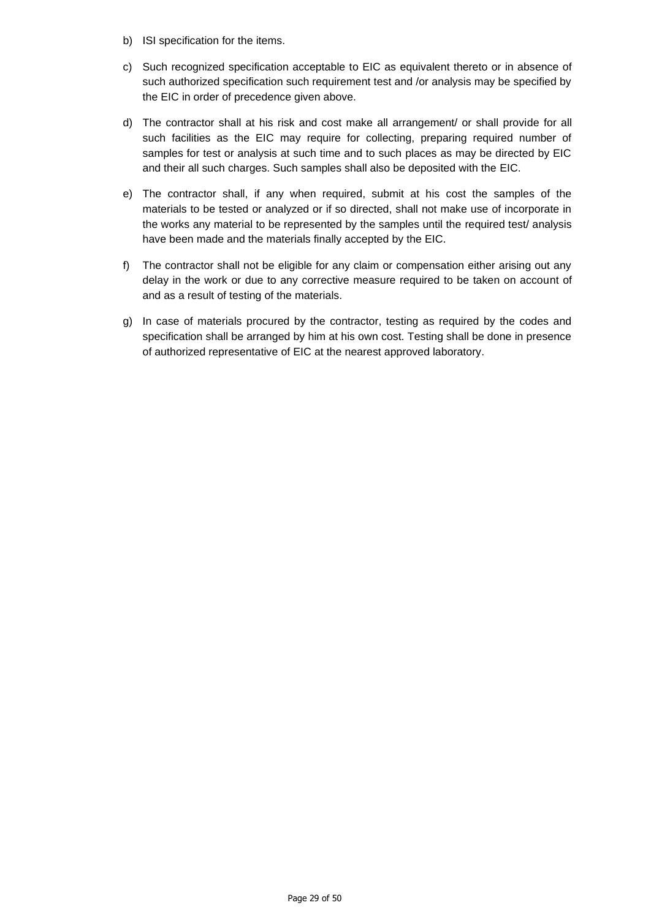- b) ISI specification for the items.
- c) Such recognized specification acceptable to EIC as equivalent thereto or in absence of such authorized specification such requirement test and /or analysis may be specified by the EIC in order of precedence given above.
- d) The contractor shall at his risk and cost make all arrangement/ or shall provide for all such facilities as the EIC may require for collecting, preparing required number of samples for test or analysis at such time and to such places as may be directed by EIC and their all such charges. Such samples shall also be deposited with the EIC.
- e) The contractor shall, if any when required, submit at his cost the samples of the materials to be tested or analyzed or if so directed, shall not make use of incorporate in the works any material to be represented by the samples until the required test/ analysis have been made and the materials finally accepted by the EIC.
- f) The contractor shall not be eligible for any claim or compensation either arising out any delay in the work or due to any corrective measure required to be taken on account of and as a result of testing of the materials.
- g) In case of materials procured by the contractor, testing as required by the codes and specification shall be arranged by him at his own cost. Testing shall be done in presence of authorized representative of EIC at the nearest approved laboratory.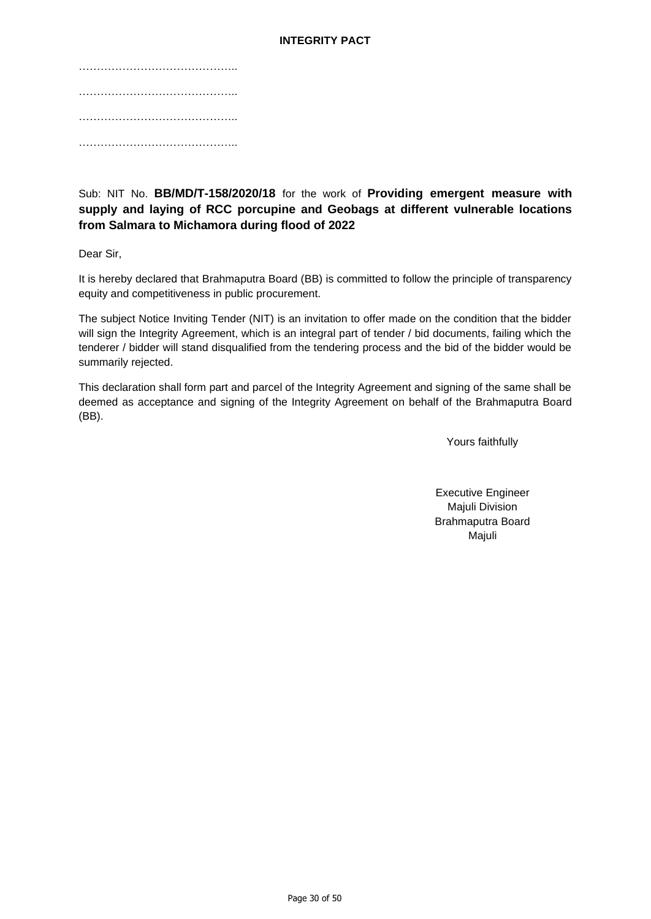#### **INTEGRITY PACT**

## Sub: NIT No. **BB/MD/T-158/2020/18** for the work of **Providing emergent measure with supply and laying of RCC porcupine and Geobags at different vulnerable locations from Salmara to Michamora during flood of 2022**

Dear Sir,

It is hereby declared that Brahmaputra Board (BB) is committed to follow the principle of transparency equity and competitiveness in public procurement.

The subject Notice Inviting Tender (NIT) is an invitation to offer made on the condition that the bidder will sign the Integrity Agreement, which is an integral part of tender / bid documents, failing which the tenderer / bidder will stand disqualified from the tendering process and the bid of the bidder would be summarily rejected.

This declaration shall form part and parcel of the Integrity Agreement and signing of the same shall be deemed as acceptance and signing of the Integrity Agreement on behalf of the Brahmaputra Board (BB).

Yours faithfully

Executive Engineer Majuli Division Brahmaputra Board Majuli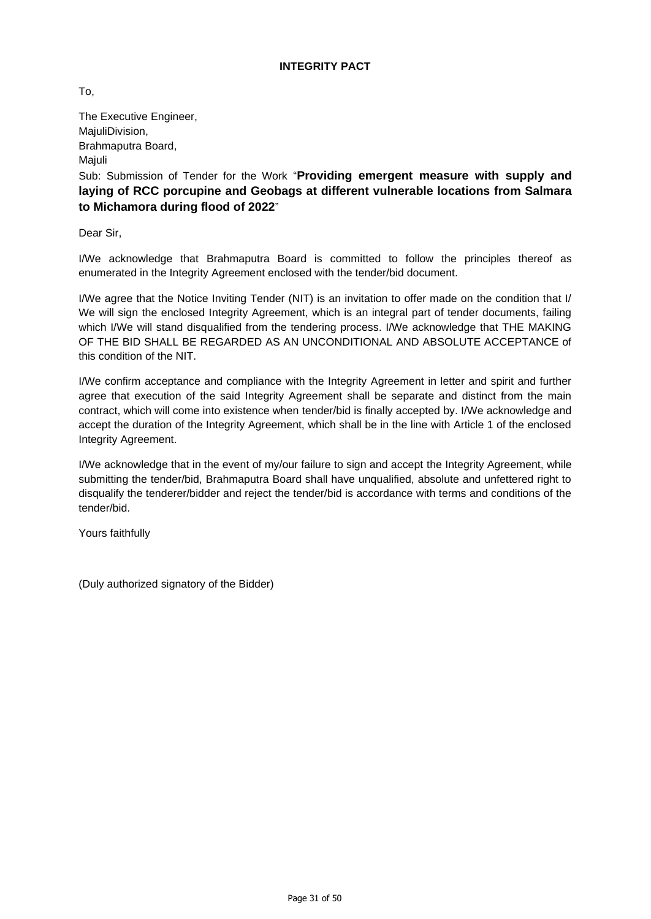To,

The Executive Engineer, MajuliDivision, Brahmaputra Board, **Maiuli** 

Sub: Submission of Tender for the Work "**Providing emergent measure with supply and laying of RCC porcupine and Geobags at different vulnerable locations from Salmara to Michamora during flood of 2022**"

Dear Sir,

I/We acknowledge that Brahmaputra Board is committed to follow the principles thereof as enumerated in the Integrity Agreement enclosed with the tender/bid document.

I/We agree that the Notice Inviting Tender (NIT) is an invitation to offer made on the condition that I/ We will sign the enclosed Integrity Agreement, which is an integral part of tender documents, failing which I/We will stand disqualified from the tendering process. I/We acknowledge that THE MAKING OF THE BID SHALL BE REGARDED AS AN UNCONDITIONAL AND ABSOLUTE ACCEPTANCE of this condition of the NIT.

I/We confirm acceptance and compliance with the Integrity Agreement in letter and spirit and further agree that execution of the said Integrity Agreement shall be separate and distinct from the main contract, which will come into existence when tender/bid is finally accepted by. I/We acknowledge and accept the duration of the Integrity Agreement, which shall be in the line with Article 1 of the enclosed Integrity Agreement.

I/We acknowledge that in the event of my/our failure to sign and accept the Integrity Agreement, while submitting the tender/bid, Brahmaputra Board shall have unqualified, absolute and unfettered right to disqualify the tenderer/bidder and reject the tender/bid is accordance with terms and conditions of the tender/bid.

Yours faithfully

(Duly authorized signatory of the Bidder)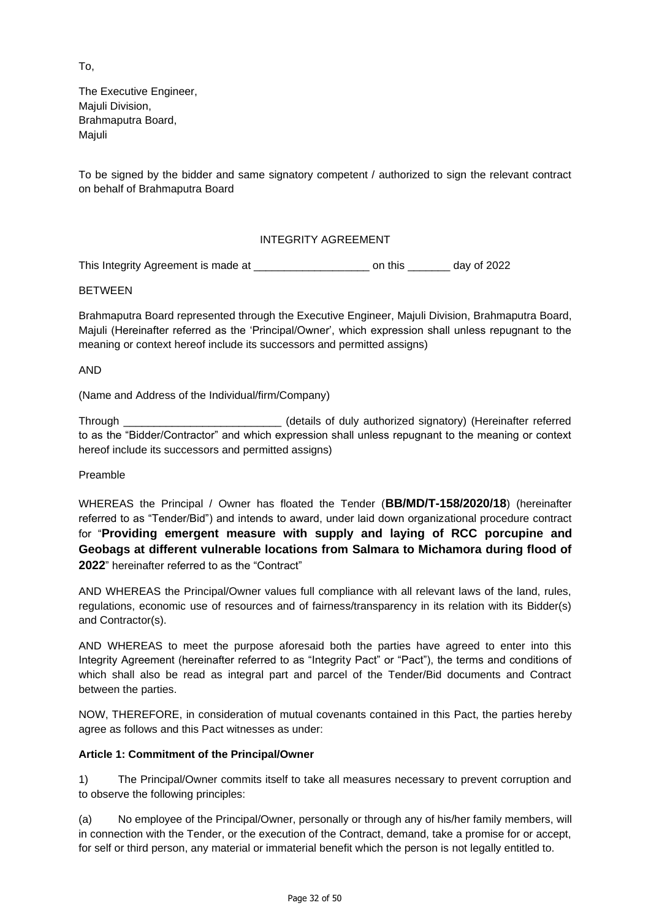To,

The Executive Engineer, Majuli Division, Brahmaputra Board, **Maiuli** 

To be signed by the bidder and same signatory competent / authorized to sign the relevant contract on behalf of Brahmaputra Board

## INTEGRITY AGREEMENT

This Integrity Agreement is made at \_\_\_\_\_\_\_\_\_\_\_\_\_\_\_\_\_\_\_ on this \_\_\_\_\_\_\_ day of 2022

BETWEEN

Brahmaputra Board represented through the Executive Engineer, Majuli Division, Brahmaputra Board, Majuli (Hereinafter referred as the 'Principal/Owner', which expression shall unless repugnant to the meaning or context hereof include its successors and permitted assigns)

AND

(Name and Address of the Individual/firm/Company)

Through \_\_\_\_\_\_\_\_\_\_\_\_\_\_\_\_\_\_\_\_\_\_\_\_\_\_ (details of duly authorized signatory) (Hereinafter referred to as the "Bidder/Contractor" and which expression shall unless repugnant to the meaning or context hereof include its successors and permitted assigns)

Preamble

WHEREAS the Principal / Owner has floated the Tender (**BB/MD/T-158/2020/18**) (hereinafter referred to as "Tender/Bid") and intends to award, under laid down organizational procedure contract for "**Providing emergent measure with supply and laying of RCC porcupine and Geobags at different vulnerable locations from Salmara to Michamora during flood of 2022**" hereinafter referred to as the "Contract"

AND WHEREAS the Principal/Owner values full compliance with all relevant laws of the land, rules, regulations, economic use of resources and of fairness/transparency in its relation with its Bidder(s) and Contractor(s).

AND WHEREAS to meet the purpose aforesaid both the parties have agreed to enter into this Integrity Agreement (hereinafter referred to as "Integrity Pact" or "Pact"), the terms and conditions of which shall also be read as integral part and parcel of the Tender/Bid documents and Contract between the parties.

NOW, THEREFORE, in consideration of mutual covenants contained in this Pact, the parties hereby agree as follows and this Pact witnesses as under:

## **Article 1: Commitment of the Principal/Owner**

1) The Principal/Owner commits itself to take all measures necessary to prevent corruption and to observe the following principles:

(a) No employee of the Principal/Owner, personally or through any of his/her family members, will in connection with the Tender, or the execution of the Contract, demand, take a promise for or accept, for self or third person, any material or immaterial benefit which the person is not legally entitled to.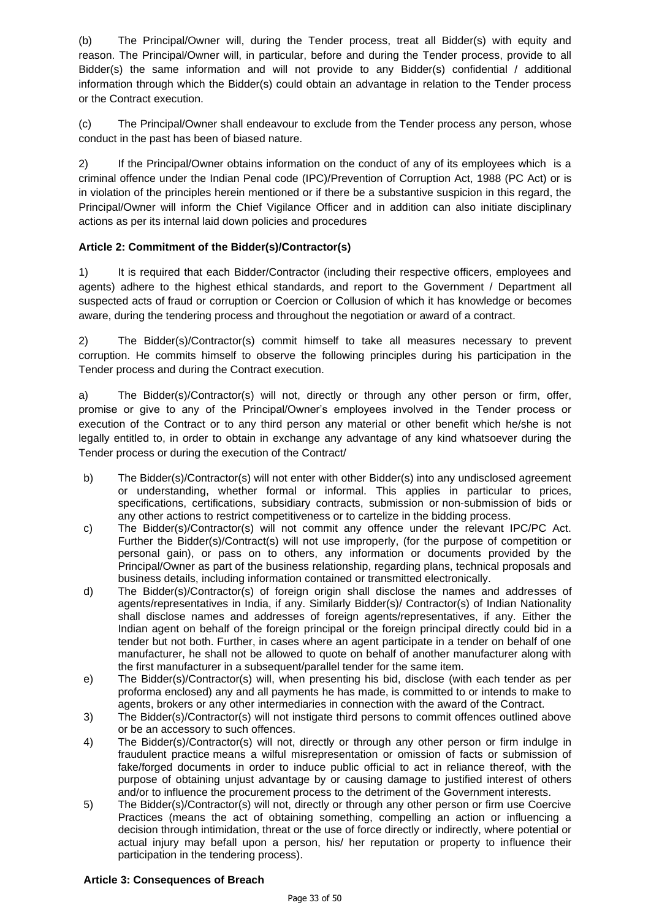(b) The Principal/Owner will, during the Tender process, treat all Bidder(s) with equity and reason. The Principal/Owner will, in particular, before and during the Tender process, provide to all Bidder(s) the same information and will not provide to any Bidder(s) confidential / additional information through which the Bidder(s) could obtain an advantage in relation to the Tender process or the Contract execution.

(c) The Principal/Owner shall endeavour to exclude from the Tender process any person, whose conduct in the past has been of biased nature.

2) If the Principal/Owner obtains information on the conduct of any of its employees which is a criminal offence under the Indian Penal code (IPC)/Prevention of Corruption Act, 1988 (PC Act) or is in violation of the principles herein mentioned or if there be a substantive suspicion in this regard, the Principal/Owner will inform the Chief Vigilance Officer and in addition can also initiate disciplinary actions as per its internal laid down policies and procedures

## **Article 2: Commitment of the Bidder(s)/Contractor(s)**

1) It is required that each Bidder/Contractor (including their respective officers, employees and agents) adhere to the highest ethical standards, and report to the Government / Department all suspected acts of fraud or corruption or Coercion or Collusion of which it has knowledge or becomes aware, during the tendering process and throughout the negotiation or award of a contract.

2) The Bidder(s)/Contractor(s) commit himself to take all measures necessary to prevent corruption. He commits himself to observe the following principles during his participation in the Tender process and during the Contract execution.

a) The Bidder(s)/Contractor(s) will not, directly or through any other person or firm, offer, promise or give to any of the Principal/Owner's employees involved in the Tender process or execution of the Contract or to any third person any material or other benefit which he/she is not legally entitled to, in order to obtain in exchange any advantage of any kind whatsoever during the Tender process or during the execution of the Contract/

- b) The Bidder(s)/Contractor(s) will not enter with other Bidder(s) into any undisclosed agreement or understanding, whether formal or informal. This applies in particular to prices, specifications, certifications, subsidiary contracts, submission or non-submission of bids or any other actions to restrict competitiveness or to cartelize in the bidding process.
- c) The Bidder(s)/Contractor(s) will not commit any offence under the relevant IPC/PC Act. Further the Bidder(s)/Contract(s) will not use improperly, (for the purpose of competition or personal gain), or pass on to others, any information or documents provided by the Principal/Owner as part of the business relationship, regarding plans, technical proposals and business details, including information contained or transmitted electronically.
- d) The Bidder(s)/Contractor(s) of foreign origin shall disclose the names and addresses of agents/representatives in India, if any. Similarly Bidder(s)/ Contractor(s) of Indian Nationality shall disclose names and addresses of foreign agents/representatives, if any. Either the Indian agent on behalf of the foreign principal or the foreign principal directly could bid in a tender but not both. Further, in cases where an agent participate in a tender on behalf of one manufacturer, he shall not be allowed to quote on behalf of another manufacturer along with the first manufacturer in a subsequent/parallel tender for the same item.
- e) The Bidder(s)/Contractor(s) will, when presenting his bid, disclose (with each tender as per proforma enclosed) any and all payments he has made, is committed to or intends to make to agents, brokers or any other intermediaries in connection with the award of the Contract.
- 3) The Bidder(s)/Contractor(s) will not instigate third persons to commit offences outlined above or be an accessory to such offences.
- 4) The Bidder(s)/Contractor(s) will not, directly or through any other person or firm indulge in fraudulent practice means a wilful misrepresentation or omission of facts or submission of fake/forged documents in order to induce public official to act in reliance thereof, with the purpose of obtaining unjust advantage by or causing damage to justified interest of others and/or to influence the procurement process to the detriment of the Government interests.
- 5) The Bidder(s)/Contractor(s) will not, directly or through any other person or firm use Coercive Practices (means the act of obtaining something, compelling an action or influencing a decision through intimidation, threat or the use of force directly or indirectly, where potential or actual injury may befall upon a person, his/ her reputation or property to influence their participation in the tendering process).

## **Article 3: Consequences of Breach**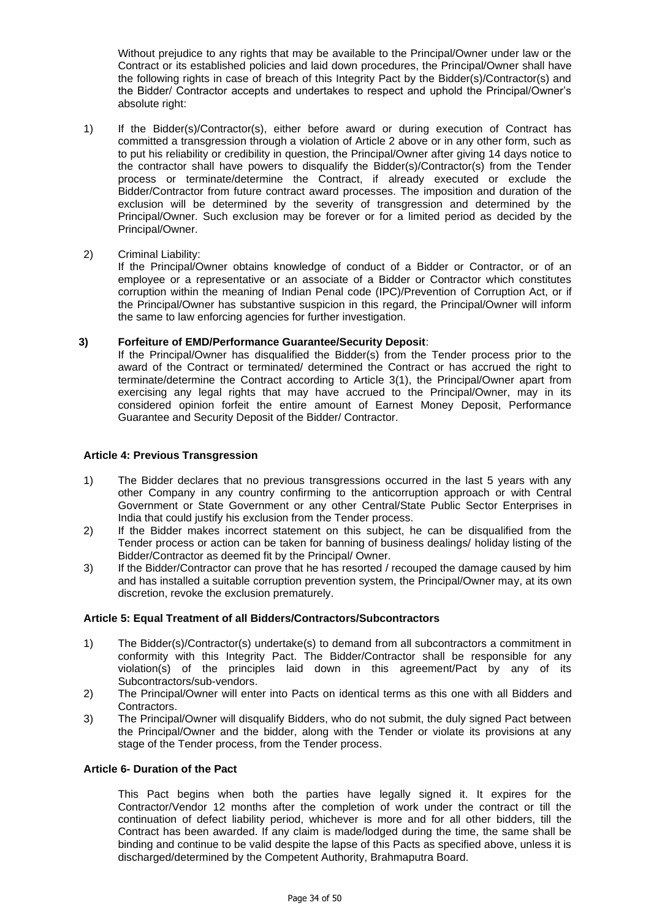Without prejudice to any rights that may be available to the Principal/Owner under law or the Contract or its established policies and laid down procedures, the Principal/Owner shall have the following rights in case of breach of this Integrity Pact by the Bidder(s)/Contractor(s) and the Bidder/ Contractor accepts and undertakes to respect and uphold the Principal/Owner's absolute right:

- 1) If the Bidder(s)/Contractor(s), either before award or during execution of Contract has committed a transgression through a violation of Article 2 above or in any other form, such as to put his reliability or credibility in question, the Principal/Owner after giving 14 days notice to the contractor shall have powers to disqualify the Bidder(s)/Contractor(s) from the Tender process or terminate/determine the Contract, if already executed or exclude the Bidder/Contractor from future contract award processes. The imposition and duration of the exclusion will be determined by the severity of transgression and determined by the Principal/Owner. Such exclusion may be forever or for a limited period as decided by the Principal/Owner.
- 2) Criminal Liability:

If the Principal/Owner obtains knowledge of conduct of a Bidder or Contractor, or of an employee or a representative or an associate of a Bidder or Contractor which constitutes corruption within the meaning of Indian Penal code (IPC)/Prevention of Corruption Act, or if the Principal/Owner has substantive suspicion in this regard, the Principal/Owner will inform the same to law enforcing agencies for further investigation.

#### **3) Forfeiture of EMD/Performance Guarantee/Security Deposit**:

If the Principal/Owner has disqualified the Bidder(s) from the Tender process prior to the award of the Contract or terminated/ determined the Contract or has accrued the right to terminate/determine the Contract according to Article 3(1), the Principal/Owner apart from exercising any legal rights that may have accrued to the Principal/Owner, may in its considered opinion forfeit the entire amount of Earnest Money Deposit, Performance Guarantee and Security Deposit of the Bidder/ Contractor.

#### **Article 4: Previous Transgression**

- 1) The Bidder declares that no previous transgressions occurred in the last 5 years with any other Company in any country confirming to the anticorruption approach or with Central Government or State Government or any other Central/State Public Sector Enterprises in India that could justify his exclusion from the Tender process.
- 2) If the Bidder makes incorrect statement on this subject, he can be disqualified from the Tender process or action can be taken for banning of business dealings/ holiday listing of the Bidder/Contractor as deemed fit by the Principal/ Owner.
- 3) If the Bidder/Contractor can prove that he has resorted / recouped the damage caused by him and has installed a suitable corruption prevention system, the Principal/Owner may, at its own discretion, revoke the exclusion prematurely.

## **Article 5: Equal Treatment of all Bidders/Contractors/Subcontractors**

- 1) The Bidder(s)/Contractor(s) undertake(s) to demand from all subcontractors a commitment in conformity with this Integrity Pact. The Bidder/Contractor shall be responsible for any violation(s) of the principles laid down in this agreement/Pact by any of its Subcontractors/sub-vendors.
- 2) The Principal/Owner will enter into Pacts on identical terms as this one with all Bidders and Contractors.
- 3) The Principal/Owner will disqualify Bidders, who do not submit, the duly signed Pact between the Principal/Owner and the bidder, along with the Tender or violate its provisions at any stage of the Tender process, from the Tender process.

#### **Article 6- Duration of the Pact**

This Pact begins when both the parties have legally signed it. It expires for the Contractor/Vendor 12 months after the completion of work under the contract or till the continuation of defect liability period, whichever is more and for all other bidders, till the Contract has been awarded. If any claim is made/lodged during the time, the same shall be binding and continue to be valid despite the lapse of this Pacts as specified above, unless it is discharged/determined by the Competent Authority, Brahmaputra Board.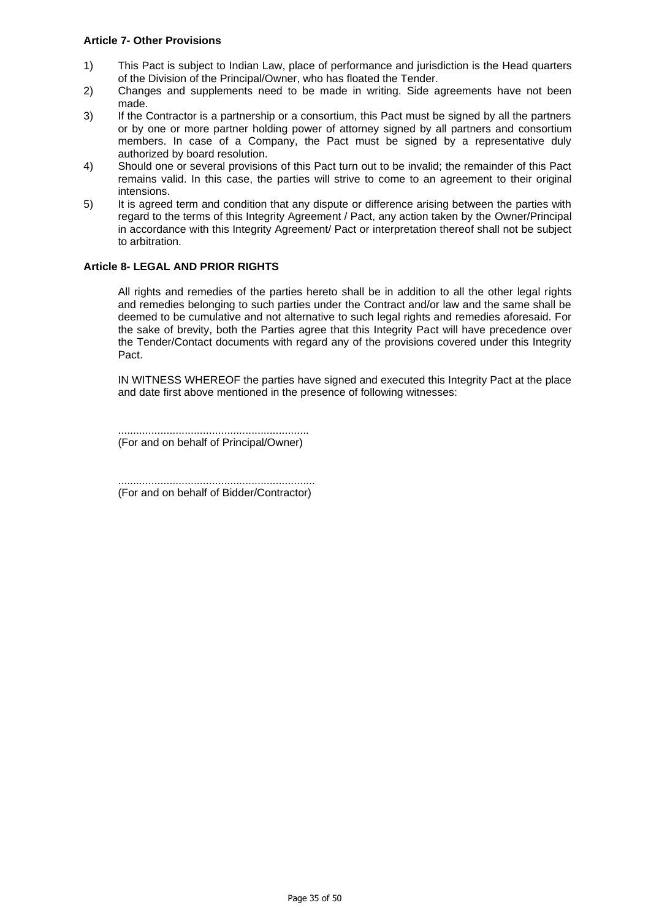#### **Article 7- Other Provisions**

- 1) This Pact is subject to Indian Law, place of performance and jurisdiction is the Head quarters of the Division of the Principal/Owner, who has floated the Tender.
- 2) Changes and supplements need to be made in writing. Side agreements have not been made.
- 3) If the Contractor is a partnership or a consortium, this Pact must be signed by all the partners or by one or more partner holding power of attorney signed by all partners and consortium members. In case of a Company, the Pact must be signed by a representative duly authorized by board resolution.
- 4) Should one or several provisions of this Pact turn out to be invalid; the remainder of this Pact remains valid. In this case, the parties will strive to come to an agreement to their original intensions.
- 5) It is agreed term and condition that any dispute or difference arising between the parties with regard to the terms of this Integrity Agreement / Pact, any action taken by the Owner/Principal in accordance with this Integrity Agreement/ Pact or interpretation thereof shall not be subject to arbitration.

## **Article 8- LEGAL AND PRIOR RIGHTS**

All rights and remedies of the parties hereto shall be in addition to all the other legal rights and remedies belonging to such parties under the Contract and/or law and the same shall be deemed to be cumulative and not alternative to such legal rights and remedies aforesaid. For the sake of brevity, both the Parties agree that this Integrity Pact will have precedence over the Tender/Contact documents with regard any of the provisions covered under this Integrity Pact.

IN WITNESS WHEREOF the parties have signed and executed this Integrity Pact at the place and date first above mentioned in the presence of following witnesses:

............................................................... (For and on behalf of Principal/Owner)

................................................................. (For and on behalf of Bidder/Contractor)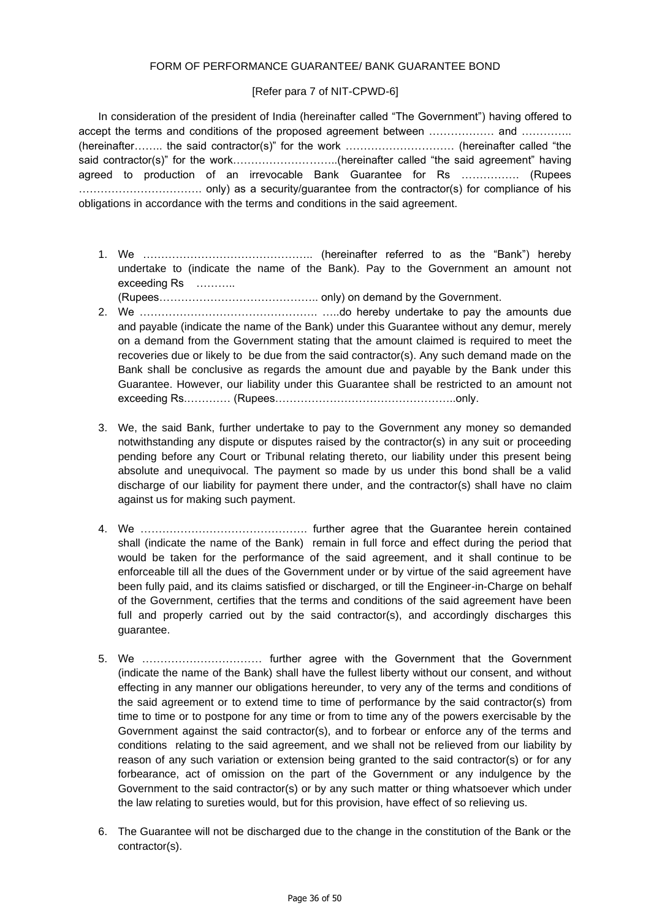#### FORM OF PERFORMANCE GUARANTEE/ BANK GUARANTEE BOND

### [Refer para 7 of NIT-CPWD-6]

In consideration of the president of India (hereinafter called "The Government") having offered to accept the terms and conditions of the proposed agreement between ……………… and ………….. (hereinafter…….. the said contractor(s)" for the work ………………………… (hereinafter called "the said contractor(s)" for the work...............................(hereinafter called "the said agreement" having agreed to production of an irrevocable Bank Guarantee for Rs ……………. (Rupees ……………………………. only) as a security/guarantee from the contractor(s) for compliance of his obligations in accordance with the terms and conditions in the said agreement.

1. We ……………………………………….. (hereinafter referred to as the "Bank") hereby undertake to (indicate the name of the Bank). Pay to the Government an amount not exceeding Rs ………..

(Rupees…………………………………….. only) on demand by the Government.

- 2. We …………………………………………. …..do hereby undertake to pay the amounts due and payable (indicate the name of the Bank) under this Guarantee without any demur, merely on a demand from the Government stating that the amount claimed is required to meet the recoveries due or likely to be due from the said contractor(s). Any such demand made on the Bank shall be conclusive as regards the amount due and payable by the Bank under this Guarantee. However, our liability under this Guarantee shall be restricted to an amount not exceeding Rs.………… (Rupees…………………………………………..only.
- 3. We, the said Bank, further undertake to pay to the Government any money so demanded notwithstanding any dispute or disputes raised by the contractor(s) in any suit or proceeding pending before any Court or Tribunal relating thereto, our liability under this present being absolute and unequivocal. The payment so made by us under this bond shall be a valid discharge of our liability for payment there under, and the contractor(s) shall have no claim against us for making such payment.
- 4. We ………………………………………. further agree that the Guarantee herein contained shall (indicate the name of the Bank) remain in full force and effect during the period that would be taken for the performance of the said agreement, and it shall continue to be enforceable till all the dues of the Government under or by virtue of the said agreement have been fully paid, and its claims satisfied or discharged, or till the Engineer-in-Charge on behalf of the Government, certifies that the terms and conditions of the said agreement have been full and properly carried out by the said contractor(s), and accordingly discharges this guarantee.
- 5. We …………………………… further agree with the Government that the Government (indicate the name of the Bank) shall have the fullest liberty without our consent, and without effecting in any manner our obligations hereunder, to very any of the terms and conditions of the said agreement or to extend time to time of performance by the said contractor(s) from time to time or to postpone for any time or from to time any of the powers exercisable by the Government against the said contractor(s), and to forbear or enforce any of the terms and conditions relating to the said agreement, and we shall not be relieved from our liability by reason of any such variation or extension being granted to the said contractor(s) or for any forbearance, act of omission on the part of the Government or any indulgence by the Government to the said contractor(s) or by any such matter or thing whatsoever which under the law relating to sureties would, but for this provision, have effect of so relieving us.
- 6. The Guarantee will not be discharged due to the change in the constitution of the Bank or the contractor(s).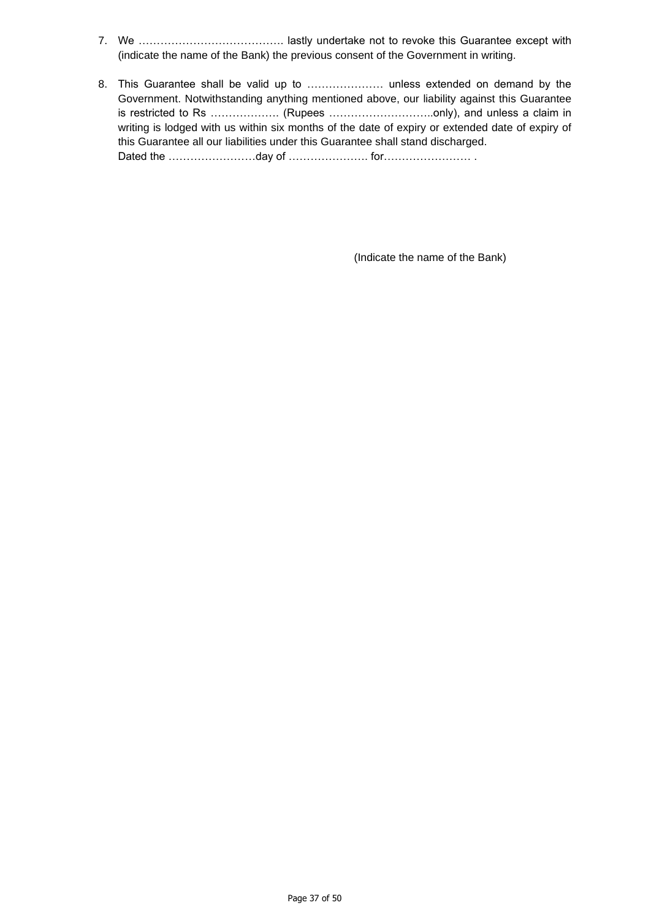- 7. We …………………………………. lastly undertake not to revoke this Guarantee except with (indicate the name of the Bank) the previous consent of the Government in writing.
- 8. This Guarantee shall be valid up to ………………… unless extended on demand by the Government. Notwithstanding anything mentioned above, our liability against this Guarantee is restricted to Rs ………………. (Rupees ………………………..only), and unless a claim in writing is lodged with us within six months of the date of expiry or extended date of expiry of this Guarantee all our liabilities under this Guarantee shall stand discharged. Dated the ……………………day of …………………. for…………………… .

(Indicate the name of the Bank)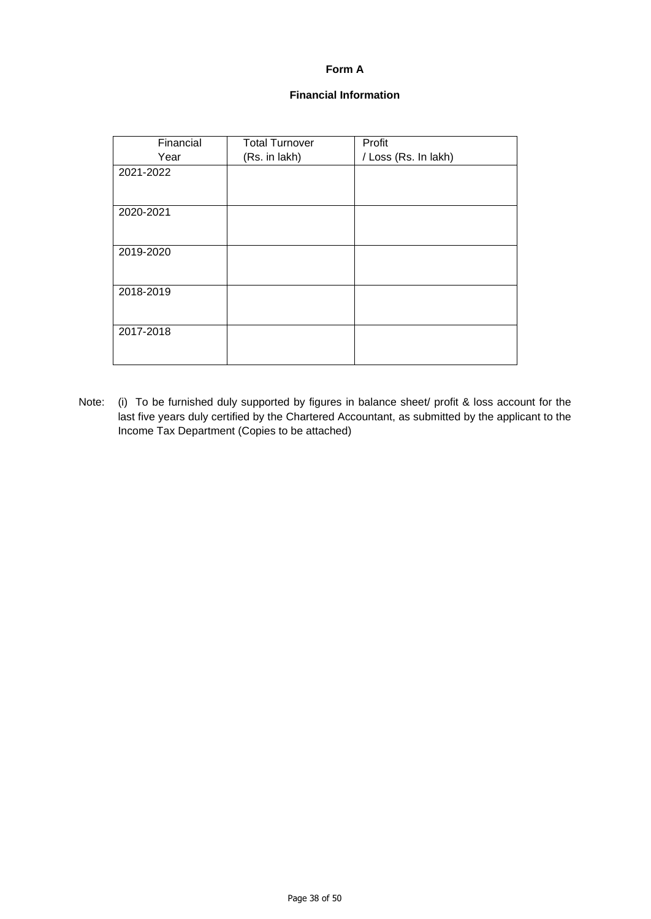## **Form A**

## **Financial Information**

| Financial | <b>Total Turnover</b> | Profit               |
|-----------|-----------------------|----------------------|
| Year      | (Rs. in lakh)         | / Loss (Rs. In lakh) |
| 2021-2022 |                       |                      |
|           |                       |                      |
| 2020-2021 |                       |                      |
|           |                       |                      |
| 2019-2020 |                       |                      |
|           |                       |                      |
| 2018-2019 |                       |                      |
|           |                       |                      |
| 2017-2018 |                       |                      |
|           |                       |                      |

Note: (i) To be furnished duly supported by figures in balance sheet/ profit & loss account for the last five years duly certified by the Chartered Accountant, as submitted by the applicant to the Income Tax Department (Copies to be attached)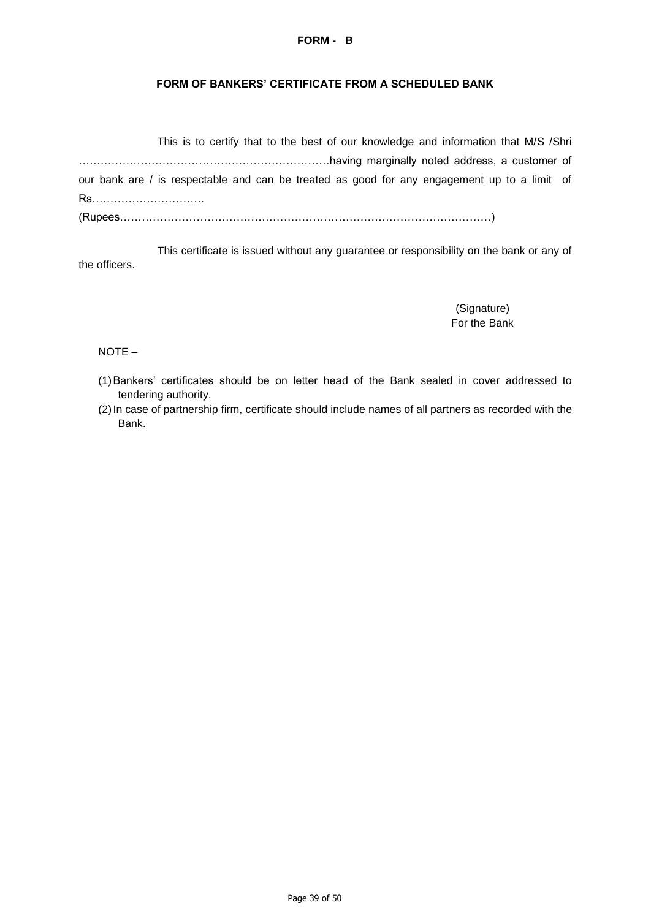#### **FORM - B**

#### **FORM OF BANKERS' CERTIFICATE FROM A SCHEDULED BANK**

|                                                                                              | This is to certify that to the best of our knowledge and information that M/S /Shri |  |  |  |
|----------------------------------------------------------------------------------------------|-------------------------------------------------------------------------------------|--|--|--|
|                                                                                              |                                                                                     |  |  |  |
| our bank are / is respectable and can be treated as good for any engagement up to a limit of |                                                                                     |  |  |  |
| Rs                                                                                           |                                                                                     |  |  |  |
|                                                                                              |                                                                                     |  |  |  |

This certificate is issued without any guarantee or responsibility on the bank or any of the officers.

> (Signature) For the Bank

NOTE –

- (1)Bankers' certificates should be on letter head of the Bank sealed in cover addressed to tendering authority.
- (2)In case of partnership firm, certificate should include names of all partners as recorded with the Bank.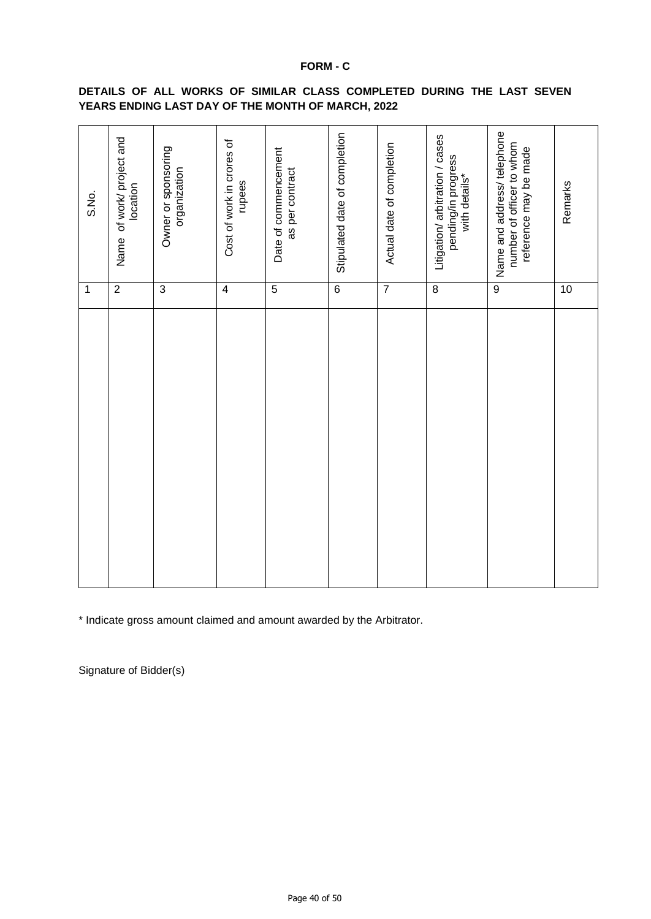### **FORM - C**

| S.No.       | Name of work/ project and<br>location | Owner or sponsoring<br>organization | Cost of work in crores of<br>rupees | Date of commencement<br>as per contract | Stipulated date of completion | Actual date of completion | Litigation/ arbitration / cases<br>pending/in progress<br>with details* | Name and address/ telephone<br>number of officer to whom<br>reference may be made | Remarks |
|-------------|---------------------------------------|-------------------------------------|-------------------------------------|-----------------------------------------|-------------------------------|---------------------------|-------------------------------------------------------------------------|-----------------------------------------------------------------------------------|---------|
| $\mathbf 1$ | $\overline{2}$                        | $\overline{3}$                      | $\overline{4}$                      | $\overline{5}$                          | $\overline{6}$                | $\overline{7}$            | $\overline{8}$                                                          | $\overline{9}$                                                                    | 10      |
|             |                                       |                                     |                                     |                                         |                               |                           |                                                                         |                                                                                   |         |

## **DETAILS OF ALL WORKS OF SIMILAR CLASS COMPLETED DURING THE LAST SEVEN YEARS ENDING LAST DAY OF THE MONTH OF MARCH, 2022**

\* Indicate gross amount claimed and amount awarded by the Arbitrator.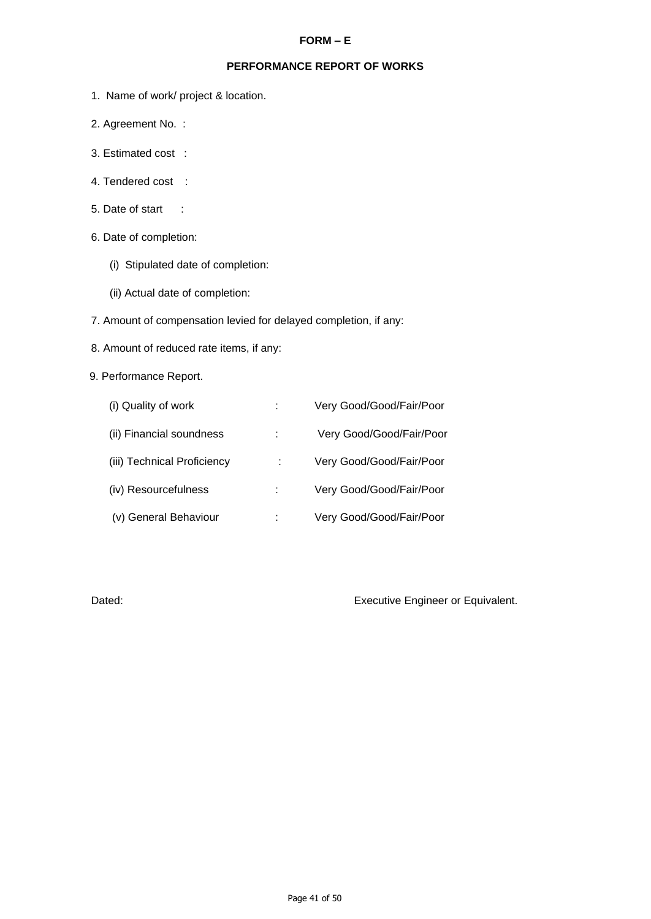## **FORM – E**

## **PERFORMANCE REPORT OF WORKS**

- 1. Name of work/ project & location.
- 2. Agreement No. :
- 3. Estimated cost :
- 4. Tendered cost :
- 5. Date of start :
- 6. Date of completion:
	- (i) Stipulated date of completion:
	- (ii) Actual date of completion:
- 7. Amount of compensation levied for delayed completion, if any:
- 8. Amount of reduced rate items, if any:

## 9. Performance Report.

| (i) Quality of work         | Very Good/Good/Fair/Poor |
|-----------------------------|--------------------------|
| (ii) Financial soundness    | Very Good/Good/Fair/Poor |
| (iii) Technical Proficiency | Very Good/Good/Fair/Poor |
| (iv) Resourcefulness        | Very Good/Good/Fair/Poor |
| (v) General Behaviour       | Very Good/Good/Fair/Poor |

Dated: Dated: **Executive Engineer or Equivalent.**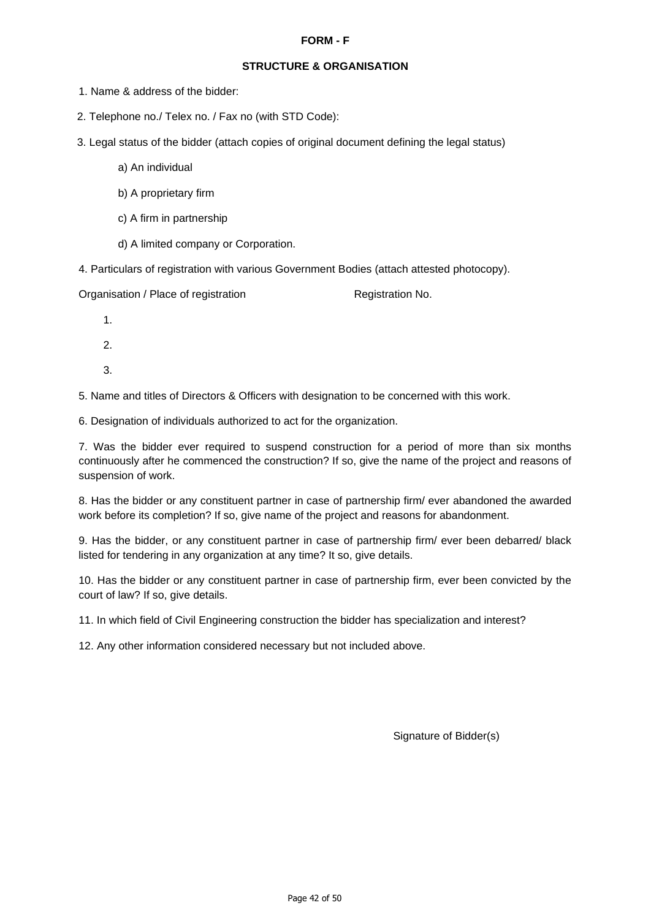#### **FORM - F**

## **STRUCTURE & ORGANISATION**

- 1. Name & address of the bidder:
- 2. Telephone no./ Telex no. / Fax no (with STD Code):
- 3. Legal status of the bidder (attach copies of original document defining the legal status)
	- a) An individual
	- b) A proprietary firm
	- c) A firm in partnership
	- d) A limited company or Corporation.
- 4. Particulars of registration with various Government Bodies (attach attested photocopy).

Organisation / Place of registration contraction Registration No.

- 1.
- 2.
- 3.

5. Name and titles of Directors & Officers with designation to be concerned with this work.

6. Designation of individuals authorized to act for the organization.

7. Was the bidder ever required to suspend construction for a period of more than six months continuously after he commenced the construction? If so, give the name of the project and reasons of suspension of work.

8. Has the bidder or any constituent partner in case of partnership firm/ ever abandoned the awarded work before its completion? If so, give name of the project and reasons for abandonment.

9. Has the bidder, or any constituent partner in case of partnership firm/ ever been debarred/ black listed for tendering in any organization at any time? It so, give details.

10. Has the bidder or any constituent partner in case of partnership firm, ever been convicted by the court of law? If so, give details.

11. In which field of Civil Engineering construction the bidder has specialization and interest?

12. Any other information considered necessary but not included above.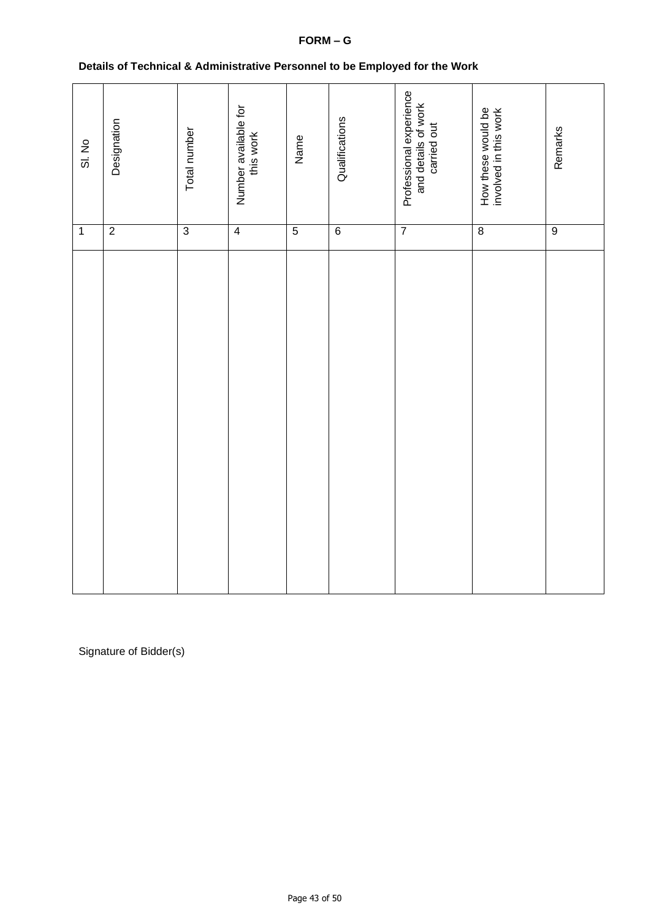## **FORM – G**

| Details of Technical & Administrative Personnel to be Employed for the Work |  |
|-----------------------------------------------------------------------------|--|
|                                                                             |  |

| SI. No         | Designation    | Total number   | Number available for<br>this work | Name           | Qualifications | Professional experience<br>and details of work<br>carried out | How these would be<br>involved in this work | Remarks        |
|----------------|----------------|----------------|-----------------------------------|----------------|----------------|---------------------------------------------------------------|---------------------------------------------|----------------|
| $\overline{1}$ | $\overline{2}$ | $\overline{3}$ | $\overline{4}$                    | $\overline{5}$ | $\overline{6}$ | $\overline{7}$                                                | $\overline{\bf 8}$                          | $\overline{9}$ |
|                |                |                |                                   |                |                |                                                               |                                             |                |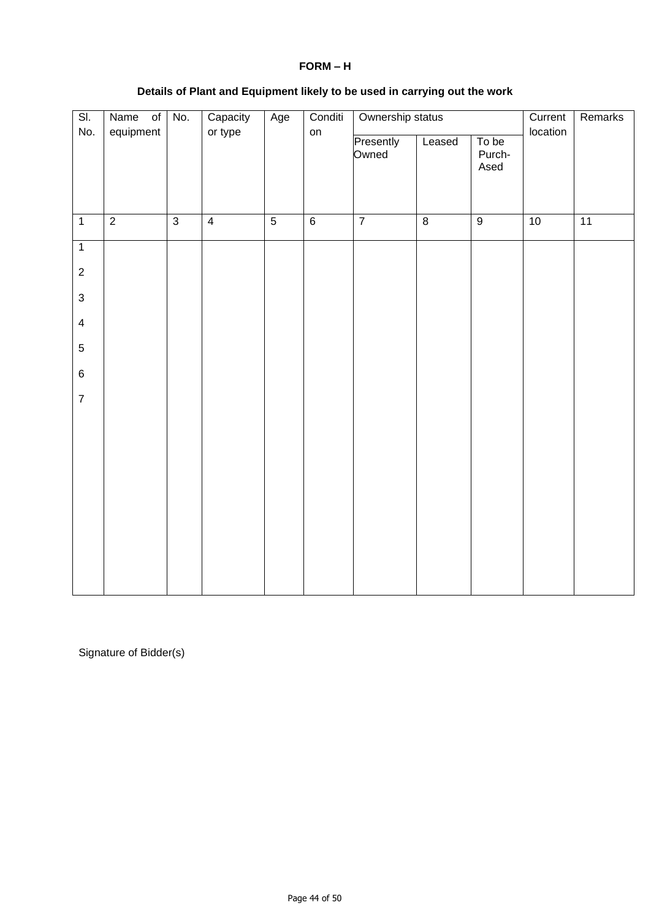| SI.<br>No.              | equipment      | Ownership status<br>Capacity<br>Conditi<br>Name of No.<br>Age<br>or type<br>on |                |                |                 |                    |                | Current<br>location     | Remarks |    |
|-------------------------|----------------|--------------------------------------------------------------------------------|----------------|----------------|-----------------|--------------------|----------------|-------------------------|---------|----|
|                         |                |                                                                                |                |                |                 | Presently<br>Owned | Leased         | To be<br>Purch-<br>Ased |         |    |
| $\overline{1}$          | $\overline{2}$ | $\overline{3}$                                                                 | $\overline{4}$ | $\overline{5}$ | $6\overline{6}$ | $\overline{7}$     | $\overline{8}$ | $\overline{9}$          | 10      | 11 |
| $\overline{1}$          |                |                                                                                |                |                |                 |                    |                |                         |         |    |
| $\overline{c}$          |                |                                                                                |                |                |                 |                    |                |                         |         |    |
| $\mathbf{3}$            |                |                                                                                |                |                |                 |                    |                |                         |         |    |
| $\overline{\mathbf{4}}$ |                |                                                                                |                |                |                 |                    |                |                         |         |    |
| $\overline{5}$          |                |                                                                                |                |                |                 |                    |                |                         |         |    |
| $\,6\,$                 |                |                                                                                |                |                |                 |                    |                |                         |         |    |
| $\overline{7}$          |                |                                                                                |                |                |                 |                    |                |                         |         |    |
|                         |                |                                                                                |                |                |                 |                    |                |                         |         |    |
|                         |                |                                                                                |                |                |                 |                    |                |                         |         |    |
|                         |                |                                                                                |                |                |                 |                    |                |                         |         |    |
|                         |                |                                                                                |                |                |                 |                    |                |                         |         |    |
|                         |                |                                                                                |                |                |                 |                    |                |                         |         |    |
|                         |                |                                                                                |                |                |                 |                    |                |                         |         |    |
|                         |                |                                                                                |                |                |                 |                    |                |                         |         |    |

## **Details of Plant and Equipment likely to be used in carrying out the work**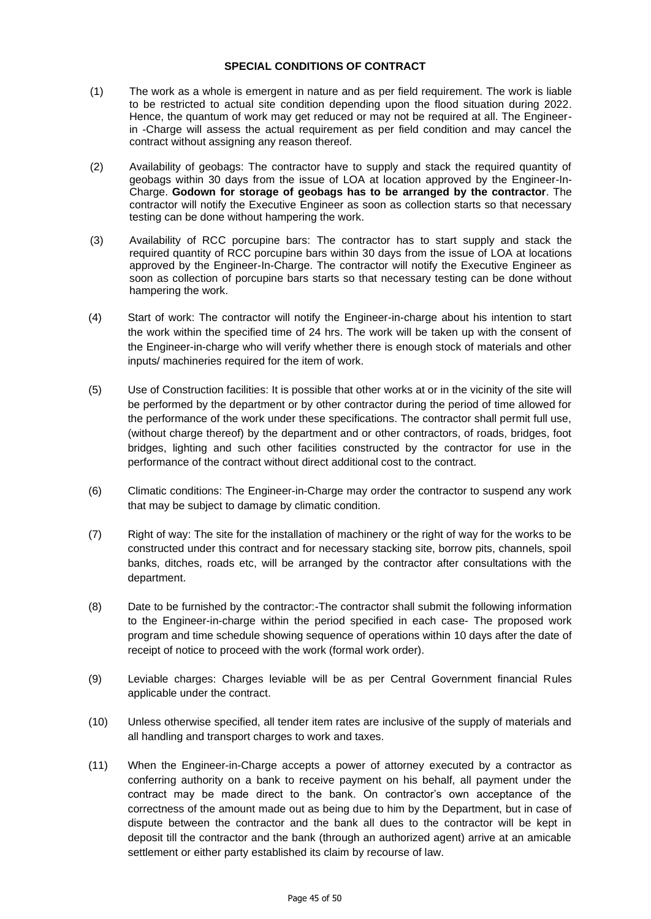#### **SPECIAL CONDITIONS OF CONTRACT**

- (1) The work as a whole is emergent in nature and as per field requirement. The work is liable to be restricted to actual site condition depending upon the flood situation during 2022. Hence, the quantum of work may get reduced or may not be required at all. The Engineerin -Charge will assess the actual requirement as per field condition and may cancel the contract without assigning any reason thereof.
- (2) Availability of geobags: The contractor have to supply and stack the required quantity of geobags within 30 days from the issue of LOA at location approved by the Engineer-In-Charge. **Godown for storage of geobags has to be arranged by the contractor**. The contractor will notify the Executive Engineer as soon as collection starts so that necessary testing can be done without hampering the work.
- (3) Availability of RCC porcupine bars: The contractor has to start supply and stack the required quantity of RCC porcupine bars within 30 days from the issue of LOA at locations approved by the Engineer-In-Charge. The contractor will notify the Executive Engineer as soon as collection of porcupine bars starts so that necessary testing can be done without hampering the work.
- (4) Start of work: The contractor will notify the Engineer-in-charge about his intention to start the work within the specified time of 24 hrs. The work will be taken up with the consent of the Engineer-in-charge who will verify whether there is enough stock of materials and other inputs/ machineries required for the item of work.
- (5) Use of Construction facilities: It is possible that other works at or in the vicinity of the site will be performed by the department or by other contractor during the period of time allowed for the performance of the work under these specifications. The contractor shall permit full use, (without charge thereof) by the department and or other contractors, of roads, bridges, foot bridges, lighting and such other facilities constructed by the contractor for use in the performance of the contract without direct additional cost to the contract.
- (6) Climatic conditions: The Engineer-in-Charge may order the contractor to suspend any work that may be subject to damage by climatic condition.
- (7) Right of way: The site for the installation of machinery or the right of way for the works to be constructed under this contract and for necessary stacking site, borrow pits, channels, spoil banks, ditches, roads etc, will be arranged by the contractor after consultations with the department.
- (8) Date to be furnished by the contractor:-The contractor shall submit the following information to the Engineer-in-charge within the period specified in each case- The proposed work program and time schedule showing sequence of operations within 10 days after the date of receipt of notice to proceed with the work (formal work order).
- (9) Leviable charges: Charges leviable will be as per Central Government financial Rules applicable under the contract.
- (10) Unless otherwise specified, all tender item rates are inclusive of the supply of materials and all handling and transport charges to work and taxes.
- (11) When the Engineer-in-Charge accepts a power of attorney executed by a contractor as conferring authority on a bank to receive payment on his behalf, all payment under the contract may be made direct to the bank. On contractor's own acceptance of the correctness of the amount made out as being due to him by the Department, but in case of dispute between the contractor and the bank all dues to the contractor will be kept in deposit till the contractor and the bank (through an authorized agent) arrive at an amicable settlement or either party established its claim by recourse of law.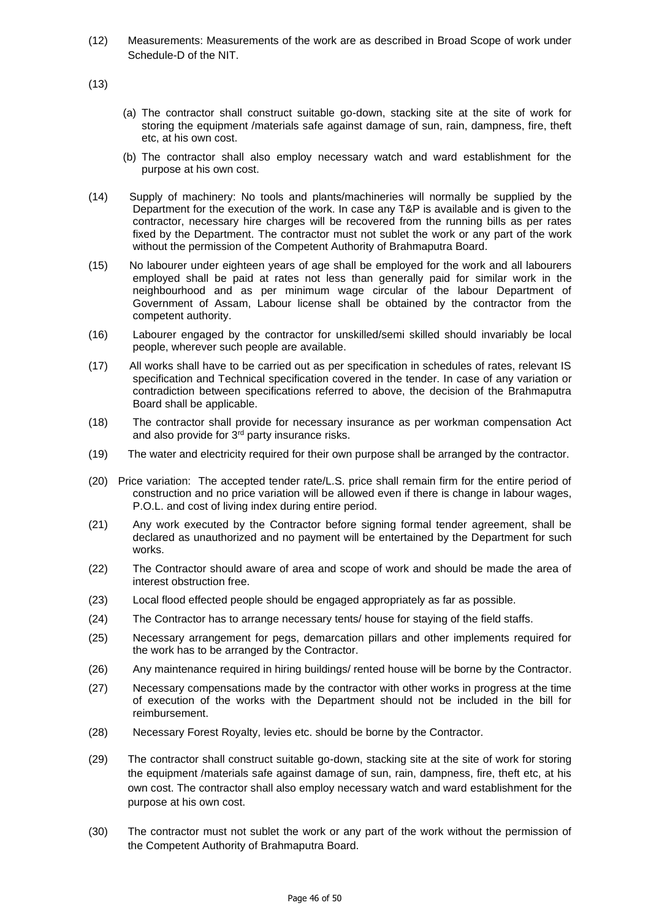(12) Measurements: Measurements of the work are as described in Broad Scope of work under Schedule-D of the NIT.

(13)

- (a) The contractor shall construct suitable go-down, stacking site at the site of work for storing the equipment /materials safe against damage of sun, rain, dampness, fire, theft etc, at his own cost.
- (b) The contractor shall also employ necessary watch and ward establishment for the purpose at his own cost.
- (14) Supply of machinery: No tools and plants/machineries will normally be supplied by the Department for the execution of the work. In case any T&P is available and is given to the contractor, necessary hire charges will be recovered from the running bills as per rates fixed by the Department. The contractor must not sublet the work or any part of the work without the permission of the Competent Authority of Brahmaputra Board.
- (15) No labourer under eighteen years of age shall be employed for the work and all labourers employed shall be paid at rates not less than generally paid for similar work in the neighbourhood and as per minimum wage circular of the labour Department of Government of Assam, Labour license shall be obtained by the contractor from the competent authority.
- (16) Labourer engaged by the contractor for unskilled/semi skilled should invariably be local people, wherever such people are available.
- (17) All works shall have to be carried out as per specification in schedules of rates, relevant IS specification and Technical specification covered in the tender. In case of any variation or contradiction between specifications referred to above, the decision of the Brahmaputra Board shall be applicable.
- (18) The contractor shall provide for necessary insurance as per workman compensation Act and also provide for 3<sup>rd</sup> party insurance risks.
- (19) The water and electricity required for their own purpose shall be arranged by the contractor.
- (20) Price variation: The accepted tender rate/L.S. price shall remain firm for the entire period of construction and no price variation will be allowed even if there is change in labour wages, P.O.L. and cost of living index during entire period.
- (21) Any work executed by the Contractor before signing formal tender agreement, shall be declared as unauthorized and no payment will be entertained by the Department for such works.
- (22) The Contractor should aware of area and scope of work and should be made the area of interest obstruction free.
- (23) Local flood effected people should be engaged appropriately as far as possible.
- (24) The Contractor has to arrange necessary tents/ house for staying of the field staffs.
- (25) Necessary arrangement for pegs, demarcation pillars and other implements required for the work has to be arranged by the Contractor.
- (26) Any maintenance required in hiring buildings/ rented house will be borne by the Contractor.
- (27) Necessary compensations made by the contractor with other works in progress at the time of execution of the works with the Department should not be included in the bill for reimbursement.
- (28) Necessary Forest Royalty, levies etc. should be borne by the Contractor.
- (29) The contractor shall construct suitable go-down, stacking site at the site of work for storing the equipment /materials safe against damage of sun, rain, dampness, fire, theft etc, at his own cost. The contractor shall also employ necessary watch and ward establishment for the purpose at his own cost.
- (30) The contractor must not sublet the work or any part of the work without the permission of the Competent Authority of Brahmaputra Board.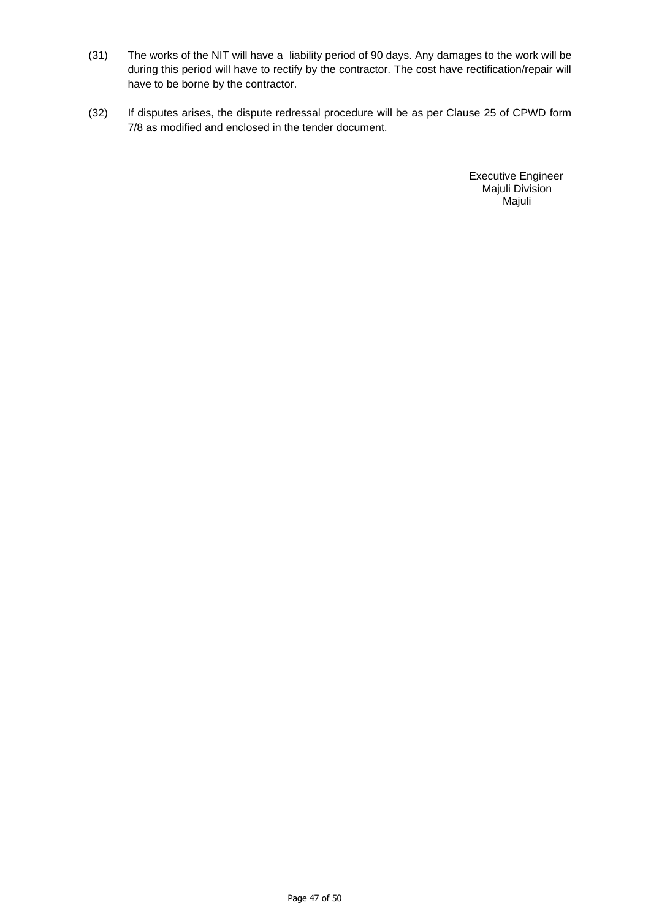- (31) The works of the NIT will have a liability period of 90 days. Any damages to the work will be during this period will have to rectify by the contractor. The cost have rectification/repair will have to be borne by the contractor.
- (32) If disputes arises, the dispute redressal procedure will be as per Clause 25 of CPWD form 7/8 as modified and enclosed in the tender document.

 Executive Engineer Majuli Division Majuli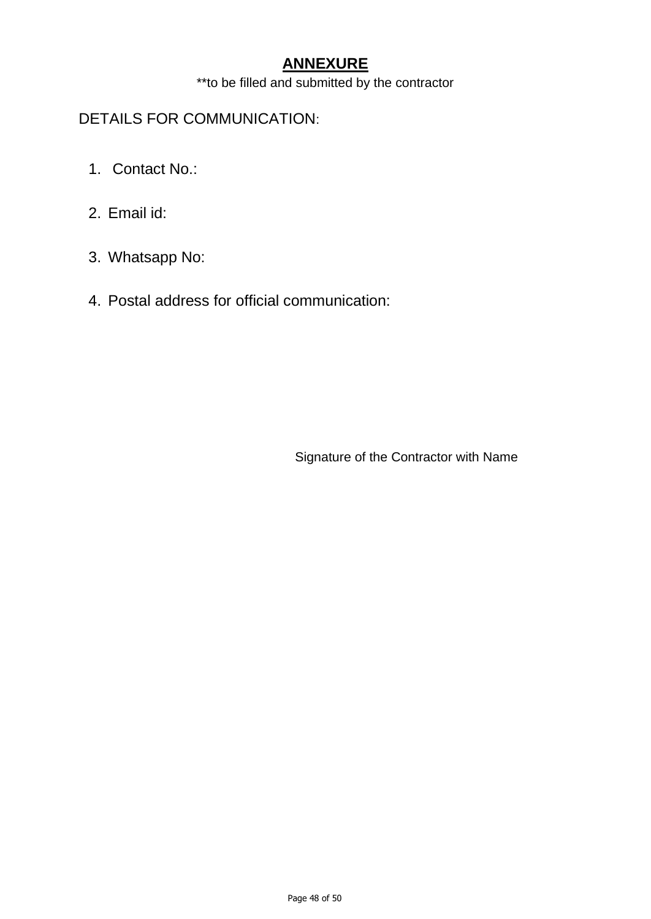# **ANNEXURE**

\*\*to be filled and submitted by the contractor

# DETAILS FOR COMMUNICATION:

- 1. Contact No.:
- 2. Email id:
- 3. Whatsapp No:
- 4. Postal address for official communication:

Signature of the Contractor with Name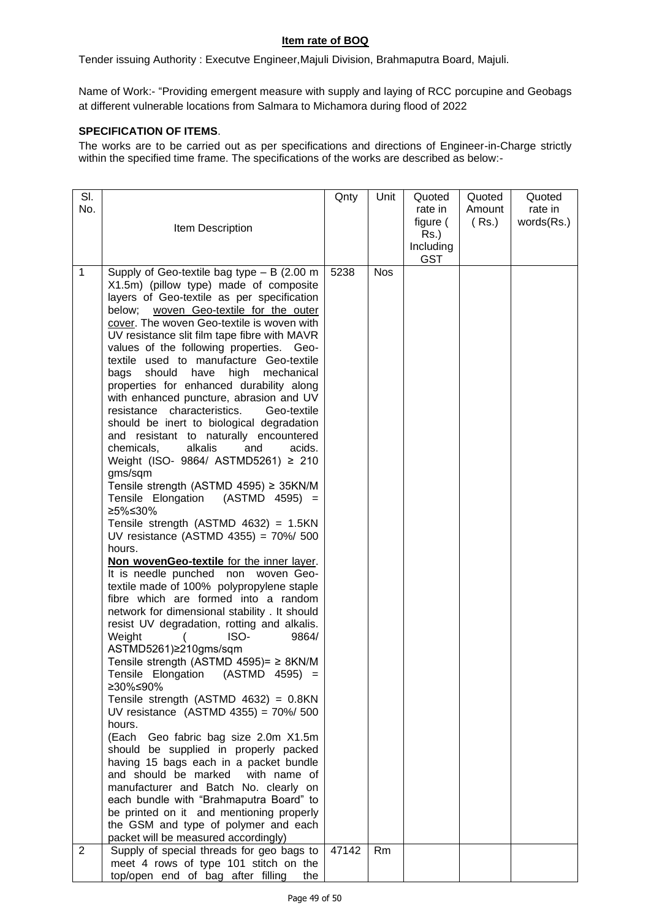## **Item rate of BOQ**

Tender issuing Authority : Executve Engineer,Majuli Division, Brahmaputra Board, Majuli.

Name of Work:- "Providing emergent measure with supply and laying of RCC porcupine and Geobags at different vulnerable locations from Salmara to Michamora during flood of 2022

## **SPECIFICATION OF ITEMS**.

The works are to be carried out as per specifications and directions of Engineer-in-Charge strictly within the specified time frame. The specifications of the works are described as below:-

| SI.          |                                                                                      | Qnty  | Unit       | Quoted     | Quoted | Quoted     |
|--------------|--------------------------------------------------------------------------------------|-------|------------|------------|--------|------------|
| No.          |                                                                                      |       |            | rate in    | Amount | rate in    |
|              | Item Description                                                                     |       |            | figure (   | (Rs.)  | words(Rs.) |
|              |                                                                                      |       |            | $Rs.$ )    |        |            |
|              |                                                                                      |       |            | Including  |        |            |
| $\mathbf{1}$ |                                                                                      |       |            | <b>GST</b> |        |            |
|              | Supply of Geo-textile bag type $- B$ (2.00 m                                         | 5238  | <b>Nos</b> |            |        |            |
|              | X1.5m) (pillow type) made of composite<br>layers of Geo-textile as per specification |       |            |            |        |            |
|              | below;<br>woven Geo-textile for the outer                                            |       |            |            |        |            |
|              | cover. The woven Geo-textile is woven with                                           |       |            |            |        |            |
|              | UV resistance slit film tape fibre with MAVR                                         |       |            |            |        |            |
|              | values of the following properties. Geo-                                             |       |            |            |        |            |
|              | textile used to manufacture Geo-textile                                              |       |            |            |        |            |
|              | bags<br>should<br>have<br>high<br>mechanical                                         |       |            |            |        |            |
|              | properties for enhanced durability along                                             |       |            |            |        |            |
|              | with enhanced puncture, abrasion and UV                                              |       |            |            |        |            |
|              | resistance characteristics.<br>Geo-textile                                           |       |            |            |        |            |
|              | should be inert to biological degradation<br>and resistant to naturally encountered  |       |            |            |        |            |
|              | alkalis<br>chemicals,<br>and<br>acids.                                               |       |            |            |        |            |
|              | Weight (ISO- 9864/ ASTMD5261) ≥ 210                                                  |       |            |            |        |            |
|              | gms/sqm                                                                              |       |            |            |        |            |
|              | Tensile strength (ASTMD 4595) ≥ 35KN/M                                               |       |            |            |        |            |
|              | Tensile Elongation (ASTMD 4595) =                                                    |       |            |            |        |            |
|              | ≥5%≤30%                                                                              |       |            |            |        |            |
|              | Tensile strength (ASTMD $4632$ ) = 1.5KN<br>UV resistance (ASTMD 4355) = 70%/ 500    |       |            |            |        |            |
|              | hours.                                                                               |       |            |            |        |            |
|              | Non wovenGeo-textile for the inner layer.                                            |       |            |            |        |            |
|              | It is needle punched non woven Geo-                                                  |       |            |            |        |            |
|              | textile made of 100% polypropylene staple                                            |       |            |            |        |            |
|              | fibre which are formed into a random                                                 |       |            |            |        |            |
|              | network for dimensional stability . It should                                        |       |            |            |        |            |
|              | resist UV degradation, rotting and alkalis.                                          |       |            |            |        |            |
|              | Weight<br>ISO-<br>9864/<br>ASTMD5261)≥210gms/sqm                                     |       |            |            |        |            |
|              | Tensile strength (ASTMD 4595)= ≥ 8KN/M                                               |       |            |            |        |            |
|              | Tensile Elongation (ASTMD 4595) =                                                    |       |            |            |        |            |
|              | ≥30%≤90%                                                                             |       |            |            |        |            |
|              | Tensile strength (ASTMD $4632$ ) = 0.8KN                                             |       |            |            |        |            |
|              | UV resistance (ASTMD 4355) = 70%/ 500                                                |       |            |            |        |            |
|              | hours.                                                                               |       |            |            |        |            |
|              | (Each Geo fabric bag size 2.0m X1.5m                                                 |       |            |            |        |            |
|              | should be supplied in properly packed                                                |       |            |            |        |            |
|              | having 15 bags each in a packet bundle<br>and should be marked<br>with name of       |       |            |            |        |            |
|              | manufacturer and Batch No. clearly on                                                |       |            |            |        |            |
|              | each bundle with "Brahmaputra Board" to                                              |       |            |            |        |            |
|              | be printed on it and mentioning properly                                             |       |            |            |        |            |
|              | the GSM and type of polymer and each                                                 |       |            |            |        |            |
|              | packet will be measured accordingly)                                                 |       |            |            |        |            |
| 2            | Supply of special threads for geo bags to                                            | 47142 | Rm         |            |        |            |
|              | meet 4 rows of type 101 stitch on the                                                |       |            |            |        |            |
|              | top/open end of bag after filling<br>the                                             |       |            |            |        |            |